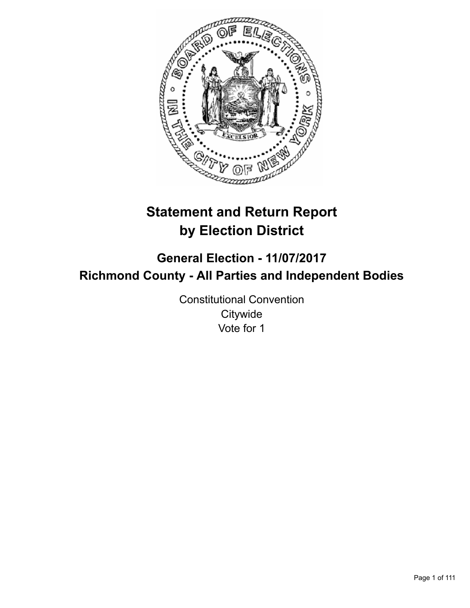

# **Statement and Return Report by Election District**

## **General Election - 11/07/2017 Richmond County - All Parties and Independent Bodies**

Constitutional Convention **Citywide** Vote for 1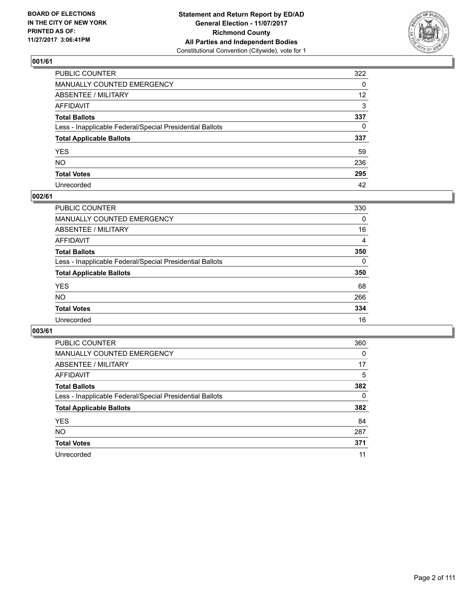

| PUBLIC COUNTER                                           | 322             |
|----------------------------------------------------------|-----------------|
| MANUALLY COUNTED EMERGENCY                               | 0               |
| ABSENTEE / MILITARY                                      | 12 <sup>2</sup> |
| AFFIDAVIT                                                | 3               |
| Total Ballots                                            | 337             |
| Less - Inapplicable Federal/Special Presidential Ballots | $\Omega$        |
| <b>Total Applicable Ballots</b>                          | 337             |
| YES                                                      | 59              |
| NO.                                                      | 236             |
| <b>Total Votes</b>                                       | 295             |
| Unrecorded                                               | 42              |

#### **002/61**

| <b>PUBLIC COUNTER</b>                                    | 330      |
|----------------------------------------------------------|----------|
| MANUALLY COUNTED EMERGENCY                               | 0        |
| ABSENTEE / MILITARY                                      | 16       |
| AFFIDAVIT                                                | 4        |
| <b>Total Ballots</b>                                     | 350      |
| Less - Inapplicable Federal/Special Presidential Ballots | $\Omega$ |
| <b>Total Applicable Ballots</b>                          | 350      |
| <b>YES</b>                                               | 68       |
| <b>NO</b>                                                | 266      |
| <b>Total Votes</b>                                       | 334      |
| Unrecorded                                               | 16       |

| <b>PUBLIC COUNTER</b>                                    | 360      |
|----------------------------------------------------------|----------|
| MANUALLY COUNTED EMERGENCY                               | $\Omega$ |
| ABSENTEE / MILITARY                                      | 17       |
| AFFIDAVIT                                                | 5        |
| <b>Total Ballots</b>                                     | 382      |
| Less - Inapplicable Federal/Special Presidential Ballots | 0        |
| <b>Total Applicable Ballots</b>                          | 382      |
| <b>YES</b>                                               | 84       |
| NO.                                                      | 287      |
| <b>Total Votes</b>                                       | 371      |
| Unrecorded                                               | 11       |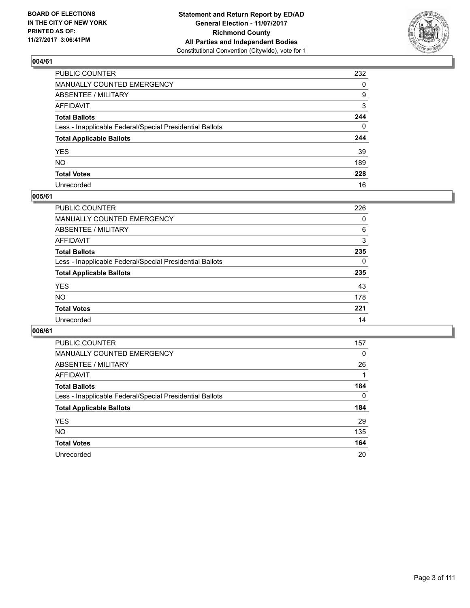

| PUBLIC COUNTER                                           | 232          |
|----------------------------------------------------------|--------------|
| MANUALLY COUNTED EMERGENCY                               | $\Omega$     |
| ABSENTEE / MILITARY                                      | 9            |
| AFFIDAVIT                                                | 3            |
| Total Ballots                                            | 244          |
| Less - Inapplicable Federal/Special Presidential Ballots | $\mathbf{0}$ |
| <b>Total Applicable Ballots</b>                          | 244          |
| YES                                                      | 39           |
| NO.                                                      | 189          |
| <b>Total Votes</b>                                       | 228          |
| Unrecorded                                               | 16           |

#### **005/61**

| <b>PUBLIC COUNTER</b>                                    | 226 |
|----------------------------------------------------------|-----|
| MANUALLY COUNTED EMERGENCY                               | 0   |
| ABSENTEE / MILITARY                                      | 6   |
| AFFIDAVIT                                                | 3   |
| <b>Total Ballots</b>                                     | 235 |
| Less - Inapplicable Federal/Special Presidential Ballots | 0   |
| <b>Total Applicable Ballots</b>                          | 235 |
| <b>YES</b>                                               | 43  |
| <b>NO</b>                                                | 178 |
| <b>Total Votes</b>                                       | 221 |
| Unrecorded                                               | 14  |

| <b>PUBLIC COUNTER</b>                                    | 157      |
|----------------------------------------------------------|----------|
| MANUALLY COUNTED EMERGENCY                               | $\Omega$ |
| ABSENTEE / MILITARY                                      | 26       |
| AFFIDAVIT                                                |          |
| <b>Total Ballots</b>                                     | 184      |
| Less - Inapplicable Federal/Special Presidential Ballots | 0        |
| <b>Total Applicable Ballots</b>                          | 184      |
| <b>YES</b>                                               | 29       |
| NO.                                                      | 135      |
| <b>Total Votes</b>                                       | 164      |
| Unrecorded                                               | 20       |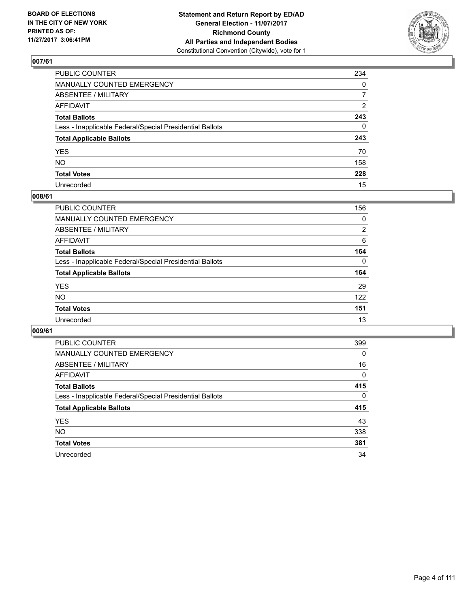

| PUBLIC COUNTER                                           | 234            |
|----------------------------------------------------------|----------------|
| MANUALLY COUNTED EMERGENCY                               | $\mathbf{0}$   |
| ABSENTEE / MILITARY                                      | $\overline{7}$ |
| AFFIDAVIT                                                | 2              |
| Total Ballots                                            | 243            |
| Less - Inapplicable Federal/Special Presidential Ballots | $\mathbf{0}$   |
| <b>Total Applicable Ballots</b>                          | 243            |
| YES                                                      | 70             |
| NO.                                                      | 158            |
| <b>Total Votes</b>                                       | 228            |
| Unrecorded                                               | 15             |

#### **008/61**

| PUBLIC COUNTER                                           | 156      |
|----------------------------------------------------------|----------|
| MANUALLY COUNTED EMERGENCY                               | 0        |
| ABSENTEE / MILITARY                                      | 2        |
| AFFIDAVIT                                                | 6        |
| <b>Total Ballots</b>                                     | 164      |
| Less - Inapplicable Federal/Special Presidential Ballots | $\Omega$ |
| <b>Total Applicable Ballots</b>                          | 164      |
| <b>YES</b>                                               | 29       |
| <b>NO</b>                                                | 122      |
| <b>Total Votes</b>                                       | 151      |
| Unrecorded                                               | 13       |

| <b>PUBLIC COUNTER</b>                                    | 399      |
|----------------------------------------------------------|----------|
| <b>MANUALLY COUNTED EMERGENCY</b>                        | 0        |
| ABSENTEE / MILITARY                                      | 16       |
| AFFIDAVIT                                                | $\Omega$ |
| <b>Total Ballots</b>                                     | 415      |
| Less - Inapplicable Federal/Special Presidential Ballots | 0        |
| <b>Total Applicable Ballots</b>                          | 415      |
| <b>YES</b>                                               | 43       |
| <b>NO</b>                                                | 338      |
| <b>Total Votes</b>                                       | 381      |
| Unrecorded                                               | 34       |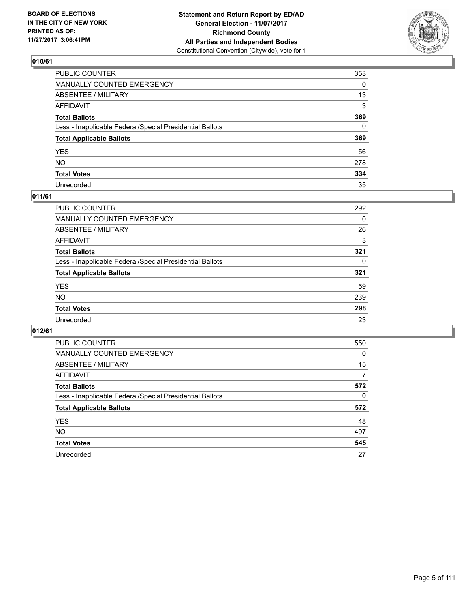

| PUBLIC COUNTER                                           | 353          |
|----------------------------------------------------------|--------------|
| MANUALLY COUNTED EMERGENCY                               | 0            |
| ABSENTEE / MILITARY                                      | 13           |
| AFFIDAVIT                                                | 3            |
| Total Ballots                                            | 369          |
| Less - Inapplicable Federal/Special Presidential Ballots | $\mathbf{0}$ |
| <b>Total Applicable Ballots</b>                          | 369          |
| YES                                                      | 56           |
| NO.                                                      | 278          |
| <b>Total Votes</b>                                       | 334          |
| Unrecorded                                               | 35           |

#### **011/61**

| <b>PUBLIC COUNTER</b>                                    | 292 |
|----------------------------------------------------------|-----|
| MANUALLY COUNTED EMERGENCY                               | 0   |
| ABSENTEE / MILITARY                                      | 26  |
| AFFIDAVIT                                                | 3   |
| <b>Total Ballots</b>                                     | 321 |
| Less - Inapplicable Federal/Special Presidential Ballots | 0   |
| <b>Total Applicable Ballots</b>                          | 321 |
| <b>YES</b>                                               | 59  |
| <b>NO</b>                                                | 239 |
| <b>Total Votes</b>                                       | 298 |
| Unrecorded                                               | 23  |

| <b>PUBLIC COUNTER</b>                                    | 550      |
|----------------------------------------------------------|----------|
| <b>MANUALLY COUNTED EMERGENCY</b>                        | $\Omega$ |
| ABSENTEE / MILITARY                                      | 15       |
| <b>AFFIDAVIT</b>                                         | 7        |
| <b>Total Ballots</b>                                     | 572      |
| Less - Inapplicable Federal/Special Presidential Ballots | 0        |
| <b>Total Applicable Ballots</b>                          | 572      |
| <b>YES</b>                                               | 48       |
| <b>NO</b>                                                | 497      |
| <b>Total Votes</b>                                       | 545      |
| Unrecorded                                               | 27       |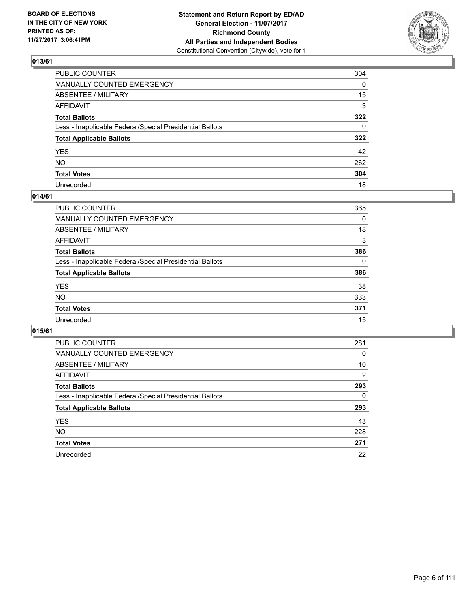

| PUBLIC COUNTER                                           | 304          |
|----------------------------------------------------------|--------------|
| MANUALLY COUNTED EMERGENCY                               | $\mathbf{0}$ |
| ABSENTEE / MILITARY                                      | 15           |
| AFFIDAVIT                                                | 3            |
| Total Ballots                                            | 322          |
| Less - Inapplicable Federal/Special Presidential Ballots | $\mathbf{0}$ |
| <b>Total Applicable Ballots</b>                          | 322          |
| YES                                                      | 42           |
| NO.                                                      | 262          |
| <b>Total Votes</b>                                       | 304          |
| Unrecorded                                               | 18           |

#### **014/61**

| <b>PUBLIC COUNTER</b>                                    | 365      |
|----------------------------------------------------------|----------|
| MANUALLY COUNTED EMERGENCY                               | 0        |
| ABSENTEE / MILITARY                                      | 18       |
| AFFIDAVIT                                                | 3        |
| <b>Total Ballots</b>                                     | 386      |
| Less - Inapplicable Federal/Special Presidential Ballots | $\Omega$ |
| <b>Total Applicable Ballots</b>                          | 386      |
| <b>YES</b>                                               | 38       |
| <b>NO</b>                                                | 333      |
| <b>Total Votes</b>                                       | 371      |
| Unrecorded                                               | 15       |

| <b>PUBLIC COUNTER</b>                                    | 281            |
|----------------------------------------------------------|----------------|
| MANUALLY COUNTED EMERGENCY                               | 0              |
| ABSENTEE / MILITARY                                      | 10             |
| <b>AFFIDAVIT</b>                                         | $\overline{2}$ |
| <b>Total Ballots</b>                                     | 293            |
| Less - Inapplicable Federal/Special Presidential Ballots | 0              |
| <b>Total Applicable Ballots</b>                          | 293            |
| <b>YES</b>                                               | 43             |
| <b>NO</b>                                                | 228            |
| <b>Total Votes</b>                                       | 271            |
| Unrecorded                                               | 22             |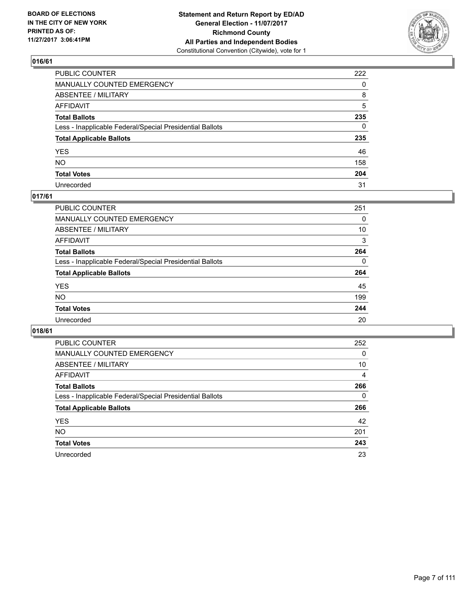

| PUBLIC COUNTER                                           | 222 |
|----------------------------------------------------------|-----|
| MANUALLY COUNTED EMERGENCY                               | 0   |
| ABSENTEE / MILITARY                                      | 8   |
| AFFIDAVIT                                                | 5   |
| Total Ballots                                            | 235 |
| Less - Inapplicable Federal/Special Presidential Ballots | 0   |
| <b>Total Applicable Ballots</b>                          | 235 |
| YES                                                      | 46  |
| NO.                                                      | 158 |
| <b>Total Votes</b>                                       | 204 |
| Unrecorded                                               | 31  |

## **017/61**

| <b>PUBLIC COUNTER</b>                                    | 251 |
|----------------------------------------------------------|-----|
| <b>MANUALLY COUNTED EMERGENCY</b>                        | 0   |
| ABSENTEE / MILITARY                                      | 10  |
| AFFIDAVIT                                                | 3   |
| <b>Total Ballots</b>                                     | 264 |
| Less - Inapplicable Federal/Special Presidential Ballots | 0   |
| <b>Total Applicable Ballots</b>                          | 264 |
| <b>YES</b>                                               | 45  |
| <b>NO</b>                                                | 199 |
| <b>Total Votes</b>                                       | 244 |
| Unrecorded                                               | 20  |

| <b>PUBLIC COUNTER</b>                                    | 252 |
|----------------------------------------------------------|-----|
| MANUALLY COUNTED EMERGENCY                               | 0   |
| ABSENTEE / MILITARY                                      | 10  |
| AFFIDAVIT                                                | 4   |
| <b>Total Ballots</b>                                     | 266 |
| Less - Inapplicable Federal/Special Presidential Ballots | 0   |
| <b>Total Applicable Ballots</b>                          | 266 |
| <b>YES</b>                                               | 42  |
| NO.                                                      | 201 |
| <b>Total Votes</b>                                       | 243 |
| Unrecorded                                               | 23  |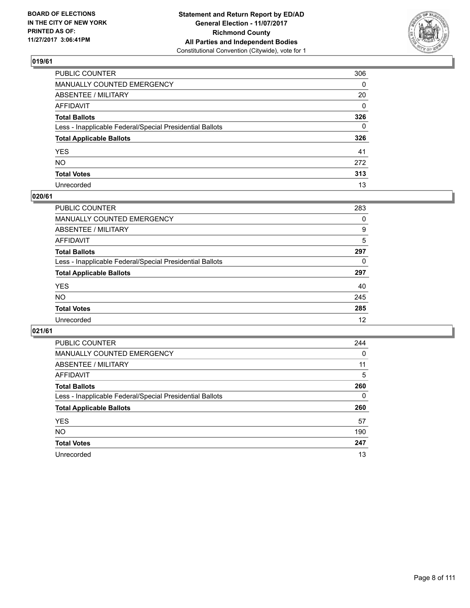

| PUBLIC COUNTER                                           | 306          |
|----------------------------------------------------------|--------------|
| MANUALLY COUNTED EMERGENCY                               | $\mathbf{0}$ |
| ABSENTEE / MILITARY                                      | 20           |
| AFFIDAVIT                                                | $\mathbf{0}$ |
| Total Ballots                                            | 326          |
| Less - Inapplicable Federal/Special Presidential Ballots | $\Omega$     |
| <b>Total Applicable Ballots</b>                          | 326          |
| YES                                                      | 41           |
| NO.                                                      | 272          |
| <b>Total Votes</b>                                       | 313          |
| Unrecorded                                               | 13           |

#### **020/61**

| <b>PUBLIC COUNTER</b>                                    | 283 |
|----------------------------------------------------------|-----|
| <b>MANUALLY COUNTED EMERGENCY</b>                        | 0   |
| ABSENTEE / MILITARY                                      | 9   |
| AFFIDAVIT                                                | 5   |
| <b>Total Ballots</b>                                     | 297 |
| Less - Inapplicable Federal/Special Presidential Ballots | 0   |
| <b>Total Applicable Ballots</b>                          | 297 |
| <b>YES</b>                                               | 40  |
| <b>NO</b>                                                | 245 |
| <b>Total Votes</b>                                       | 285 |
| Unrecorded                                               | 12  |

| <b>PUBLIC COUNTER</b>                                    | 244 |
|----------------------------------------------------------|-----|
| MANUALLY COUNTED EMERGENCY                               | 0   |
| ABSENTEE / MILITARY                                      | 11  |
| AFFIDAVIT                                                | 5   |
| <b>Total Ballots</b>                                     | 260 |
| Less - Inapplicable Federal/Special Presidential Ballots | 0   |
| <b>Total Applicable Ballots</b>                          | 260 |
| <b>YES</b>                                               | 57  |
| NO.                                                      | 190 |
| <b>Total Votes</b>                                       | 247 |
| Unrecorded                                               | 13  |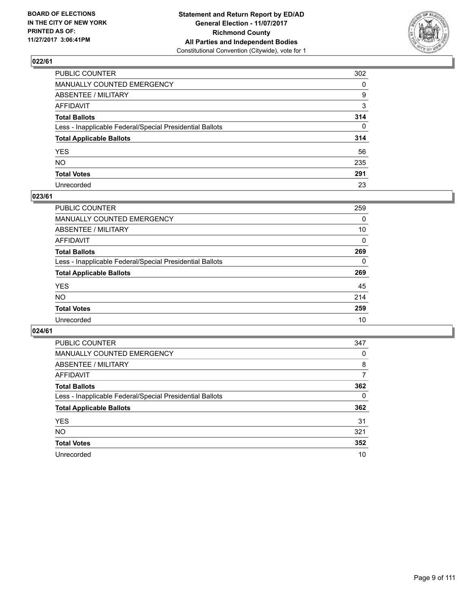

| PUBLIC COUNTER                                           | 302          |
|----------------------------------------------------------|--------------|
| MANUALLY COUNTED EMERGENCY                               | $\Omega$     |
| ABSENTEE / MILITARY                                      | 9            |
| AFFIDAVIT                                                | 3            |
| Total Ballots                                            | 314          |
| Less - Inapplicable Federal/Special Presidential Ballots | $\mathbf{0}$ |
| <b>Total Applicable Ballots</b>                          | 314          |
| YES                                                      | 56           |
| NO.                                                      | 235          |
| <b>Total Votes</b>                                       | 291          |
| Unrecorded                                               | 23           |

#### **023/61**

| <b>PUBLIC COUNTER</b>                                    | 259 |
|----------------------------------------------------------|-----|
| <b>MANUALLY COUNTED EMERGENCY</b>                        | 0   |
| ABSENTEE / MILITARY                                      | 10  |
| AFFIDAVIT                                                | 0   |
| <b>Total Ballots</b>                                     | 269 |
| Less - Inapplicable Federal/Special Presidential Ballots | 0   |
| <b>Total Applicable Ballots</b>                          | 269 |
| <b>YES</b>                                               | 45  |
| <b>NO</b>                                                | 214 |
| <b>Total Votes</b>                                       | 259 |
| Unrecorded                                               | 10  |

| <b>PUBLIC COUNTER</b>                                    | 347 |
|----------------------------------------------------------|-----|
| MANUALLY COUNTED EMERGENCY                               | 0   |
| ABSENTEE / MILITARY                                      | 8   |
| AFFIDAVIT                                                | 7   |
| <b>Total Ballots</b>                                     | 362 |
| Less - Inapplicable Federal/Special Presidential Ballots | 0   |
| <b>Total Applicable Ballots</b>                          | 362 |
| <b>YES</b>                                               | 31  |
| NO.                                                      | 321 |
| <b>Total Votes</b>                                       | 352 |
| Unrecorded                                               | 10  |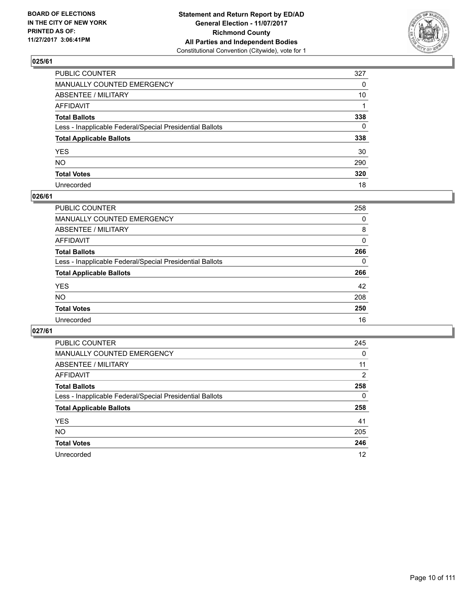

| PUBLIC COUNTER                                           | 327          |
|----------------------------------------------------------|--------------|
| MANUALLY COUNTED EMERGENCY                               | 0            |
| ABSENTEE / MILITARY                                      | 10           |
| AFFIDAVIT                                                |              |
| Total Ballots                                            | 338          |
| Less - Inapplicable Federal/Special Presidential Ballots | $\mathbf{0}$ |
| <b>Total Applicable Ballots</b>                          | 338          |
| YES                                                      | 30           |
| NO.                                                      | 290          |
| <b>Total Votes</b>                                       | 320          |
| Unrecorded                                               | 18           |

#### **026/61**

| <b>PUBLIC COUNTER</b>                                    | 258 |
|----------------------------------------------------------|-----|
| MANUALLY COUNTED EMERGENCY                               | 0   |
| ABSENTEE / MILITARY                                      | 8   |
| AFFIDAVIT                                                | 0   |
| <b>Total Ballots</b>                                     | 266 |
| Less - Inapplicable Federal/Special Presidential Ballots | 0   |
| <b>Total Applicable Ballots</b>                          | 266 |
| <b>YES</b>                                               | 42  |
| <b>NO</b>                                                | 208 |
| <b>Total Votes</b>                                       | 250 |
| Unrecorded                                               | 16  |

| <b>PUBLIC COUNTER</b>                                    | 245 |
|----------------------------------------------------------|-----|
| MANUALLY COUNTED EMERGENCY                               | 0   |
| ABSENTEE / MILITARY                                      | 11  |
| AFFIDAVIT                                                | 2   |
| <b>Total Ballots</b>                                     | 258 |
| Less - Inapplicable Federal/Special Presidential Ballots | 0   |
| <b>Total Applicable Ballots</b>                          | 258 |
| <b>YES</b>                                               | 41  |
| NO.                                                      | 205 |
| <b>Total Votes</b>                                       | 246 |
| Unrecorded                                               | 12  |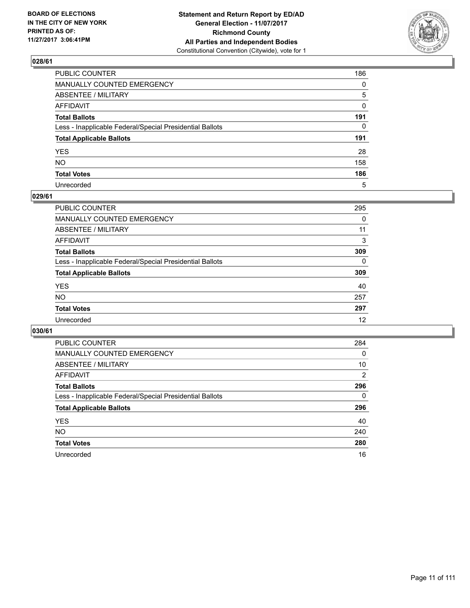

| PUBLIC COUNTER                                           | 186 |
|----------------------------------------------------------|-----|
| MANUALLY COUNTED EMERGENCY                               | 0   |
| ABSENTEE / MILITARY                                      | 5   |
| AFFIDAVIT                                                | 0   |
| Total Ballots                                            | 191 |
| Less - Inapplicable Federal/Special Presidential Ballots | 0   |
| <b>Total Applicable Ballots</b>                          | 191 |
| YES                                                      | 28  |
| NO.                                                      | 158 |
| <b>Total Votes</b>                                       | 186 |
| Unrecorded                                               | 5   |

#### **029/61**

| <b>PUBLIC COUNTER</b>                                    | 295      |
|----------------------------------------------------------|----------|
| <b>MANUALLY COUNTED EMERGENCY</b>                        | 0        |
| ABSENTEE / MILITARY                                      | 11       |
| AFFIDAVIT                                                | 3        |
| <b>Total Ballots</b>                                     | 309      |
| Less - Inapplicable Federal/Special Presidential Ballots | $\Omega$ |
| <b>Total Applicable Ballots</b>                          | 309      |
| <b>YES</b>                                               | 40       |
| <b>NO</b>                                                | 257      |
| <b>Total Votes</b>                                       | 297      |
| Unrecorded                                               | 12       |

| <b>PUBLIC COUNTER</b>                                    | 284            |
|----------------------------------------------------------|----------------|
| MANUALLY COUNTED EMERGENCY                               | 0              |
| ABSENTEE / MILITARY                                      | 10             |
| AFFIDAVIT                                                | $\overline{2}$ |
| <b>Total Ballots</b>                                     | 296            |
| Less - Inapplicable Federal/Special Presidential Ballots | 0              |
| <b>Total Applicable Ballots</b>                          | 296            |
| <b>YES</b>                                               | 40             |
| NO.                                                      | 240            |
| <b>Total Votes</b>                                       | 280            |
| Unrecorded                                               | 16             |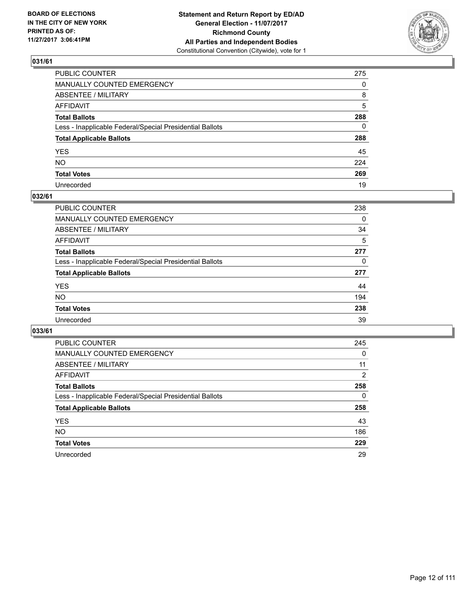

| PUBLIC COUNTER                                           | 275 |
|----------------------------------------------------------|-----|
| MANUALLY COUNTED EMERGENCY                               | 0   |
| ABSENTEE / MILITARY                                      | 8   |
| AFFIDAVIT                                                | 5   |
| Total Ballots                                            | 288 |
| Less - Inapplicable Federal/Special Presidential Ballots | 0   |
| <b>Total Applicable Ballots</b>                          | 288 |
| YES                                                      | 45  |
| NO.                                                      | 224 |
| <b>Total Votes</b>                                       | 269 |
| Unrecorded                                               | 19  |

## **032/61**

| <b>PUBLIC COUNTER</b>                                    | 238 |
|----------------------------------------------------------|-----|
| MANUALLY COUNTED EMERGENCY                               | 0   |
| ABSENTEE / MILITARY                                      | 34  |
| AFFIDAVIT                                                | 5   |
| <b>Total Ballots</b>                                     | 277 |
| Less - Inapplicable Federal/Special Presidential Ballots | 0   |
| <b>Total Applicable Ballots</b>                          | 277 |
| <b>YES</b>                                               | 44  |
| <b>NO</b>                                                | 194 |
| <b>Total Votes</b>                                       | 238 |
| Unrecorded                                               | 39  |

| <b>PUBLIC COUNTER</b>                                    | 245 |
|----------------------------------------------------------|-----|
| MANUALLY COUNTED EMERGENCY                               | 0   |
| ABSENTEE / MILITARY                                      | 11  |
| AFFIDAVIT                                                | 2   |
| <b>Total Ballots</b>                                     | 258 |
| Less - Inapplicable Federal/Special Presidential Ballots | 0   |
| <b>Total Applicable Ballots</b>                          | 258 |
| <b>YES</b>                                               | 43  |
| NO.                                                      | 186 |
| <b>Total Votes</b>                                       | 229 |
| Unrecorded                                               | 29  |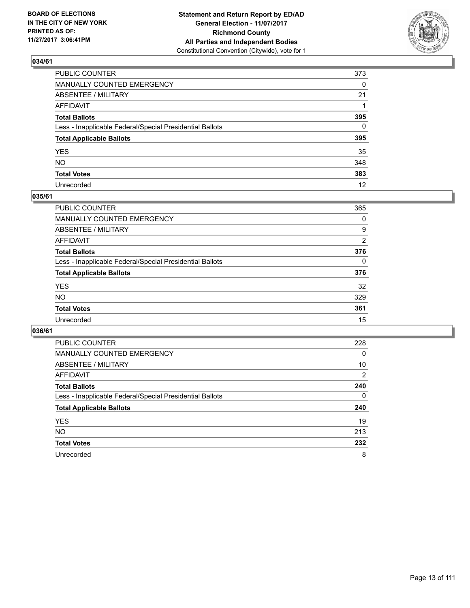

| PUBLIC COUNTER                                           | 373          |
|----------------------------------------------------------|--------------|
| MANUALLY COUNTED EMERGENCY                               | 0            |
| ABSENTEE / MILITARY                                      | 21           |
| AFFIDAVIT                                                |              |
| Total Ballots                                            | 395          |
| Less - Inapplicable Federal/Special Presidential Ballots | $\mathbf{0}$ |
| <b>Total Applicable Ballots</b>                          | 395          |
| YES                                                      | 35           |
| NO.                                                      | 348          |
| <b>Total Votes</b>                                       | 383          |
| Unrecorded                                               | 12           |

#### **035/61**

| <b>PUBLIC COUNTER</b>                                    | 365      |
|----------------------------------------------------------|----------|
| MANUALLY COUNTED EMERGENCY                               | 0        |
| ABSENTEE / MILITARY                                      | 9        |
| AFFIDAVIT                                                | 2        |
| <b>Total Ballots</b>                                     | 376      |
| Less - Inapplicable Federal/Special Presidential Ballots | $\Omega$ |
| <b>Total Applicable Ballots</b>                          | 376      |
| <b>YES</b>                                               | 32       |
| <b>NO</b>                                                | 329      |
| <b>Total Votes</b>                                       | 361      |
| Unrecorded                                               | 15       |

| <b>PUBLIC COUNTER</b>                                    | 228 |
|----------------------------------------------------------|-----|
| MANUALLY COUNTED EMERGENCY                               | 0   |
| ABSENTEE / MILITARY                                      | 10  |
| AFFIDAVIT                                                | 2   |
| <b>Total Ballots</b>                                     | 240 |
| Less - Inapplicable Federal/Special Presidential Ballots | 0   |
| <b>Total Applicable Ballots</b>                          | 240 |
| <b>YES</b>                                               | 19  |
| <b>NO</b>                                                | 213 |
| <b>Total Votes</b>                                       | 232 |
| Unrecorded                                               | 8   |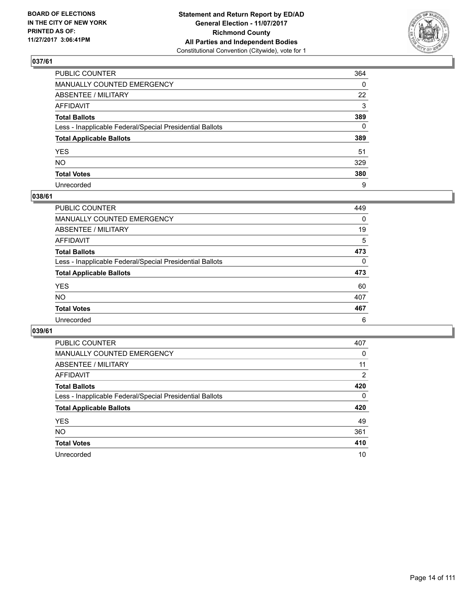

| PUBLIC COUNTER                                           | 364          |
|----------------------------------------------------------|--------------|
| MANUALLY COUNTED EMERGENCY                               | 0            |
| ABSENTEE / MILITARY                                      | 22           |
| AFFIDAVIT                                                | 3            |
| Total Ballots                                            | 389          |
| Less - Inapplicable Federal/Special Presidential Ballots | $\mathbf{0}$ |
| <b>Total Applicable Ballots</b>                          | 389          |
| YES                                                      | 51           |
| NO.                                                      | 329          |
| <b>Total Votes</b>                                       | 380          |
| Unrecorded                                               | 9            |

#### **038/61**

| <b>PUBLIC COUNTER</b>                                    | 449      |
|----------------------------------------------------------|----------|
| <b>MANUALLY COUNTED EMERGENCY</b>                        | 0        |
| ABSENTEE / MILITARY                                      | 19       |
| AFFIDAVIT                                                | 5        |
| <b>Total Ballots</b>                                     | 473      |
| Less - Inapplicable Federal/Special Presidential Ballots | $\Omega$ |
| <b>Total Applicable Ballots</b>                          | 473      |
| <b>YES</b>                                               | 60       |
| <b>NO</b>                                                | 407      |
| <b>Total Votes</b>                                       | 467      |
| Unrecorded                                               | 6        |

| <b>PUBLIC COUNTER</b>                                    | 407 |
|----------------------------------------------------------|-----|
| MANUALLY COUNTED EMERGENCY                               | 0   |
| ABSENTEE / MILITARY                                      | 11  |
| AFFIDAVIT                                                | 2   |
| <b>Total Ballots</b>                                     | 420 |
| Less - Inapplicable Federal/Special Presidential Ballots | 0   |
| <b>Total Applicable Ballots</b>                          | 420 |
| <b>YES</b>                                               | 49  |
| <b>NO</b>                                                | 361 |
| <b>Total Votes</b>                                       | 410 |
| Unrecorded                                               | 10  |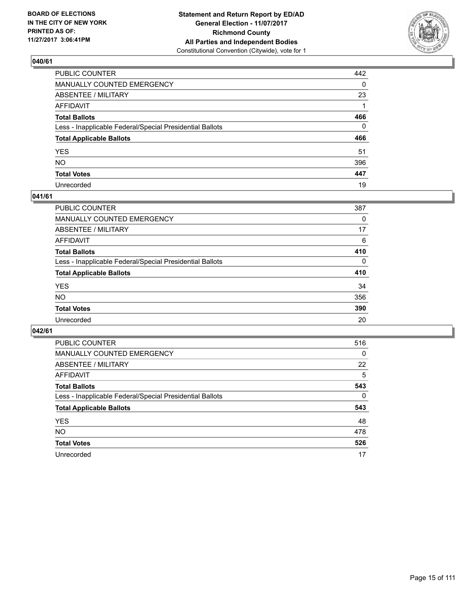

| PUBLIC COUNTER                                           | 442          |
|----------------------------------------------------------|--------------|
| MANUALLY COUNTED EMERGENCY                               | $\Omega$     |
| ABSENTEE / MILITARY                                      | 23           |
| AFFIDAVIT                                                |              |
| Total Ballots                                            | 466          |
| Less - Inapplicable Federal/Special Presidential Ballots | $\mathbf{0}$ |
| <b>Total Applicable Ballots</b>                          | 466          |
| YES                                                      | 51           |
| NO.                                                      | 396          |
| <b>Total Votes</b>                                       | 447          |
| Unrecorded                                               | 19           |

#### **041/61**

| <b>PUBLIC COUNTER</b>                                    | 387          |
|----------------------------------------------------------|--------------|
| MANUALLY COUNTED EMERGENCY                               | 0            |
| ABSENTEE / MILITARY                                      | 17           |
| AFFIDAVIT                                                | 6            |
| <b>Total Ballots</b>                                     | 410          |
| Less - Inapplicable Federal/Special Presidential Ballots | $\mathbf{0}$ |
| <b>Total Applicable Ballots</b>                          | 410          |
| <b>YES</b>                                               | 34           |
| <b>NO</b>                                                | 356          |
| <b>Total Votes</b>                                       | 390          |
| Unrecorded                                               | 20           |

| PUBLIC COUNTER                                           | 516 |
|----------------------------------------------------------|-----|
| <b>MANUALLY COUNTED EMERGENCY</b>                        | 0   |
| ABSENTEE / MILITARY                                      | 22  |
| <b>AFFIDAVIT</b>                                         | 5   |
| <b>Total Ballots</b>                                     | 543 |
| Less - Inapplicable Federal/Special Presidential Ballots | 0   |
| <b>Total Applicable Ballots</b>                          | 543 |
| <b>YES</b>                                               | 48  |
| <b>NO</b>                                                | 478 |
| <b>Total Votes</b>                                       | 526 |
| Unrecorded                                               | 17  |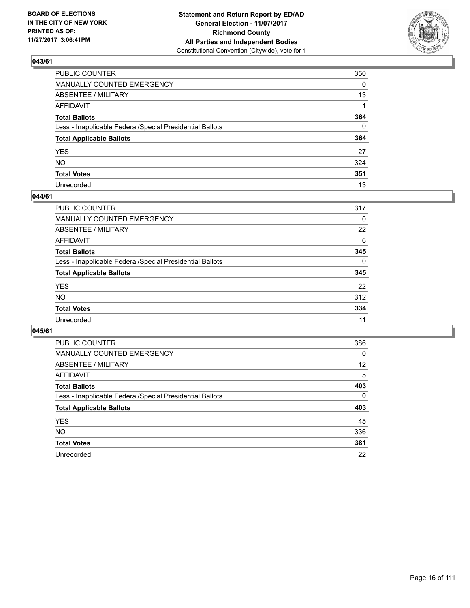

| PUBLIC COUNTER                                           | 350          |
|----------------------------------------------------------|--------------|
| MANUALLY COUNTED EMERGENCY                               | $\Omega$     |
| ABSENTEE / MILITARY                                      | 13           |
| AFFIDAVIT                                                |              |
| Total Ballots                                            | 364          |
| Less - Inapplicable Federal/Special Presidential Ballots | $\mathbf{0}$ |
| <b>Total Applicable Ballots</b>                          | 364          |
| YES                                                      | 27           |
| NO.                                                      | 324          |
| <b>Total Votes</b>                                       | 351          |
| Unrecorded                                               | 13           |

#### **044/61**

| <b>PUBLIC COUNTER</b>                                    | 317      |
|----------------------------------------------------------|----------|
| MANUALLY COUNTED EMERGENCY                               | 0        |
| ABSENTEE / MILITARY                                      | 22       |
| AFFIDAVIT                                                | 6        |
| <b>Total Ballots</b>                                     | 345      |
| Less - Inapplicable Federal/Special Presidential Ballots | $\Omega$ |
| <b>Total Applicable Ballots</b>                          | 345      |
| <b>YES</b>                                               | 22       |
| <b>NO</b>                                                | 312      |
| <b>Total Votes</b>                                       | 334      |
| Unrecorded                                               | 11       |

| <b>PUBLIC COUNTER</b>                                    | 386 |
|----------------------------------------------------------|-----|
| MANUALLY COUNTED EMERGENCY                               | 0   |
| ABSENTEE / MILITARY                                      | 12  |
| AFFIDAVIT                                                | 5   |
| <b>Total Ballots</b>                                     | 403 |
| Less - Inapplicable Federal/Special Presidential Ballots | 0   |
| <b>Total Applicable Ballots</b>                          | 403 |
| <b>YES</b>                                               | 45  |
| NO.                                                      | 336 |
| <b>Total Votes</b>                                       | 381 |
| Unrecorded                                               | 22  |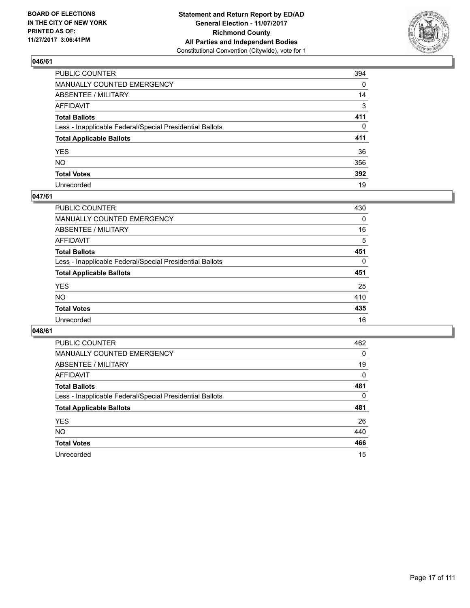

| PUBLIC COUNTER                                           | 394          |
|----------------------------------------------------------|--------------|
| MANUALLY COUNTED EMERGENCY                               | 0            |
| ABSENTEE / MILITARY                                      | 14           |
| AFFIDAVIT                                                | 3            |
| Total Ballots                                            | 411          |
| Less - Inapplicable Federal/Special Presidential Ballots | $\mathbf{0}$ |
| <b>Total Applicable Ballots</b>                          | 411          |
| YES                                                      | 36           |
| NO.                                                      | 356          |
| <b>Total Votes</b>                                       | 392          |
| Unrecorded                                               | 19           |

#### **047/61**

| <b>PUBLIC COUNTER</b>                                    | 430      |
|----------------------------------------------------------|----------|
| MANUALLY COUNTED EMERGENCY                               | 0        |
| ABSENTEE / MILITARY                                      | 16       |
| AFFIDAVIT                                                | 5        |
| <b>Total Ballots</b>                                     | 451      |
| Less - Inapplicable Federal/Special Presidential Ballots | $\Omega$ |
| <b>Total Applicable Ballots</b>                          | 451      |
| <b>YES</b>                                               | 25       |
| <b>NO</b>                                                | 410      |
| <b>Total Votes</b>                                       | 435      |
| Unrecorded                                               | 16       |

| <b>PUBLIC COUNTER</b>                                    | 462 |
|----------------------------------------------------------|-----|
| <b>MANUALLY COUNTED EMERGENCY</b>                        | 0   |
| ABSENTEE / MILITARY                                      | 19  |
| AFFIDAVIT                                                | 0   |
| <b>Total Ballots</b>                                     | 481 |
| Less - Inapplicable Federal/Special Presidential Ballots | 0   |
| <b>Total Applicable Ballots</b>                          | 481 |
| <b>YES</b>                                               | 26  |
| NO.                                                      | 440 |
| <b>Total Votes</b>                                       | 466 |
| Unrecorded                                               | 15  |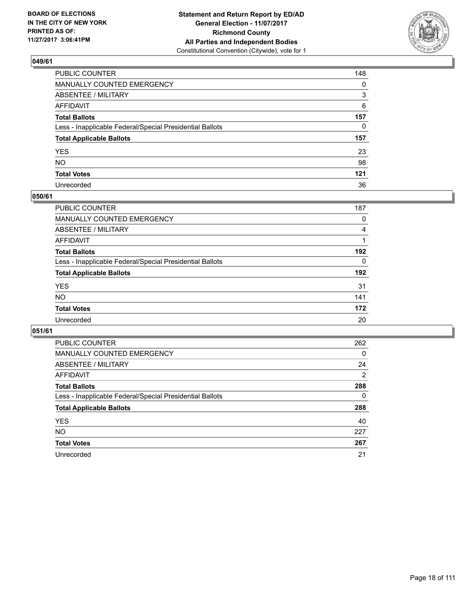

| PUBLIC COUNTER                                           | 148      |
|----------------------------------------------------------|----------|
| MANUALLY COUNTED EMERGENCY                               | $\Omega$ |
| ABSENTEE / MILITARY                                      | 3        |
| AFFIDAVIT                                                | 6        |
| Total Ballots                                            | 157      |
| Less - Inapplicable Federal/Special Presidential Ballots | $\Omega$ |
| <b>Total Applicable Ballots</b>                          | 157      |
| YES                                                      | 23       |
| NO.                                                      | 98       |
| <b>Total Votes</b>                                       | 121      |
| Unrecorded                                               | 36       |

#### **050/61**

| <b>PUBLIC COUNTER</b>                                    | 187 |
|----------------------------------------------------------|-----|
| MANUALLY COUNTED EMERGENCY                               | 0   |
| <b>ABSENTEE / MILITARY</b>                               | 4   |
| AFFIDAVIT                                                |     |
| <b>Total Ballots</b>                                     | 192 |
| Less - Inapplicable Federal/Special Presidential Ballots | 0   |
| <b>Total Applicable Ballots</b>                          | 192 |
| <b>YES</b>                                               | 31  |
| <b>NO</b>                                                | 141 |
| <b>Total Votes</b>                                       | 172 |
| Unrecorded                                               | 20  |

| <b>PUBLIC COUNTER</b>                                    | 262            |
|----------------------------------------------------------|----------------|
| <b>MANUALLY COUNTED EMERGENCY</b>                        | 0              |
| ABSENTEE / MILITARY                                      | 24             |
| <b>AFFIDAVIT</b>                                         | $\overline{2}$ |
| <b>Total Ballots</b>                                     | 288            |
| Less - Inapplicable Federal/Special Presidential Ballots | 0              |
| <b>Total Applicable Ballots</b>                          | 288            |
| <b>YES</b>                                               | 40             |
| <b>NO</b>                                                | 227            |
| <b>Total Votes</b>                                       | 267            |
| Unrecorded                                               | 21             |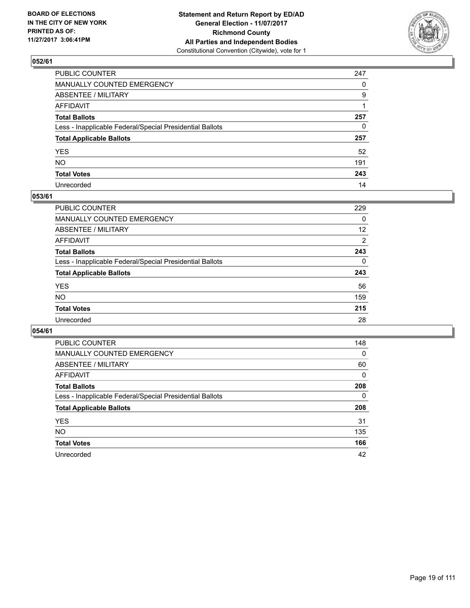

| PUBLIC COUNTER                                           | 247 |
|----------------------------------------------------------|-----|
| MANUALLY COUNTED EMERGENCY                               | 0   |
| ABSENTEE / MILITARY                                      | 9   |
| AFFIDAVIT                                                |     |
| Total Ballots                                            | 257 |
| Less - Inapplicable Federal/Special Presidential Ballots | 0   |
| <b>Total Applicable Ballots</b>                          | 257 |
| YES                                                      | 52  |
| NO.                                                      | 191 |
| <b>Total Votes</b>                                       | 243 |
| Unrecorded                                               | 14  |

#### **053/61**

| <b>PUBLIC COUNTER</b>                                    | 229 |
|----------------------------------------------------------|-----|
| MANUALLY COUNTED EMERGENCY                               | 0   |
| ABSENTEE / MILITARY                                      | 12  |
| AFFIDAVIT                                                | 2   |
| <b>Total Ballots</b>                                     | 243 |
| Less - Inapplicable Federal/Special Presidential Ballots | 0   |
| <b>Total Applicable Ballots</b>                          | 243 |
| <b>YES</b>                                               | 56  |
| <b>NO</b>                                                | 159 |
| <b>Total Votes</b>                                       | 215 |
| Unrecorded                                               | 28  |

| <b>PUBLIC COUNTER</b>                                    | 148      |
|----------------------------------------------------------|----------|
| MANUALLY COUNTED EMERGENCY                               | $\Omega$ |
| ABSENTEE / MILITARY                                      | 60       |
| <b>AFFIDAVIT</b>                                         | 0        |
| <b>Total Ballots</b>                                     | 208      |
| Less - Inapplicable Federal/Special Presidential Ballots | 0        |
| <b>Total Applicable Ballots</b>                          | 208      |
| <b>YES</b>                                               | 31       |
| NO.                                                      | 135      |
| <b>Total Votes</b>                                       | 166      |
| Unrecorded                                               | 42       |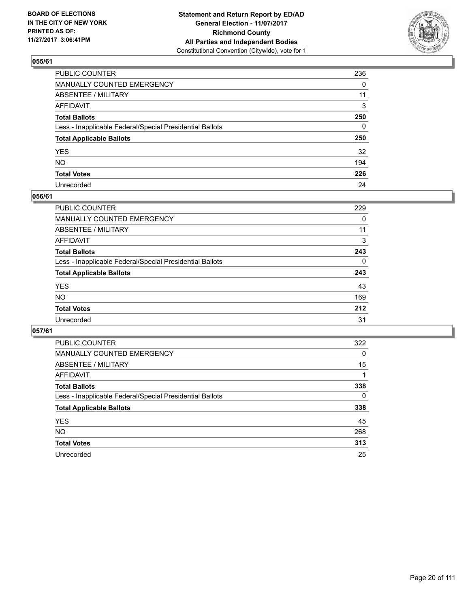

| PUBLIC COUNTER                                           | 236          |
|----------------------------------------------------------|--------------|
| MANUALLY COUNTED EMERGENCY                               | 0            |
| ABSENTEE / MILITARY                                      | 11           |
| AFFIDAVIT                                                | 3            |
| Total Ballots                                            | 250          |
| Less - Inapplicable Federal/Special Presidential Ballots | $\mathbf{0}$ |
| <b>Total Applicable Ballots</b>                          | 250          |
| YES                                                      | 32           |
| NO.                                                      | 194          |
| <b>Total Votes</b>                                       | 226          |
| Unrecorded                                               | 24           |

#### **056/61**

| <b>PUBLIC COUNTER</b>                                    | 229 |
|----------------------------------------------------------|-----|
| <b>MANUALLY COUNTED EMERGENCY</b>                        | 0   |
| <b>ABSENTEE / MILITARY</b>                               | 11  |
| AFFIDAVIT                                                | 3   |
| <b>Total Ballots</b>                                     | 243 |
| Less - Inapplicable Federal/Special Presidential Ballots | 0   |
| <b>Total Applicable Ballots</b>                          | 243 |
| <b>YES</b>                                               | 43  |
| <b>NO</b>                                                | 169 |
| <b>Total Votes</b>                                       | 212 |
| Unrecorded                                               | 31  |

| <b>PUBLIC COUNTER</b>                                    | 322 |
|----------------------------------------------------------|-----|
| MANUALLY COUNTED EMERGENCY                               | 0   |
| ABSENTEE / MILITARY                                      | 15  |
| <b>AFFIDAVIT</b>                                         |     |
| <b>Total Ballots</b>                                     | 338 |
| Less - Inapplicable Federal/Special Presidential Ballots | 0   |
| <b>Total Applicable Ballots</b>                          | 338 |
| <b>YES</b>                                               | 45  |
| NO.                                                      | 268 |
| <b>Total Votes</b>                                       | 313 |
| Unrecorded                                               | 25  |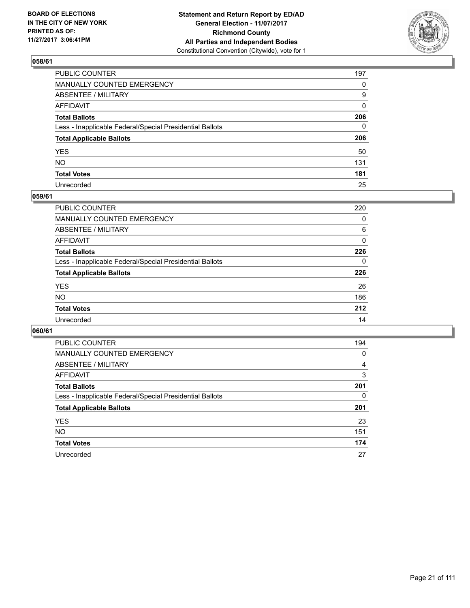

| PUBLIC COUNTER                                           | 197          |
|----------------------------------------------------------|--------------|
| MANUALLY COUNTED EMERGENCY                               | $\Omega$     |
| ABSENTEE / MILITARY                                      | 9            |
| AFFIDAVIT                                                | $\mathbf{0}$ |
| Total Ballots                                            | 206          |
| Less - Inapplicable Federal/Special Presidential Ballots | $\mathbf{0}$ |
| <b>Total Applicable Ballots</b>                          | 206          |
| YES                                                      | 50           |
| NO.                                                      | 131          |
| <b>Total Votes</b>                                       | 181          |
| Unrecorded                                               | 25           |

#### **059/61**

| <b>PUBLIC COUNTER</b>                                    | 220 |
|----------------------------------------------------------|-----|
| <b>MANUALLY COUNTED EMERGENCY</b>                        | 0   |
| <b>ABSENTEE / MILITARY</b>                               | 6   |
| AFFIDAVIT                                                | 0   |
| <b>Total Ballots</b>                                     | 226 |
| Less - Inapplicable Federal/Special Presidential Ballots | 0   |
| <b>Total Applicable Ballots</b>                          | 226 |
| <b>YES</b>                                               | 26  |
| <b>NO</b>                                                | 186 |
| <b>Total Votes</b>                                       | 212 |
| Unrecorded                                               | 14  |

| <b>PUBLIC COUNTER</b>                                    | 194 |
|----------------------------------------------------------|-----|
| MANUALLY COUNTED EMERGENCY                               | 0   |
| ABSENTEE / MILITARY                                      | 4   |
| AFFIDAVIT                                                | 3   |
| <b>Total Ballots</b>                                     | 201 |
| Less - Inapplicable Federal/Special Presidential Ballots | 0   |
| <b>Total Applicable Ballots</b>                          | 201 |
| <b>YES</b>                                               | 23  |
| <b>NO</b>                                                | 151 |
| <b>Total Votes</b>                                       | 174 |
| Unrecorded                                               | 27  |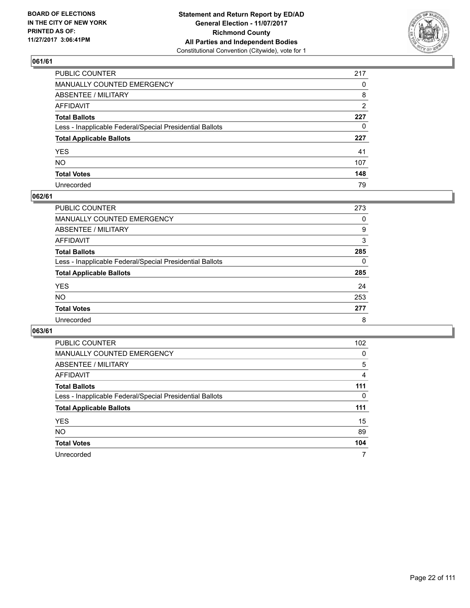

| PUBLIC COUNTER                                           | 217      |
|----------------------------------------------------------|----------|
| MANUALLY COUNTED EMERGENCY                               | $\Omega$ |
| ABSENTEE / MILITARY                                      | 8        |
| AFFIDAVIT                                                | 2        |
| Total Ballots                                            | 227      |
| Less - Inapplicable Federal/Special Presidential Ballots | $\Omega$ |
| <b>Total Applicable Ballots</b>                          | 227      |
| YES                                                      | 41       |
| NO.                                                      | 107      |
| <b>Total Votes</b>                                       | 148      |
| Unrecorded                                               | 79       |

#### **062/61**

| <b>PUBLIC COUNTER</b>                                    | 273 |
|----------------------------------------------------------|-----|
| <b>MANUALLY COUNTED EMERGENCY</b>                        | 0   |
| ABSENTEE / MILITARY                                      | 9   |
| AFFIDAVIT                                                | 3   |
| <b>Total Ballots</b>                                     | 285 |
| Less - Inapplicable Federal/Special Presidential Ballots | 0   |
| <b>Total Applicable Ballots</b>                          | 285 |
| <b>YES</b>                                               | 24  |
| <b>NO</b>                                                | 253 |
| <b>Total Votes</b>                                       | 277 |
| Unrecorded                                               | 8   |

| <b>PUBLIC COUNTER</b>                                    | 102 |
|----------------------------------------------------------|-----|
| MANUALLY COUNTED EMERGENCY                               | 0   |
| ABSENTEE / MILITARY                                      | 5   |
| AFFIDAVIT                                                | 4   |
| <b>Total Ballots</b>                                     | 111 |
| Less - Inapplicable Federal/Special Presidential Ballots | 0   |
| <b>Total Applicable Ballots</b>                          | 111 |
| <b>YES</b>                                               | 15  |
| <b>NO</b>                                                | 89  |
| <b>Total Votes</b>                                       | 104 |
| Unrecorded                                               | 7   |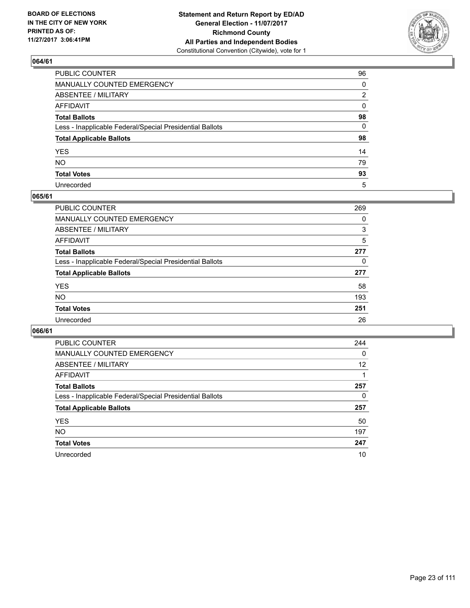

| PUBLIC COUNTER                                           | 96           |
|----------------------------------------------------------|--------------|
| MANUALLY COUNTED EMERGENCY                               | $\Omega$     |
| ABSENTEE / MILITARY                                      | 2            |
| AFFIDAVIT                                                | $\mathbf{0}$ |
| Total Ballots                                            | 98           |
| Less - Inapplicable Federal/Special Presidential Ballots | $\mathbf{0}$ |
| <b>Total Applicable Ballots</b>                          | 98           |
| YES                                                      | 14           |
| NO.                                                      | 79           |
| <b>Total Votes</b>                                       | 93           |
| Unrecorded                                               | 5            |

#### **065/61**

| <b>PUBLIC COUNTER</b>                                    | 269 |
|----------------------------------------------------------|-----|
| MANUALLY COUNTED EMERGENCY                               | 0   |
| ABSENTEE / MILITARY                                      | 3   |
| AFFIDAVIT                                                | 5   |
| <b>Total Ballots</b>                                     | 277 |
| Less - Inapplicable Federal/Special Presidential Ballots | 0   |
| <b>Total Applicable Ballots</b>                          | 277 |
| <b>YES</b>                                               | 58  |
| <b>NO</b>                                                | 193 |
| <b>Total Votes</b>                                       | 251 |
| Unrecorded                                               | 26  |

| <b>PUBLIC COUNTER</b>                                    | 244 |
|----------------------------------------------------------|-----|
| <b>MANUALLY COUNTED EMERGENCY</b>                        | 0   |
| ABSENTEE / MILITARY                                      | 12  |
| AFFIDAVIT                                                |     |
| <b>Total Ballots</b>                                     | 257 |
| Less - Inapplicable Federal/Special Presidential Ballots | 0   |
| <b>Total Applicable Ballots</b>                          | 257 |
| <b>YES</b>                                               | 50  |
| NO.                                                      | 197 |
| <b>Total Votes</b>                                       | 247 |
| Unrecorded                                               | 10  |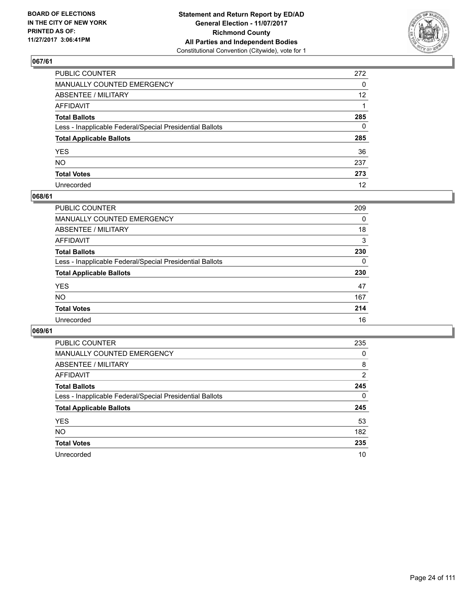

| PUBLIC COUNTER                                           | 272             |
|----------------------------------------------------------|-----------------|
| MANUALLY COUNTED EMERGENCY                               | 0               |
| ABSENTEE / MILITARY                                      | 12 <sup>2</sup> |
| AFFIDAVIT                                                |                 |
| Total Ballots                                            | 285             |
| Less - Inapplicable Federal/Special Presidential Ballots | $\mathbf{0}$    |
| <b>Total Applicable Ballots</b>                          | 285             |
| YES                                                      | 36              |
| NO.                                                      | 237             |
| <b>Total Votes</b>                                       | 273             |
| Unrecorded                                               | 12              |

#### **068/61**

| <b>PUBLIC COUNTER</b>                                    | 209 |
|----------------------------------------------------------|-----|
| <b>MANUALLY COUNTED EMERGENCY</b>                        | 0   |
| ABSENTEE / MILITARY                                      | 18  |
| AFFIDAVIT                                                | 3   |
| <b>Total Ballots</b>                                     | 230 |
| Less - Inapplicable Federal/Special Presidential Ballots | 0   |
| <b>Total Applicable Ballots</b>                          | 230 |
| <b>YES</b>                                               | 47  |
| <b>NO</b>                                                | 167 |
| <b>Total Votes</b>                                       | 214 |
| Unrecorded                                               | 16  |

| <b>PUBLIC COUNTER</b>                                    | 235            |
|----------------------------------------------------------|----------------|
| <b>MANUALLY COUNTED EMERGENCY</b>                        | 0              |
| ABSENTEE / MILITARY                                      | 8              |
| AFFIDAVIT                                                | $\overline{2}$ |
| <b>Total Ballots</b>                                     | 245            |
| Less - Inapplicable Federal/Special Presidential Ballots | 0              |
| <b>Total Applicable Ballots</b>                          | 245            |
| <b>YES</b>                                               | 53             |
| NO.                                                      | 182            |
| <b>Total Votes</b>                                       | 235            |
| Unrecorded                                               | 10             |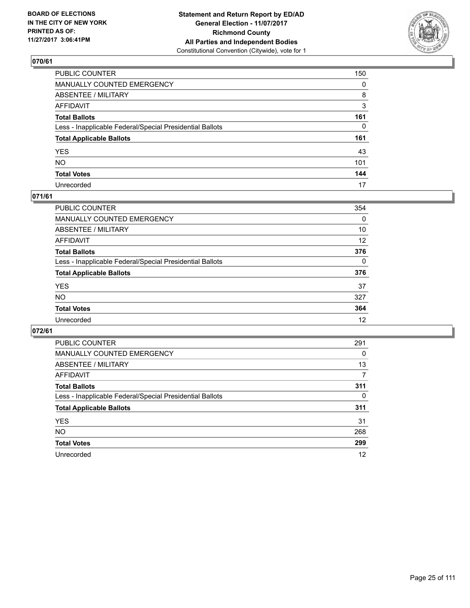

| PUBLIC COUNTER                                           | 150          |
|----------------------------------------------------------|--------------|
| MANUALLY COUNTED EMERGENCY                               | $\Omega$     |
| ABSENTEE / MILITARY                                      | 8            |
| AFFIDAVIT                                                | 3            |
| Total Ballots                                            | 161          |
| Less - Inapplicable Federal/Special Presidential Ballots | $\mathbf{0}$ |
| <b>Total Applicable Ballots</b>                          | 161          |
| YES                                                      | 43           |
| NO.                                                      | 101          |
| <b>Total Votes</b>                                       | 144          |
| Unrecorded                                               | 17           |

#### **071/61**

| <b>PUBLIC COUNTER</b>                                    | 354          |
|----------------------------------------------------------|--------------|
| MANUALLY COUNTED EMERGENCY                               | 0            |
| ABSENTEE / MILITARY                                      | 10           |
| AFFIDAVIT                                                | 12           |
| <b>Total Ballots</b>                                     | 376          |
| Less - Inapplicable Federal/Special Presidential Ballots | $\mathbf{0}$ |
| <b>Total Applicable Ballots</b>                          | 376          |
| <b>YES</b>                                               | 37           |
| <b>NO</b>                                                | 327          |
| <b>Total Votes</b>                                       | 364          |
| Unrecorded                                               | 12           |

| <b>PUBLIC COUNTER</b>                                    | 291 |
|----------------------------------------------------------|-----|
| MANUALLY COUNTED EMERGENCY                               | 0   |
| ABSENTEE / MILITARY                                      | 13  |
| AFFIDAVIT                                                | 7   |
| <b>Total Ballots</b>                                     | 311 |
| Less - Inapplicable Federal/Special Presidential Ballots | 0   |
| <b>Total Applicable Ballots</b>                          | 311 |
| <b>YES</b>                                               | 31  |
| <b>NO</b>                                                | 268 |
| <b>Total Votes</b>                                       | 299 |
| Unrecorded                                               | 12  |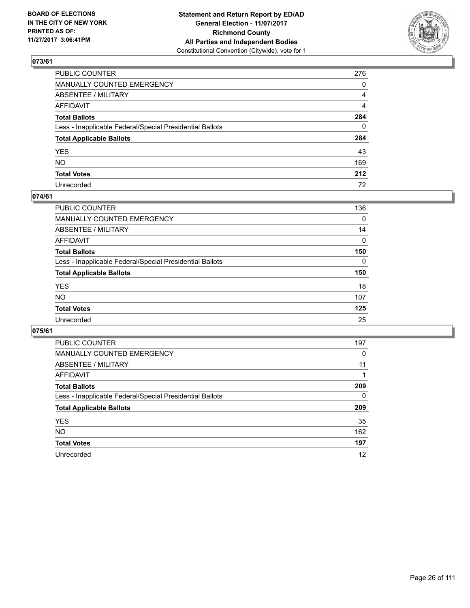

| PUBLIC COUNTER                                           | 276          |
|----------------------------------------------------------|--------------|
| MANUALLY COUNTED EMERGENCY                               | 0            |
| ABSENTEE / MILITARY                                      | 4            |
| AFFIDAVIT                                                | 4            |
| Total Ballots                                            | 284          |
| Less - Inapplicable Federal/Special Presidential Ballots | $\mathbf{0}$ |
| <b>Total Applicable Ballots</b>                          | 284          |
| YES                                                      | 43           |
| NO.                                                      | 169          |
| <b>Total Votes</b>                                       | 212          |
| Unrecorded                                               | 72           |

#### **074/61**

| <b>PUBLIC COUNTER</b>                                    | 136      |
|----------------------------------------------------------|----------|
| <b>MANUALLY COUNTED EMERGENCY</b>                        | $\Omega$ |
| ABSENTEE / MILITARY                                      | 14       |
| AFFIDAVIT                                                | 0        |
| <b>Total Ballots</b>                                     | 150      |
| Less - Inapplicable Federal/Special Presidential Ballots | 0        |
| <b>Total Applicable Ballots</b>                          | 150      |
| <b>YES</b>                                               | 18       |
| <b>NO</b>                                                | 107      |
| <b>Total Votes</b>                                       | 125      |
| Unrecorded                                               | 25       |

| <b>PUBLIC COUNTER</b>                                    | 197 |
|----------------------------------------------------------|-----|
| MANUALLY COUNTED EMERGENCY                               | 0   |
| ABSENTEE / MILITARY                                      | 11  |
| <b>AFFIDAVIT</b>                                         |     |
| <b>Total Ballots</b>                                     | 209 |
| Less - Inapplicable Federal/Special Presidential Ballots | 0   |
| <b>Total Applicable Ballots</b>                          | 209 |
| <b>YES</b>                                               | 35  |
| NO.                                                      | 162 |
| <b>Total Votes</b>                                       | 197 |
| Unrecorded                                               | 12  |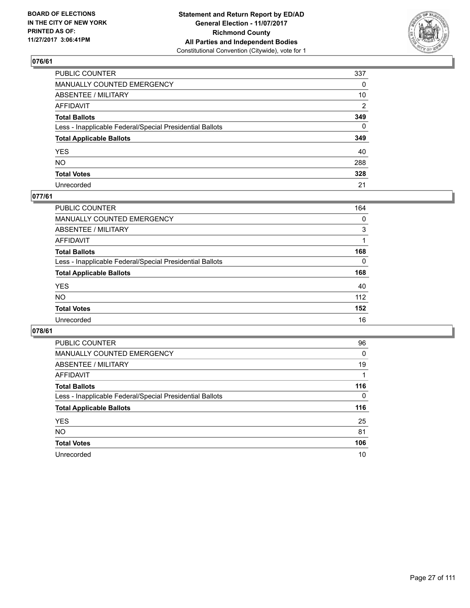

| PUBLIC COUNTER                                           | 337          |
|----------------------------------------------------------|--------------|
| MANUALLY COUNTED EMERGENCY                               | 0            |
| ABSENTEE / MILITARY                                      | 10           |
| AFFIDAVIT                                                | 2            |
| Total Ballots                                            | 349          |
| Less - Inapplicable Federal/Special Presidential Ballots | $\mathbf{0}$ |
| <b>Total Applicable Ballots</b>                          | 349          |
| YES                                                      | 40           |
| NO.                                                      | 288          |
| <b>Total Votes</b>                                       | 328          |
| Unrecorded                                               | 21           |

#### **077/61**

| <b>PUBLIC COUNTER</b>                                    | 164 |
|----------------------------------------------------------|-----|
| MANUALLY COUNTED EMERGENCY                               | 0   |
| ABSENTEE / MILITARY                                      | 3   |
| AFFIDAVIT                                                |     |
| <b>Total Ballots</b>                                     | 168 |
| Less - Inapplicable Federal/Special Presidential Ballots | 0   |
| <b>Total Applicable Ballots</b>                          | 168 |
| <b>YES</b>                                               | 40  |
| <b>NO</b>                                                | 112 |
| <b>Total Votes</b>                                       | 152 |
| Unrecorded                                               | 16  |

| <b>PUBLIC COUNTER</b>                                    | 96  |
|----------------------------------------------------------|-----|
| MANUALLY COUNTED EMERGENCY                               | 0   |
| ABSENTEE / MILITARY                                      | 19  |
| AFFIDAVIT                                                |     |
| <b>Total Ballots</b>                                     | 116 |
| Less - Inapplicable Federal/Special Presidential Ballots | 0   |
| <b>Total Applicable Ballots</b>                          | 116 |
| <b>YES</b>                                               | 25  |
| <b>NO</b>                                                | 81  |
| <b>Total Votes</b>                                       | 106 |
| Unrecorded                                               | 10  |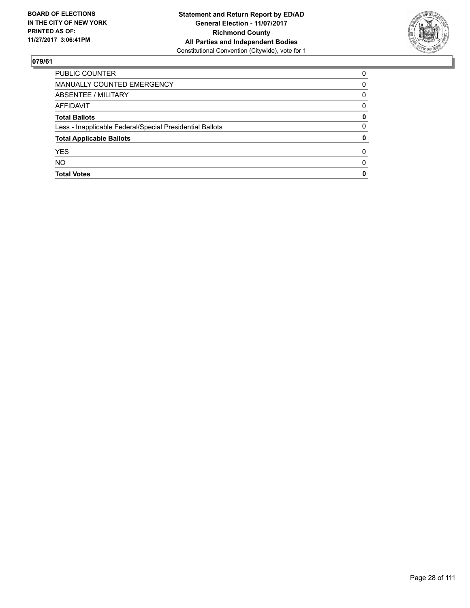

| <b>PUBLIC COUNTER</b>                                    | $\Omega$     |
|----------------------------------------------------------|--------------|
| MANUALLY COUNTED EMERGENCY                               | 0            |
| ABSENTEE / MILITARY                                      | 0            |
| AFFIDAVIT                                                | $\Omega$     |
| <b>Total Ballots</b>                                     | 0            |
| Less - Inapplicable Federal/Special Presidential Ballots | 0            |
| <b>Total Applicable Ballots</b>                          | 0            |
| <b>YES</b>                                               | 0            |
| <b>NO</b>                                                | <sup>0</sup> |
| <b>Total Votes</b>                                       | 0            |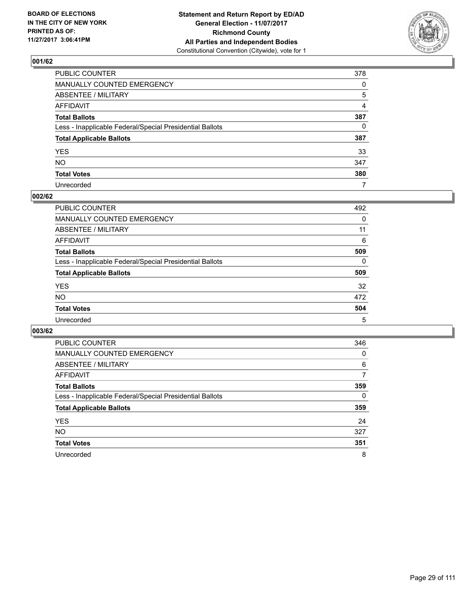

| PUBLIC COUNTER                                           | 378          |
|----------------------------------------------------------|--------------|
| MANUALLY COUNTED EMERGENCY                               | 0            |
| ABSENTEE / MILITARY                                      | 5            |
| AFFIDAVIT                                                | 4            |
| Total Ballots                                            | 387          |
| Less - Inapplicable Federal/Special Presidential Ballots | $\mathbf{0}$ |
| <b>Total Applicable Ballots</b>                          | 387          |
| YES                                                      | 33           |
| NO.                                                      | 347          |
| <b>Total Votes</b>                                       | 380          |
| Unrecorded                                               | 7            |

#### **002/62**

| <b>PUBLIC COUNTER</b>                                    | 492 |
|----------------------------------------------------------|-----|
| <b>MANUALLY COUNTED EMERGENCY</b>                        | 0   |
| ABSENTEE / MILITARY                                      | 11  |
| AFFIDAVIT                                                | 6   |
| <b>Total Ballots</b>                                     | 509 |
| Less - Inapplicable Federal/Special Presidential Ballots | 0   |
| <b>Total Applicable Ballots</b>                          | 509 |
| <b>YES</b>                                               | 32  |
| <b>NO</b>                                                | 472 |
| <b>Total Votes</b>                                       | 504 |
| Unrecorded                                               | 5   |

| <b>PUBLIC COUNTER</b>                                    | 346 |
|----------------------------------------------------------|-----|
| MANUALLY COUNTED EMERGENCY                               | 0   |
| ABSENTEE / MILITARY                                      | 6   |
| <b>AFFIDAVIT</b>                                         | 7   |
| <b>Total Ballots</b>                                     | 359 |
| Less - Inapplicable Federal/Special Presidential Ballots | 0   |
| <b>Total Applicable Ballots</b>                          | 359 |
| <b>YES</b>                                               | 24  |
| NO.                                                      | 327 |
| <b>Total Votes</b>                                       | 351 |
| Unrecorded                                               | 8   |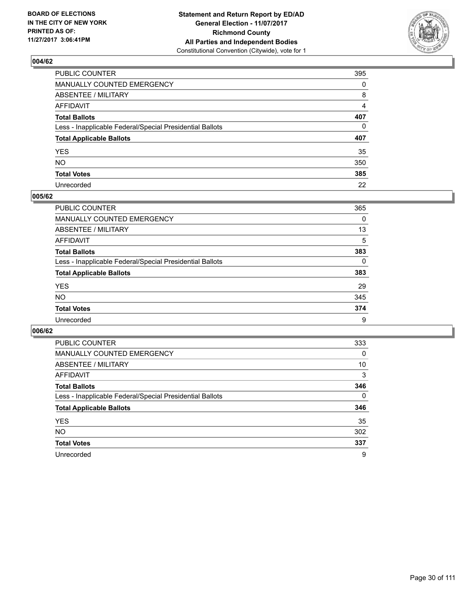

| PUBLIC COUNTER                                           | 395          |
|----------------------------------------------------------|--------------|
| MANUALLY COUNTED EMERGENCY                               | 0            |
| <b>ABSENTEE / MILITARY</b>                               | 8            |
| AFFIDAVIT                                                | 4            |
| Total Ballots                                            | 407          |
| Less - Inapplicable Federal/Special Presidential Ballots | $\mathbf{0}$ |
| <b>Total Applicable Ballots</b>                          | 407          |
| YES                                                      | 35           |
| NO.                                                      | 350          |
| <b>Total Votes</b>                                       | 385          |
| Unrecorded                                               | 22           |

#### **005/62**

| <b>PUBLIC COUNTER</b>                                    | 365 |
|----------------------------------------------------------|-----|
| <b>MANUALLY COUNTED EMERGENCY</b>                        | 0   |
| ABSENTEE / MILITARY                                      | 13  |
| AFFIDAVIT                                                | 5   |
| <b>Total Ballots</b>                                     | 383 |
| Less - Inapplicable Federal/Special Presidential Ballots | 0   |
| <b>Total Applicable Ballots</b>                          | 383 |
| <b>YES</b>                                               | 29  |
| <b>NO</b>                                                | 345 |
| <b>Total Votes</b>                                       | 374 |
| Unrecorded                                               | 9   |

| <b>PUBLIC COUNTER</b>                                    | 333 |
|----------------------------------------------------------|-----|
| MANUALLY COUNTED EMERGENCY                               | 0   |
| ABSENTEE / MILITARY                                      | 10  |
| AFFIDAVIT                                                | 3   |
| <b>Total Ballots</b>                                     | 346 |
| Less - Inapplicable Federal/Special Presidential Ballots | 0   |
| <b>Total Applicable Ballots</b>                          | 346 |
| <b>YES</b>                                               | 35  |
| <b>NO</b>                                                | 302 |
| <b>Total Votes</b>                                       | 337 |
| Unrecorded                                               | 9   |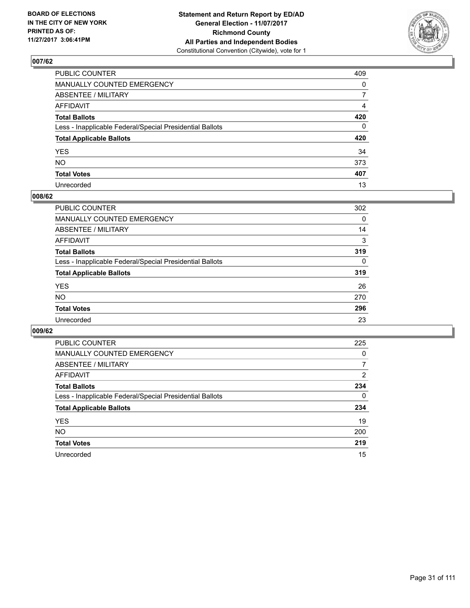

| PUBLIC COUNTER                                           | 409            |
|----------------------------------------------------------|----------------|
| MANUALLY COUNTED EMERGENCY                               | $\mathbf{0}$   |
| ABSENTEE / MILITARY                                      | $\overline{7}$ |
| AFFIDAVIT                                                | 4              |
| Total Ballots                                            | 420            |
| Less - Inapplicable Federal/Special Presidential Ballots | $\mathbf{0}$   |
| <b>Total Applicable Ballots</b>                          | 420            |
| YES                                                      | 34             |
| NO.                                                      | 373            |
| <b>Total Votes</b>                                       | 407            |
| Unrecorded                                               | 13             |

#### **008/62**

| <b>PUBLIC COUNTER</b>                                    | 302      |
|----------------------------------------------------------|----------|
| <b>MANUALLY COUNTED EMERGENCY</b>                        | 0        |
| <b>ABSENTEE / MILITARY</b>                               | 14       |
| AFFIDAVIT                                                | 3        |
| <b>Total Ballots</b>                                     | 319      |
| Less - Inapplicable Federal/Special Presidential Ballots | $\Omega$ |
| <b>Total Applicable Ballots</b>                          | 319      |
| <b>YES</b>                                               | 26       |
| <b>NO</b>                                                | 270      |
| <b>Total Votes</b>                                       | 296      |
| Unrecorded                                               | 23       |

| <b>PUBLIC COUNTER</b>                                    | 225 |
|----------------------------------------------------------|-----|
| <b>MANUALLY COUNTED EMERGENCY</b>                        | 0   |
| ABSENTEE / MILITARY                                      | 7   |
| AFFIDAVIT                                                | 2   |
| <b>Total Ballots</b>                                     | 234 |
| Less - Inapplicable Federal/Special Presidential Ballots | 0   |
| <b>Total Applicable Ballots</b>                          | 234 |
| <b>YES</b>                                               | 19  |
| <b>NO</b>                                                | 200 |
| <b>Total Votes</b>                                       | 219 |
| Unrecorded                                               | 15  |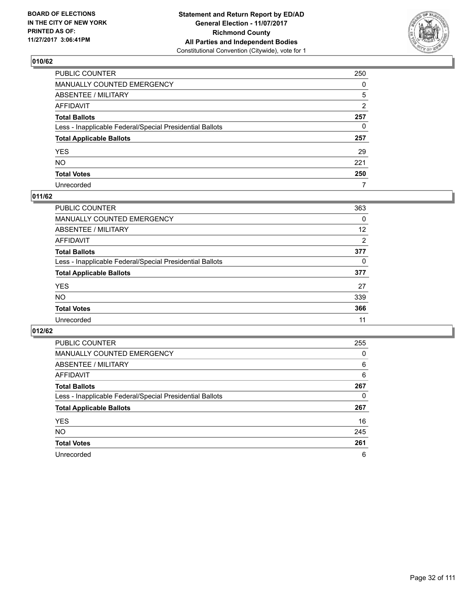

| PUBLIC COUNTER                                           | 250      |
|----------------------------------------------------------|----------|
| MANUALLY COUNTED EMERGENCY                               | $\Omega$ |
| ABSENTEE / MILITARY                                      | 5        |
| AFFIDAVIT                                                | 2        |
| Total Ballots                                            | 257      |
| Less - Inapplicable Federal/Special Presidential Ballots | 0        |
| <b>Total Applicable Ballots</b>                          | 257      |
| YES                                                      | 29       |
| NO.                                                      | 221      |
| <b>Total Votes</b>                                       | 250      |
| Unrecorded                                               | 7        |

#### **011/62**

| <b>PUBLIC COUNTER</b>                                    | 363 |
|----------------------------------------------------------|-----|
| MANUALLY COUNTED EMERGENCY                               | 0   |
| ABSENTEE / MILITARY                                      | 12  |
| AFFIDAVIT                                                | 2   |
| <b>Total Ballots</b>                                     | 377 |
| Less - Inapplicable Federal/Special Presidential Ballots | 0   |
| <b>Total Applicable Ballots</b>                          | 377 |
| <b>YES</b>                                               | 27  |
| <b>NO</b>                                                | 339 |
| <b>Total Votes</b>                                       | 366 |
| Unrecorded                                               | 11  |

| <b>PUBLIC COUNTER</b>                                    | 255 |
|----------------------------------------------------------|-----|
| MANUALLY COUNTED EMERGENCY                               | 0   |
| ABSENTEE / MILITARY                                      | 6   |
| <b>AFFIDAVIT</b>                                         | 6   |
| <b>Total Ballots</b>                                     | 267 |
| Less - Inapplicable Federal/Special Presidential Ballots | 0   |
| <b>Total Applicable Ballots</b>                          | 267 |
| <b>YES</b>                                               | 16  |
| NO.                                                      | 245 |
| <b>Total Votes</b>                                       | 261 |
| Unrecorded                                               | 6   |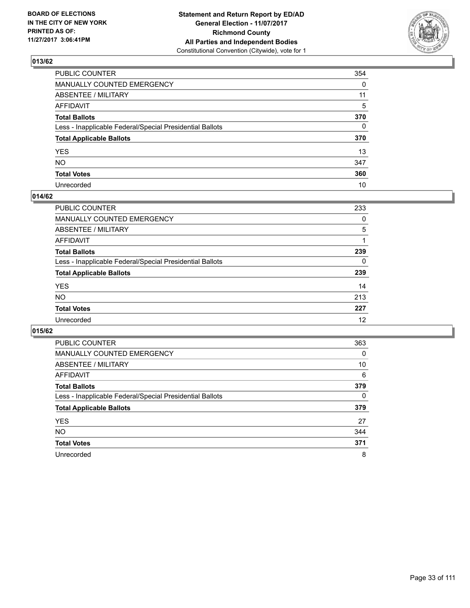

| PUBLIC COUNTER                                           | 354      |
|----------------------------------------------------------|----------|
| MANUALLY COUNTED EMERGENCY                               | 0        |
| <b>ABSENTEE / MILITARY</b>                               | 11       |
| AFFIDAVIT                                                | 5        |
| Total Ballots                                            | 370      |
| Less - Inapplicable Federal/Special Presidential Ballots | $\Omega$ |
| <b>Total Applicable Ballots</b>                          | 370      |
| YES                                                      | 13       |
| NO.                                                      | 347      |
| <b>Total Votes</b>                                       | 360      |
| Unrecorded                                               | 10       |

#### **014/62**

| <b>PUBLIC COUNTER</b>                                    | 233 |
|----------------------------------------------------------|-----|
| MANUALLY COUNTED EMERGENCY                               | 0   |
| ABSENTEE / MILITARY                                      | 5   |
| AFFIDAVIT                                                |     |
| <b>Total Ballots</b>                                     | 239 |
| Less - Inapplicable Federal/Special Presidential Ballots | 0   |
| <b>Total Applicable Ballots</b>                          | 239 |
| <b>YES</b>                                               | 14  |
| <b>NO</b>                                                | 213 |
| <b>Total Votes</b>                                       | 227 |
| Unrecorded                                               | 12  |

| <b>PUBLIC COUNTER</b>                                    | 363 |
|----------------------------------------------------------|-----|
| MANUALLY COUNTED EMERGENCY                               | 0   |
| ABSENTEE / MILITARY                                      | 10  |
| AFFIDAVIT                                                | 6   |
| <b>Total Ballots</b>                                     | 379 |
| Less - Inapplicable Federal/Special Presidential Ballots | 0   |
| <b>Total Applicable Ballots</b>                          | 379 |
| <b>YES</b>                                               | 27  |
| NO.                                                      | 344 |
| <b>Total Votes</b>                                       | 371 |
| Unrecorded                                               | 8   |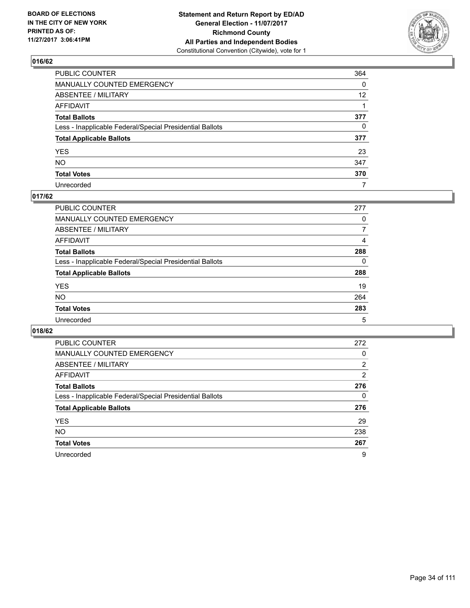

| PUBLIC COUNTER                                           | 364          |
|----------------------------------------------------------|--------------|
| MANUALLY COUNTED EMERGENCY                               | 0            |
| <b>ABSENTEE / MILITARY</b>                               | 12           |
| AFFIDAVIT                                                |              |
| Total Ballots                                            | 377          |
| Less - Inapplicable Federal/Special Presidential Ballots | $\mathbf{0}$ |
| <b>Total Applicable Ballots</b>                          | 377          |
| YES                                                      | 23           |
| NO.                                                      | 347          |
| <b>Total Votes</b>                                       | 370          |
| Unrecorded                                               | 7            |

#### **017/62**

| <b>PUBLIC COUNTER</b>                                    | 277 |
|----------------------------------------------------------|-----|
| <b>MANUALLY COUNTED EMERGENCY</b>                        | 0   |
| ABSENTEE / MILITARY                                      |     |
| AFFIDAVIT                                                | 4   |
| <b>Total Ballots</b>                                     | 288 |
| Less - Inapplicable Federal/Special Presidential Ballots | 0   |
| <b>Total Applicable Ballots</b>                          | 288 |
| <b>YES</b>                                               | 19  |
| <b>NO</b>                                                | 264 |
| <b>Total Votes</b>                                       | 283 |
| Unrecorded                                               | 5   |

| <b>PUBLIC COUNTER</b>                                    | 272            |
|----------------------------------------------------------|----------------|
| MANUALLY COUNTED EMERGENCY                               | 0              |
| ABSENTEE / MILITARY                                      | $\overline{2}$ |
| AFFIDAVIT                                                | 2              |
| <b>Total Ballots</b>                                     | 276            |
| Less - Inapplicable Federal/Special Presidential Ballots | 0              |
| <b>Total Applicable Ballots</b>                          | 276            |
| <b>YES</b>                                               | 29             |
| <b>NO</b>                                                | 238            |
| <b>Total Votes</b>                                       | 267            |
| Unrecorded                                               | 9              |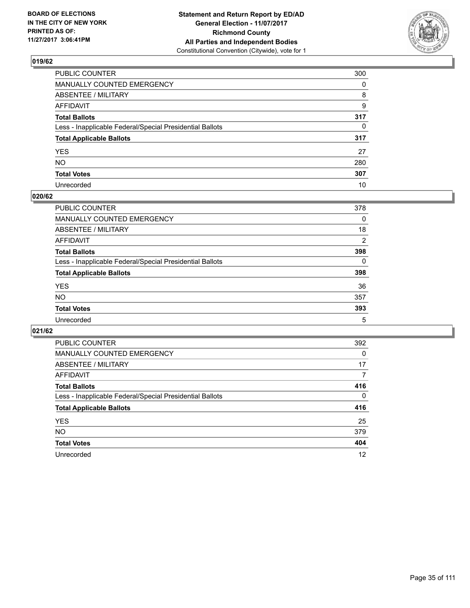

| PUBLIC COUNTER                                           | 300          |
|----------------------------------------------------------|--------------|
| MANUALLY COUNTED EMERGENCY                               | $\Omega$     |
| ABSENTEE / MILITARY                                      | 8            |
| AFFIDAVIT                                                | 9            |
| Total Ballots                                            | 317          |
| Less - Inapplicable Federal/Special Presidential Ballots | $\mathbf{0}$ |
| <b>Total Applicable Ballots</b>                          | 317          |
| YES                                                      | 27           |
| NO.                                                      | 280          |
| <b>Total Votes</b>                                       | 307          |
| Unrecorded                                               | 10           |

#### **020/62**

| <b>PUBLIC COUNTER</b>                                    | 378            |
|----------------------------------------------------------|----------------|
| <b>MANUALLY COUNTED EMERGENCY</b>                        | 0              |
| ABSENTEE / MILITARY                                      | 18             |
| AFFIDAVIT                                                | $\overline{2}$ |
| <b>Total Ballots</b>                                     | 398            |
| Less - Inapplicable Federal/Special Presidential Ballots | 0              |
| <b>Total Applicable Ballots</b>                          | 398            |
| <b>YES</b>                                               | 36             |
| <b>NO</b>                                                | 357            |
| <b>Total Votes</b>                                       | 393            |
| Unrecorded                                               | 5              |

| <b>PUBLIC COUNTER</b>                                    | 392      |
|----------------------------------------------------------|----------|
| MANUALLY COUNTED EMERGENCY                               | 0        |
| ABSENTEE / MILITARY                                      | 17       |
| AFFIDAVIT                                                | 7        |
| <b>Total Ballots</b>                                     | 416      |
| Less - Inapplicable Federal/Special Presidential Ballots | $\Omega$ |
| <b>Total Applicable Ballots</b>                          | 416      |
| <b>YES</b>                                               | 25       |
| NO.                                                      | 379      |
| <b>Total Votes</b>                                       | 404      |
| Unrecorded                                               | 12       |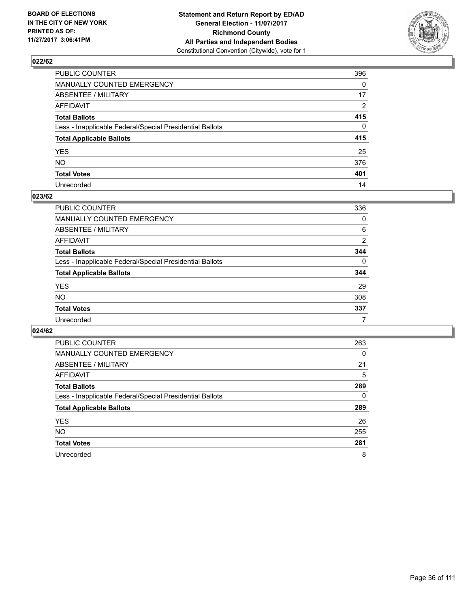

| PUBLIC COUNTER                                           | 396      |
|----------------------------------------------------------|----------|
| MANUALLY COUNTED EMERGENCY                               | 0        |
| ABSENTEE / MILITARY                                      | 17       |
| AFFIDAVIT                                                | 2        |
| Total Ballots                                            | 415      |
| Less - Inapplicable Federal/Special Presidential Ballots | $\Omega$ |
| <b>Total Applicable Ballots</b>                          | 415      |
| YES                                                      | 25       |
| NO.                                                      | 376      |
| <b>Total Votes</b>                                       | 401      |
| Unrecorded                                               | 14       |

#### **023/62**

| <b>PUBLIC COUNTER</b>                                    | 336      |
|----------------------------------------------------------|----------|
| <b>MANUALLY COUNTED EMERGENCY</b>                        | 0        |
| ABSENTEE / MILITARY                                      | 6        |
| AFFIDAVIT                                                | 2        |
| <b>Total Ballots</b>                                     | 344      |
| Less - Inapplicable Federal/Special Presidential Ballots | $\Omega$ |
| <b>Total Applicable Ballots</b>                          | 344      |
| <b>YES</b>                                               | 29       |
| <b>NO</b>                                                | 308      |
| <b>Total Votes</b>                                       | 337      |
| Unrecorded                                               |          |

| <b>PUBLIC COUNTER</b>                                    | 263 |
|----------------------------------------------------------|-----|
| MANUALLY COUNTED EMERGENCY                               | 0   |
| ABSENTEE / MILITARY                                      | 21  |
| AFFIDAVIT                                                | 5   |
| <b>Total Ballots</b>                                     | 289 |
| Less - Inapplicable Federal/Special Presidential Ballots | 0   |
| <b>Total Applicable Ballots</b>                          | 289 |
| <b>YES</b>                                               | 26  |
| NO.                                                      | 255 |
| <b>Total Votes</b>                                       | 281 |
| Unrecorded                                               | 8   |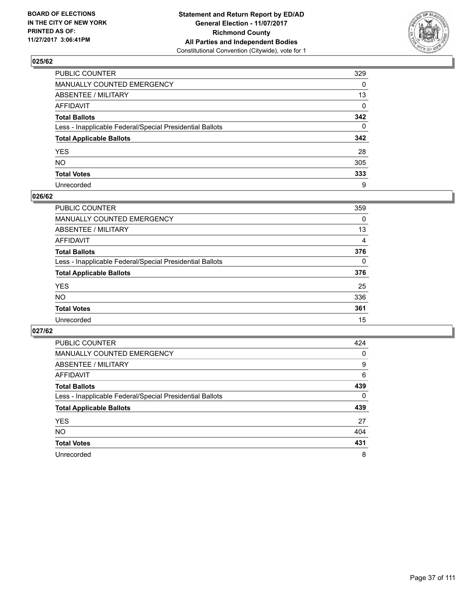

| PUBLIC COUNTER                                           | 329          |
|----------------------------------------------------------|--------------|
| MANUALLY COUNTED EMERGENCY                               | 0            |
| ABSENTEE / MILITARY                                      | 13           |
| AFFIDAVIT                                                | $\Omega$     |
| Total Ballots                                            | 342          |
| Less - Inapplicable Federal/Special Presidential Ballots | $\mathbf{0}$ |
| <b>Total Applicable Ballots</b>                          | 342          |
| YES                                                      | 28           |
| NO.                                                      | 305          |
| <b>Total Votes</b>                                       | 333          |
| Unrecorded                                               | 9            |

#### **026/62**

| <b>PUBLIC COUNTER</b>                                    | 359          |
|----------------------------------------------------------|--------------|
| <b>MANUALLY COUNTED EMERGENCY</b>                        | 0            |
| ABSENTEE / MILITARY                                      | 13           |
| AFFIDAVIT                                                | 4            |
| <b>Total Ballots</b>                                     | 376          |
| Less - Inapplicable Federal/Special Presidential Ballots | $\mathbf{0}$ |
| <b>Total Applicable Ballots</b>                          | 376          |
| <b>YES</b>                                               | 25           |
| <b>NO</b>                                                | 336          |
| <b>Total Votes</b>                                       | 361          |
| Unrecorded                                               | 15           |

| <b>PUBLIC COUNTER</b>                                    | 424 |
|----------------------------------------------------------|-----|
| MANUALLY COUNTED EMERGENCY                               | 0   |
| ABSENTEE / MILITARY                                      | 9   |
| AFFIDAVIT                                                | 6   |
| <b>Total Ballots</b>                                     | 439 |
| Less - Inapplicable Federal/Special Presidential Ballots | 0   |
| <b>Total Applicable Ballots</b>                          | 439 |
| <b>YES</b>                                               | 27  |
| NO.                                                      | 404 |
| <b>Total Votes</b>                                       | 431 |
| Unrecorded                                               | 8   |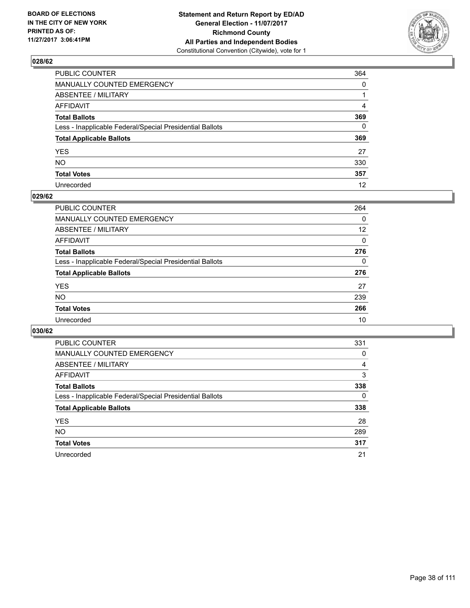

| PUBLIC COUNTER                                           | 364      |
|----------------------------------------------------------|----------|
| MANUALLY COUNTED EMERGENCY                               | 0        |
| <b>ABSENTEE / MILITARY</b>                               |          |
| AFFIDAVIT                                                | 4        |
| Total Ballots                                            | 369      |
| Less - Inapplicable Federal/Special Presidential Ballots | $\Omega$ |
| <b>Total Applicable Ballots</b>                          | 369      |
| YES                                                      | 27       |
| NO.                                                      | 330      |
| <b>Total Votes</b>                                       | 357      |
| Unrecorded                                               | 12       |

#### **029/62**

| <b>PUBLIC COUNTER</b>                                    | 264      |
|----------------------------------------------------------|----------|
| <b>MANUALLY COUNTED EMERGENCY</b>                        | 0        |
| <b>ABSENTEE / MILITARY</b>                               | 12       |
| AFFIDAVIT                                                | 0        |
| <b>Total Ballots</b>                                     | 276      |
| Less - Inapplicable Federal/Special Presidential Ballots | $\Omega$ |
| <b>Total Applicable Ballots</b>                          | 276      |
| <b>YES</b>                                               | 27       |
| <b>NO</b>                                                | 239      |
| <b>Total Votes</b>                                       | 266      |
| Unrecorded                                               | 10       |

| <b>PUBLIC COUNTER</b>                                    | 331 |
|----------------------------------------------------------|-----|
| MANUALLY COUNTED EMERGENCY                               | 0   |
| ABSENTEE / MILITARY                                      | 4   |
| AFFIDAVIT                                                | 3   |
| <b>Total Ballots</b>                                     | 338 |
| Less - Inapplicable Federal/Special Presidential Ballots | 0   |
| <b>Total Applicable Ballots</b>                          | 338 |
| <b>YES</b>                                               | 28  |
| NO.                                                      | 289 |
| <b>Total Votes</b>                                       | 317 |
| Unrecorded                                               | 21  |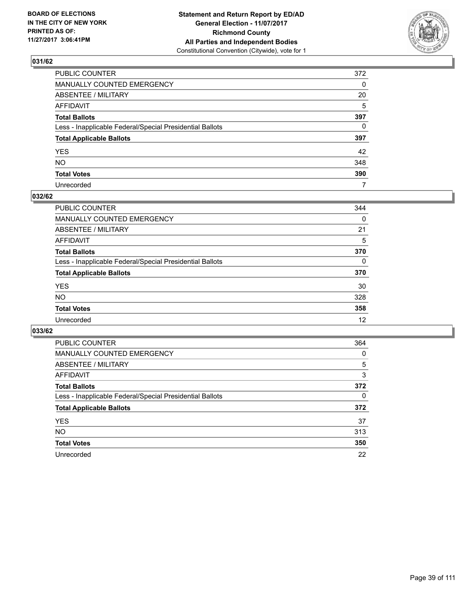

| PUBLIC COUNTER                                           | 372          |
|----------------------------------------------------------|--------------|
| MANUALLY COUNTED EMERGENCY                               | 0            |
| <b>ABSENTEE / MILITARY</b>                               | 20           |
| AFFIDAVIT                                                | 5            |
| Total Ballots                                            | 397          |
| Less - Inapplicable Federal/Special Presidential Ballots | $\mathbf{0}$ |
| <b>Total Applicable Ballots</b>                          | 397          |
| YES                                                      | 42           |
| NO.                                                      | 348          |
| <b>Total Votes</b>                                       | 390          |
| Unrecorded                                               | 7            |

## **032/62**

| <b>PUBLIC COUNTER</b>                                    | 344      |
|----------------------------------------------------------|----------|
| <b>MANUALLY COUNTED EMERGENCY</b>                        | 0        |
| ABSENTEE / MILITARY                                      | 21       |
| AFFIDAVIT                                                | 5        |
| <b>Total Ballots</b>                                     | 370      |
| Less - Inapplicable Federal/Special Presidential Ballots | $\Omega$ |
| <b>Total Applicable Ballots</b>                          | 370      |
| <b>YES</b>                                               | 30       |
| <b>NO</b>                                                | 328      |
| <b>Total Votes</b>                                       | 358      |
| Unrecorded                                               | 12       |

| <b>PUBLIC COUNTER</b>                                    | 364 |
|----------------------------------------------------------|-----|
| MANUALLY COUNTED EMERGENCY                               | 0   |
| ABSENTEE / MILITARY                                      | 5   |
| AFFIDAVIT                                                | 3   |
| <b>Total Ballots</b>                                     | 372 |
| Less - Inapplicable Federal/Special Presidential Ballots | 0   |
| <b>Total Applicable Ballots</b>                          | 372 |
| <b>YES</b>                                               | 37  |
| NO.                                                      | 313 |
| <b>Total Votes</b>                                       | 350 |
| Unrecorded                                               | 22  |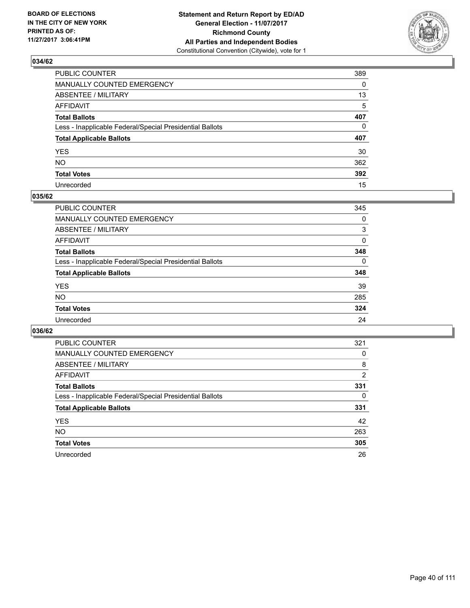

| PUBLIC COUNTER                                           | 389 |
|----------------------------------------------------------|-----|
| MANUALLY COUNTED EMERGENCY                               | 0   |
| ABSENTEE / MILITARY                                      | 13  |
| AFFIDAVIT                                                | 5   |
| Total Ballots                                            | 407 |
| Less - Inapplicable Federal/Special Presidential Ballots | 0   |
| <b>Total Applicable Ballots</b>                          | 407 |
| YES                                                      | 30  |
| NO.                                                      | 362 |
| <b>Total Votes</b>                                       | 392 |
| Unrecorded                                               | 15  |

#### **035/62**

| <b>PUBLIC COUNTER</b>                                    | 345      |
|----------------------------------------------------------|----------|
| <b>MANUALLY COUNTED EMERGENCY</b>                        | 0        |
| ABSENTEE / MILITARY                                      | 3        |
| AFFIDAVIT                                                | 0        |
| <b>Total Ballots</b>                                     | 348      |
| Less - Inapplicable Federal/Special Presidential Ballots | $\Omega$ |
| <b>Total Applicable Ballots</b>                          | 348      |
| <b>YES</b>                                               | 39       |
| <b>NO</b>                                                | 285      |
| <b>Total Votes</b>                                       | 324      |
| Unrecorded                                               | 24       |

| <b>PUBLIC COUNTER</b>                                    | 321 |
|----------------------------------------------------------|-----|
| MANUALLY COUNTED EMERGENCY                               | 0   |
| ABSENTEE / MILITARY                                      | 8   |
| AFFIDAVIT                                                | 2   |
| <b>Total Ballots</b>                                     | 331 |
| Less - Inapplicable Federal/Special Presidential Ballots | 0   |
| <b>Total Applicable Ballots</b>                          | 331 |
| <b>YES</b>                                               | 42  |
| NO.                                                      | 263 |
| <b>Total Votes</b>                                       | 305 |
| Unrecorded                                               | 26  |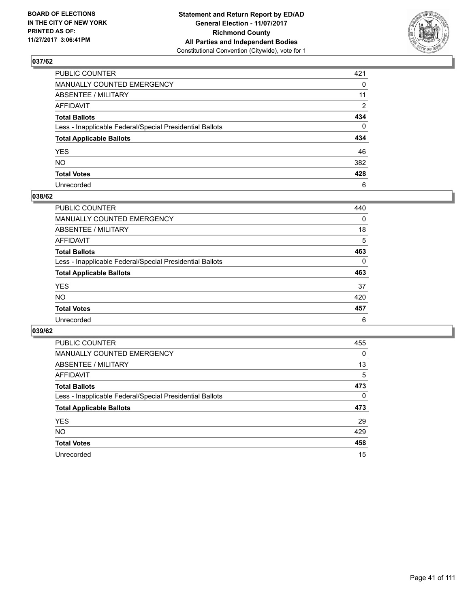

| PUBLIC COUNTER                                           | 421          |
|----------------------------------------------------------|--------------|
| MANUALLY COUNTED EMERGENCY                               | 0            |
| ABSENTEE / MILITARY                                      | 11           |
| AFFIDAVIT                                                | 2            |
| Total Ballots                                            | 434          |
| Less - Inapplicable Federal/Special Presidential Ballots | $\mathbf{0}$ |
| <b>Total Applicable Ballots</b>                          | 434          |
| YES                                                      | 46           |
| NO.                                                      | 382          |
| <b>Total Votes</b>                                       | 428          |
| Unrecorded                                               | 6            |

#### **038/62**

| <b>PUBLIC COUNTER</b>                                    | 440 |
|----------------------------------------------------------|-----|
| <b>MANUALLY COUNTED EMERGENCY</b>                        | 0   |
| ABSENTEE / MILITARY                                      | 18  |
| AFFIDAVIT                                                | 5   |
| <b>Total Ballots</b>                                     | 463 |
| Less - Inapplicable Federal/Special Presidential Ballots | 0   |
| <b>Total Applicable Ballots</b>                          | 463 |
| <b>YES</b>                                               | 37  |
| <b>NO</b>                                                | 420 |
| <b>Total Votes</b>                                       | 457 |
| Unrecorded                                               | 6   |

| <b>PUBLIC COUNTER</b>                                    | 455 |
|----------------------------------------------------------|-----|
| MANUALLY COUNTED EMERGENCY                               | 0   |
| ABSENTEE / MILITARY                                      | 13  |
| AFFIDAVIT                                                | 5   |
| <b>Total Ballots</b>                                     | 473 |
| Less - Inapplicable Federal/Special Presidential Ballots | 0   |
| <b>Total Applicable Ballots</b>                          | 473 |
| <b>YES</b>                                               | 29  |
| <b>NO</b>                                                | 429 |
| <b>Total Votes</b>                                       | 458 |
| Unrecorded                                               | 15  |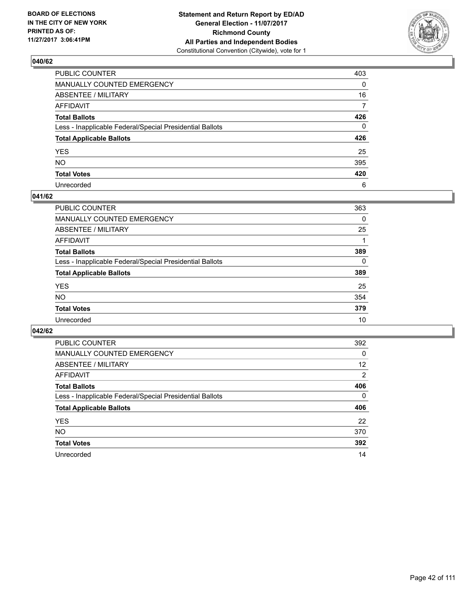

| PUBLIC COUNTER                                           | 403          |
|----------------------------------------------------------|--------------|
| MANUALLY COUNTED EMERGENCY                               | 0            |
| ABSENTEE / MILITARY                                      | 16           |
| AFFIDAVIT                                                | 7            |
| Total Ballots                                            | 426          |
| Less - Inapplicable Federal/Special Presidential Ballots | $\mathbf{0}$ |
| <b>Total Applicable Ballots</b>                          | 426          |
| YES                                                      | 25           |
| NO.                                                      | 395          |
| <b>Total Votes</b>                                       | 420          |
| Unrecorded                                               | 6            |

#### **041/62**

| <b>PUBLIC COUNTER</b>                                    | 363      |
|----------------------------------------------------------|----------|
| <b>MANUALLY COUNTED EMERGENCY</b>                        | 0        |
| <b>ABSENTEE / MILITARY</b>                               | 25       |
| AFFIDAVIT                                                |          |
| <b>Total Ballots</b>                                     | 389      |
| Less - Inapplicable Federal/Special Presidential Ballots | $\Omega$ |
| <b>Total Applicable Ballots</b>                          | 389      |
| <b>YES</b>                                               | 25       |
| <b>NO</b>                                                | 354      |
| <b>Total Votes</b>                                       | 379      |
| Unrecorded                                               | 10       |

| <b>PUBLIC COUNTER</b>                                    | 392 |
|----------------------------------------------------------|-----|
| MANUALLY COUNTED EMERGENCY                               | 0   |
| ABSENTEE / MILITARY                                      | 12  |
| AFFIDAVIT                                                | 2   |
| <b>Total Ballots</b>                                     | 406 |
| Less - Inapplicable Federal/Special Presidential Ballots | 0   |
| <b>Total Applicable Ballots</b>                          | 406 |
| <b>YES</b>                                               | 22  |
| <b>NO</b>                                                | 370 |
| <b>Total Votes</b>                                       | 392 |
| Unrecorded                                               | 14  |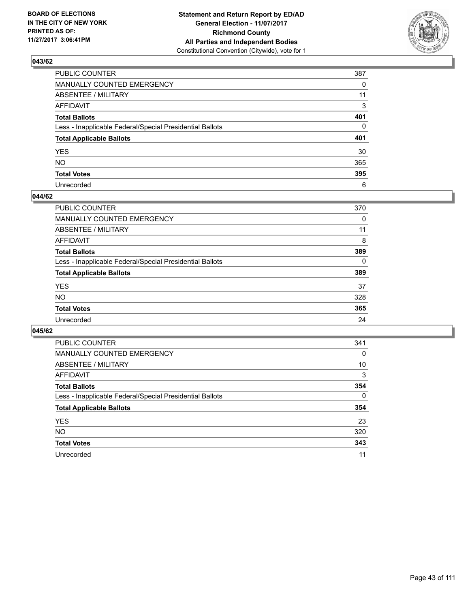

| PUBLIC COUNTER                                           | 387          |
|----------------------------------------------------------|--------------|
| MANUALLY COUNTED EMERGENCY                               | 0            |
| ABSENTEE / MILITARY                                      | 11           |
| AFFIDAVIT                                                | 3            |
| Total Ballots                                            | 401          |
| Less - Inapplicable Federal/Special Presidential Ballots | $\mathbf{0}$ |
| <b>Total Applicable Ballots</b>                          | 401          |
| YES                                                      | 30           |
| NO.                                                      | 365          |
| <b>Total Votes</b>                                       | 395          |
| Unrecorded                                               | 6            |

#### **044/62**

| <b>PUBLIC COUNTER</b>                                    | 370 |
|----------------------------------------------------------|-----|
| <b>MANUALLY COUNTED EMERGENCY</b>                        | 0   |
| ABSENTEE / MILITARY                                      | 11  |
| AFFIDAVIT                                                | 8   |
| <b>Total Ballots</b>                                     | 389 |
| Less - Inapplicable Federal/Special Presidential Ballots | 0   |
| <b>Total Applicable Ballots</b>                          | 389 |
| <b>YES</b>                                               | 37  |
| <b>NO</b>                                                | 328 |
| <b>Total Votes</b>                                       | 365 |
| Unrecorded                                               | 24  |

| <b>PUBLIC COUNTER</b>                                    | 341 |
|----------------------------------------------------------|-----|
| MANUALLY COUNTED EMERGENCY                               | 0   |
| ABSENTEE / MILITARY                                      | 10  |
| AFFIDAVIT                                                | 3   |
| <b>Total Ballots</b>                                     | 354 |
| Less - Inapplicable Federal/Special Presidential Ballots | 0   |
| <b>Total Applicable Ballots</b>                          | 354 |
| <b>YES</b>                                               | 23  |
| <b>NO</b>                                                | 320 |
| <b>Total Votes</b>                                       | 343 |
| Unrecorded                                               | 11  |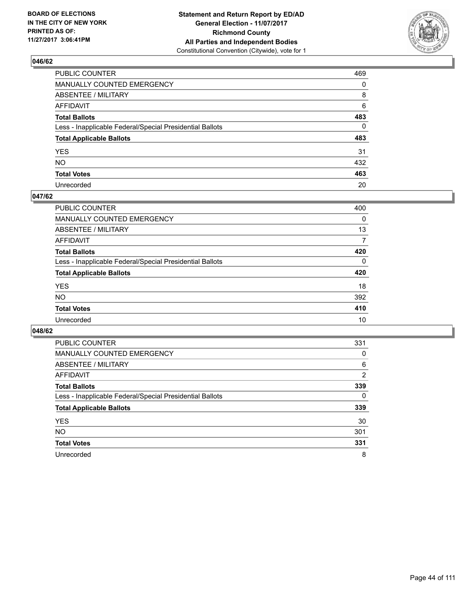

| PUBLIC COUNTER                                           | 469          |
|----------------------------------------------------------|--------------|
| MANUALLY COUNTED EMERGENCY                               | 0            |
| ABSENTEE / MILITARY                                      | 8            |
| AFFIDAVIT                                                | 6            |
| Total Ballots                                            | 483          |
| Less - Inapplicable Federal/Special Presidential Ballots | $\mathbf{0}$ |
| <b>Total Applicable Ballots</b>                          | 483          |
| YES                                                      | 31           |
| NO.                                                      | 432          |
| <b>Total Votes</b>                                       | 463          |
| Unrecorded                                               | 20           |

#### **047/62**

| <b>PUBLIC COUNTER</b>                                    | 400 |
|----------------------------------------------------------|-----|
| <b>MANUALLY COUNTED EMERGENCY</b>                        | 0   |
| ABSENTEE / MILITARY                                      | 13  |
| AFFIDAVIT                                                | 7   |
| <b>Total Ballots</b>                                     | 420 |
| Less - Inapplicable Federal/Special Presidential Ballots | 0   |
| <b>Total Applicable Ballots</b>                          | 420 |
| <b>YES</b>                                               | 18  |
| <b>NO</b>                                                | 392 |
| <b>Total Votes</b>                                       | 410 |
| Unrecorded                                               | 10  |

| <b>PUBLIC COUNTER</b>                                    | 331 |
|----------------------------------------------------------|-----|
| <b>MANUALLY COUNTED EMERGENCY</b>                        | 0   |
| ABSENTEE / MILITARY                                      | 6   |
| AFFIDAVIT                                                | 2   |
| <b>Total Ballots</b>                                     | 339 |
| Less - Inapplicable Federal/Special Presidential Ballots | 0   |
| <b>Total Applicable Ballots</b>                          | 339 |
| <b>YES</b>                                               | 30  |
| <b>NO</b>                                                | 301 |
| <b>Total Votes</b>                                       | 331 |
| Unrecorded                                               | 8   |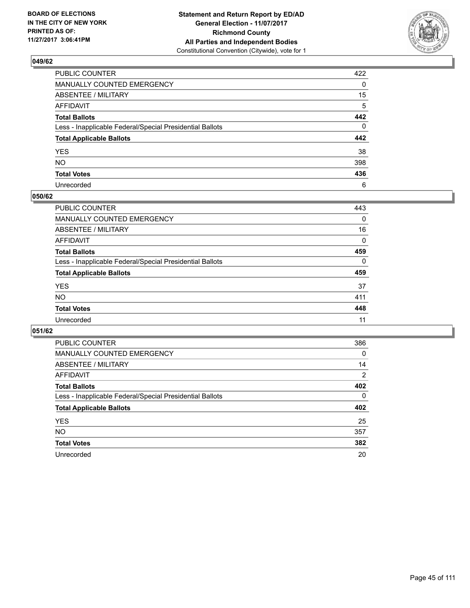

| PUBLIC COUNTER                                           | 422      |
|----------------------------------------------------------|----------|
| MANUALLY COUNTED EMERGENCY                               | 0        |
| <b>ABSENTEE / MILITARY</b>                               | 15       |
| AFFIDAVIT                                                | 5        |
| Total Ballots                                            | 442      |
| Less - Inapplicable Federal/Special Presidential Ballots | $\Omega$ |
| <b>Total Applicable Ballots</b>                          | 442      |
| YES                                                      | 38       |
| NO.                                                      | 398      |
| <b>Total Votes</b>                                       | 436      |
| Unrecorded                                               | 6        |

#### **050/62**

| <b>PUBLIC COUNTER</b>                                    | 443      |
|----------------------------------------------------------|----------|
| <b>MANUALLY COUNTED EMERGENCY</b>                        | 0        |
| <b>ABSENTEE / MILITARY</b>                               | 16       |
| AFFIDAVIT                                                | 0        |
| <b>Total Ballots</b>                                     | 459      |
| Less - Inapplicable Federal/Special Presidential Ballots | $\Omega$ |
| <b>Total Applicable Ballots</b>                          | 459      |
| <b>YES</b>                                               | 37       |
| <b>NO</b>                                                | 411      |
| <b>Total Votes</b>                                       | 448      |
| Unrecorded                                               | 11       |

| <b>PUBLIC COUNTER</b>                                    | 386            |
|----------------------------------------------------------|----------------|
| MANUALLY COUNTED EMERGENCY                               | 0              |
| ABSENTEE / MILITARY                                      | 14             |
| AFFIDAVIT                                                | $\overline{2}$ |
| <b>Total Ballots</b>                                     | 402            |
| Less - Inapplicable Federal/Special Presidential Ballots | 0              |
| <b>Total Applicable Ballots</b>                          | 402            |
| <b>YES</b>                                               | 25             |
| NO.                                                      | 357            |
| <b>Total Votes</b>                                       | 382            |
| Unrecorded                                               | 20             |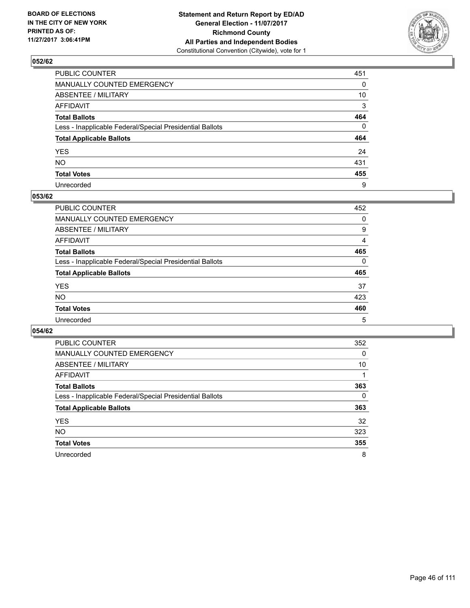

| PUBLIC COUNTER                                           | 451          |
|----------------------------------------------------------|--------------|
| MANUALLY COUNTED EMERGENCY                               | $\mathbf{0}$ |
| ABSENTEE / MILITARY                                      | 10           |
| AFFIDAVIT                                                | 3            |
| Total Ballots                                            | 464          |
| Less - Inapplicable Federal/Special Presidential Ballots | $\Omega$     |
| <b>Total Applicable Ballots</b>                          | 464          |
| YES                                                      | 24           |
| NO.                                                      | 431          |
| <b>Total Votes</b>                                       | 455          |
| Unrecorded                                               | 9            |

#### **053/62**

| <b>PUBLIC COUNTER</b>                                    | 452 |
|----------------------------------------------------------|-----|
| MANUALLY COUNTED EMERGENCY                               | 0   |
| ABSENTEE / MILITARY                                      | 9   |
| AFFIDAVIT                                                | 4   |
| <b>Total Ballots</b>                                     | 465 |
| Less - Inapplicable Federal/Special Presidential Ballots | 0   |
| <b>Total Applicable Ballots</b>                          | 465 |
| <b>YES</b>                                               | 37  |
| <b>NO</b>                                                | 423 |
| <b>Total Votes</b>                                       | 460 |
| Unrecorded                                               | 5   |

| <b>PUBLIC COUNTER</b>                                    | 352 |
|----------------------------------------------------------|-----|
| MANUALLY COUNTED EMERGENCY                               | 0   |
| ABSENTEE / MILITARY                                      | 10  |
| AFFIDAVIT                                                |     |
| <b>Total Ballots</b>                                     | 363 |
| Less - Inapplicable Federal/Special Presidential Ballots | 0   |
| <b>Total Applicable Ballots</b>                          | 363 |
| <b>YES</b>                                               | 32  |
| <b>NO</b>                                                | 323 |
| <b>Total Votes</b>                                       | 355 |
| Unrecorded                                               | 8   |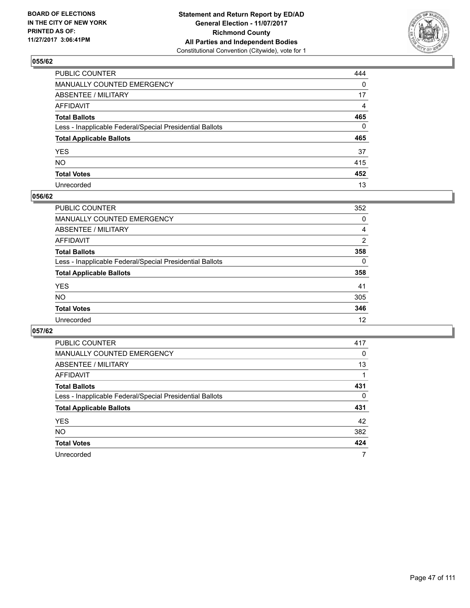

| PUBLIC COUNTER                                           | 444          |
|----------------------------------------------------------|--------------|
| MANUALLY COUNTED EMERGENCY                               | 0            |
| ABSENTEE / MILITARY                                      | 17           |
| AFFIDAVIT                                                | 4            |
| Total Ballots                                            | 465          |
| Less - Inapplicable Federal/Special Presidential Ballots | $\mathbf{0}$ |
| <b>Total Applicable Ballots</b>                          | 465          |
| YES                                                      | 37           |
| NO.                                                      | 415          |
| <b>Total Votes</b>                                       | 452          |
| Unrecorded                                               | 13           |

#### **056/62**

| <b>PUBLIC COUNTER</b>                                    | 352 |
|----------------------------------------------------------|-----|
| <b>MANUALLY COUNTED EMERGENCY</b>                        | 0   |
| ABSENTEE / MILITARY                                      | 4   |
| AFFIDAVIT                                                | 2   |
| <b>Total Ballots</b>                                     | 358 |
| Less - Inapplicable Federal/Special Presidential Ballots | 0   |
| <b>Total Applicable Ballots</b>                          | 358 |
| <b>YES</b>                                               | 41  |
| <b>NO</b>                                                | 305 |
| <b>Total Votes</b>                                       | 346 |
| Unrecorded                                               | 12  |

| <b>PUBLIC COUNTER</b>                                    | 417      |
|----------------------------------------------------------|----------|
| <b>MANUALLY COUNTED EMERGENCY</b>                        | $\Omega$ |
| ABSENTEE / MILITARY                                      | 13       |
| AFFIDAVIT                                                |          |
| <b>Total Ballots</b>                                     | 431      |
| Less - Inapplicable Federal/Special Presidential Ballots | 0        |
| <b>Total Applicable Ballots</b>                          | 431      |
| <b>YES</b>                                               | 42       |
| <b>NO</b>                                                | 382      |
| <b>Total Votes</b>                                       | 424      |
| Unrecorded                                               | 7        |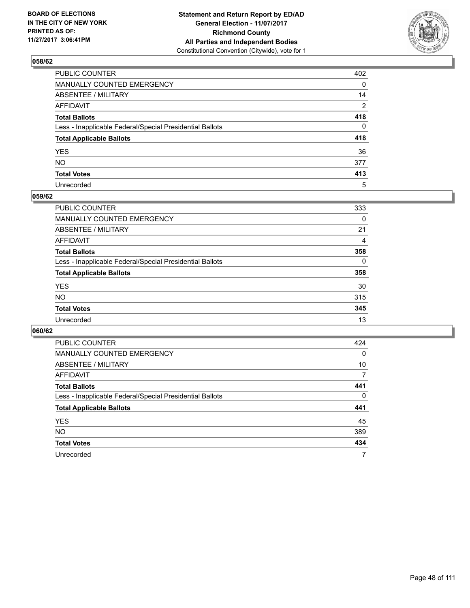

| PUBLIC COUNTER                                           | 402      |
|----------------------------------------------------------|----------|
| MANUALLY COUNTED EMERGENCY                               | 0        |
| ABSENTEE / MILITARY                                      | 14       |
| AFFIDAVIT                                                | 2        |
| Total Ballots                                            | 418      |
| Less - Inapplicable Federal/Special Presidential Ballots | $\Omega$ |
| <b>Total Applicable Ballots</b>                          | 418      |
| YES                                                      | 36       |
| NO.                                                      | 377      |
| <b>Total Votes</b>                                       | 413      |
| Unrecorded                                               | 5        |

#### **059/62**

| <b>PUBLIC COUNTER</b>                                    | 333      |
|----------------------------------------------------------|----------|
| <b>MANUALLY COUNTED EMERGENCY</b>                        | 0        |
| ABSENTEE / MILITARY                                      | 21       |
| AFFIDAVIT                                                | 4        |
| <b>Total Ballots</b>                                     | 358      |
| Less - Inapplicable Federal/Special Presidential Ballots | $\Omega$ |
| <b>Total Applicable Ballots</b>                          | 358      |
| <b>YES</b>                                               | 30       |
| <b>NO</b>                                                | 315      |
| <b>Total Votes</b>                                       | 345      |
| Unrecorded                                               | 13       |

| <b>PUBLIC COUNTER</b>                                    | 424 |
|----------------------------------------------------------|-----|
| <b>MANUALLY COUNTED EMERGENCY</b>                        | 0   |
| ABSENTEE / MILITARY                                      | 10  |
| AFFIDAVIT                                                | 7   |
| <b>Total Ballots</b>                                     | 441 |
| Less - Inapplicable Federal/Special Presidential Ballots | 0   |
| <b>Total Applicable Ballots</b>                          | 441 |
| <b>YES</b>                                               | 45  |
| <b>NO</b>                                                | 389 |
| <b>Total Votes</b>                                       | 434 |
| Unrecorded                                               | 7   |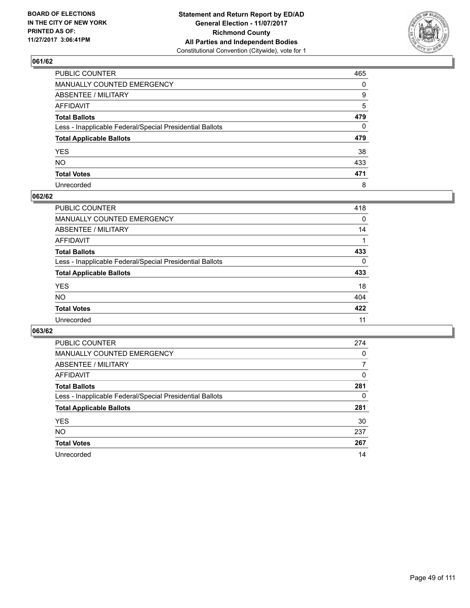

| PUBLIC COUNTER                                           | 465          |
|----------------------------------------------------------|--------------|
| MANUALLY COUNTED EMERGENCY                               | 0            |
| ABSENTEE / MILITARY                                      | 9            |
| AFFIDAVIT                                                | 5            |
| Total Ballots                                            | 479          |
| Less - Inapplicable Federal/Special Presidential Ballots | $\mathbf{0}$ |
| <b>Total Applicable Ballots</b>                          | 479          |
| YES                                                      | 38           |
| NO.                                                      | 433          |
| <b>Total Votes</b>                                       | 471          |
| Unrecorded                                               | 8            |

#### **062/62**

| <b>PUBLIC COUNTER</b>                                    | 418      |
|----------------------------------------------------------|----------|
| <b>MANUALLY COUNTED EMERGENCY</b>                        | 0        |
| ABSENTEE / MILITARY                                      | 14       |
| AFFIDAVIT                                                |          |
| <b>Total Ballots</b>                                     | 433      |
| Less - Inapplicable Federal/Special Presidential Ballots | $\Omega$ |
| <b>Total Applicable Ballots</b>                          | 433      |
| <b>YES</b>                                               | 18       |
| <b>NO</b>                                                | 404      |
| <b>Total Votes</b>                                       | 422      |
| Unrecorded                                               | 11       |

| <b>PUBLIC COUNTER</b>                                    | 274 |
|----------------------------------------------------------|-----|
| <b>MANUALLY COUNTED EMERGENCY</b>                        | 0   |
| ABSENTEE / MILITARY                                      | 7   |
| AFFIDAVIT                                                | 0   |
| <b>Total Ballots</b>                                     | 281 |
| Less - Inapplicable Federal/Special Presidential Ballots | 0   |
| <b>Total Applicable Ballots</b>                          | 281 |
| <b>YES</b>                                               | 30  |
| <b>NO</b>                                                | 237 |
| <b>Total Votes</b>                                       | 267 |
| Unrecorded                                               | 14  |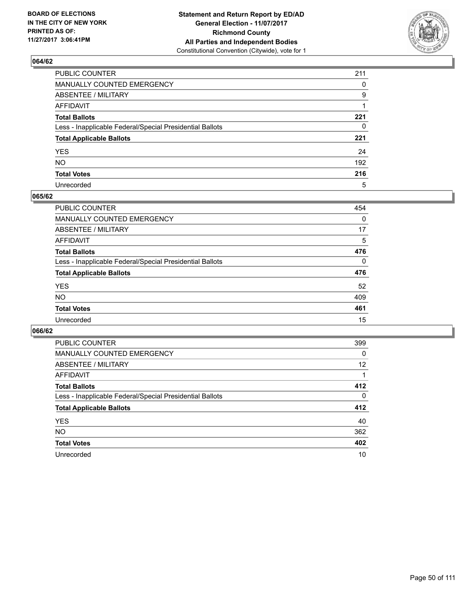

| PUBLIC COUNTER                                           | 211      |
|----------------------------------------------------------|----------|
| MANUALLY COUNTED EMERGENCY                               | $\Omega$ |
| ABSENTEE / MILITARY                                      | 9        |
| AFFIDAVIT                                                |          |
| Total Ballots                                            | 221      |
| Less - Inapplicable Federal/Special Presidential Ballots | 0        |
| <b>Total Applicable Ballots</b>                          | 221      |
| YES                                                      | 24       |
| NO.                                                      | 192      |
| <b>Total Votes</b>                                       | 216      |
| Unrecorded                                               | 5        |

#### **065/62**

| <b>PUBLIC COUNTER</b>                                    | 454      |
|----------------------------------------------------------|----------|
| <b>MANUALLY COUNTED EMERGENCY</b>                        | $\Omega$ |
| ABSENTEE / MILITARY                                      | 17       |
| AFFIDAVIT                                                | 5        |
| <b>Total Ballots</b>                                     | 476      |
| Less - Inapplicable Federal/Special Presidential Ballots | $\Omega$ |
| <b>Total Applicable Ballots</b>                          | 476      |
| <b>YES</b>                                               | 52       |
| <b>NO</b>                                                | 409      |
| <b>Total Votes</b>                                       | 461      |
| Unrecorded                                               | 15       |

| <b>PUBLIC COUNTER</b>                                    | 399      |
|----------------------------------------------------------|----------|
| MANUALLY COUNTED EMERGENCY                               | 0        |
| ABSENTEE / MILITARY                                      | 12       |
| AFFIDAVIT                                                |          |
| <b>Total Ballots</b>                                     | 412      |
| Less - Inapplicable Federal/Special Presidential Ballots | $\Omega$ |
| <b>Total Applicable Ballots</b>                          | 412      |
| <b>YES</b>                                               | 40       |
| <b>NO</b>                                                | 362      |
| <b>Total Votes</b>                                       | 402      |
| Unrecorded                                               | 10       |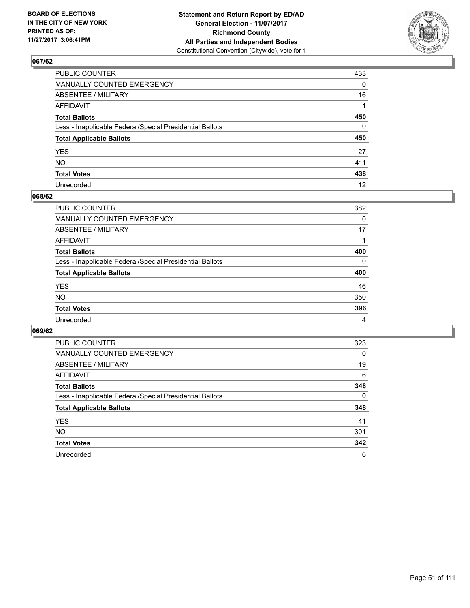

| PUBLIC COUNTER                                           | 433          |
|----------------------------------------------------------|--------------|
| MANUALLY COUNTED EMERGENCY                               | 0            |
| ABSENTEE / MILITARY                                      | 16           |
| AFFIDAVIT                                                |              |
| Total Ballots                                            | 450          |
| Less - Inapplicable Federal/Special Presidential Ballots | $\mathbf{0}$ |
| <b>Total Applicable Ballots</b>                          | 450          |
| YES                                                      | 27           |
| NO.                                                      | 411          |
| <b>Total Votes</b>                                       | 438          |
| Unrecorded                                               | 12           |

#### **068/62**

| <b>PUBLIC COUNTER</b>                                    | 382      |
|----------------------------------------------------------|----------|
| MANUALLY COUNTED EMERGENCY                               | 0        |
| ABSENTEE / MILITARY                                      | 17       |
| AFFIDAVIT                                                |          |
| <b>Total Ballots</b>                                     | 400      |
| Less - Inapplicable Federal/Special Presidential Ballots | $\Omega$ |
| <b>Total Applicable Ballots</b>                          | 400      |
| <b>YES</b>                                               | 46       |
| <b>NO</b>                                                | 350      |
| <b>Total Votes</b>                                       | 396      |
| Unrecorded                                               | 4        |

| <b>PUBLIC COUNTER</b>                                    | 323 |
|----------------------------------------------------------|-----|
| <b>MANUALLY COUNTED EMERGENCY</b>                        | 0   |
| ABSENTEE / MILITARY                                      | 19  |
| AFFIDAVIT                                                | 6   |
| <b>Total Ballots</b>                                     | 348 |
| Less - Inapplicable Federal/Special Presidential Ballots | 0   |
| <b>Total Applicable Ballots</b>                          | 348 |
| <b>YES</b>                                               | 41  |
| <b>NO</b>                                                | 301 |
| <b>Total Votes</b>                                       | 342 |
| Unrecorded                                               | 6   |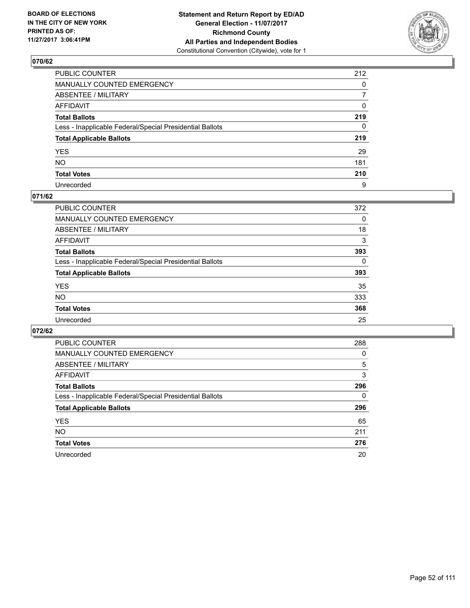

| PUBLIC COUNTER                                           | 212 |
|----------------------------------------------------------|-----|
| MANUALLY COUNTED EMERGENCY                               | 0   |
| ABSENTEE / MILITARY                                      | 7   |
| AFFIDAVIT                                                | 0   |
| Total Ballots                                            | 219 |
| Less - Inapplicable Federal/Special Presidential Ballots | 0   |
| <b>Total Applicable Ballots</b>                          | 219 |
| YES                                                      | 29  |
| NO.                                                      | 181 |
| <b>Total Votes</b>                                       | 210 |
| Unrecorded                                               | 9   |

#### **071/62**

| <b>PUBLIC COUNTER</b>                                    | 372      |
|----------------------------------------------------------|----------|
| <b>MANUALLY COUNTED EMERGENCY</b>                        | 0        |
| <b>ABSENTEE / MILITARY</b>                               | 18       |
| AFFIDAVIT                                                | 3        |
| <b>Total Ballots</b>                                     | 393      |
| Less - Inapplicable Federal/Special Presidential Ballots | $\Omega$ |
| <b>Total Applicable Ballots</b>                          | 393      |
| <b>YES</b>                                               | 35       |
| <b>NO</b>                                                | 333      |
| <b>Total Votes</b>                                       | 368      |
| Unrecorded                                               | 25       |

| <b>PUBLIC COUNTER</b>                                    | 288 |
|----------------------------------------------------------|-----|
| <b>MANUALLY COUNTED EMERGENCY</b>                        | 0   |
| ABSENTEE / MILITARY                                      | 5   |
| AFFIDAVIT                                                | 3   |
| <b>Total Ballots</b>                                     | 296 |
| Less - Inapplicable Federal/Special Presidential Ballots | 0   |
| <b>Total Applicable Ballots</b>                          | 296 |
| <b>YES</b>                                               | 65  |
| <b>NO</b>                                                | 211 |
| <b>Total Votes</b>                                       | 276 |
| Unrecorded                                               | 20  |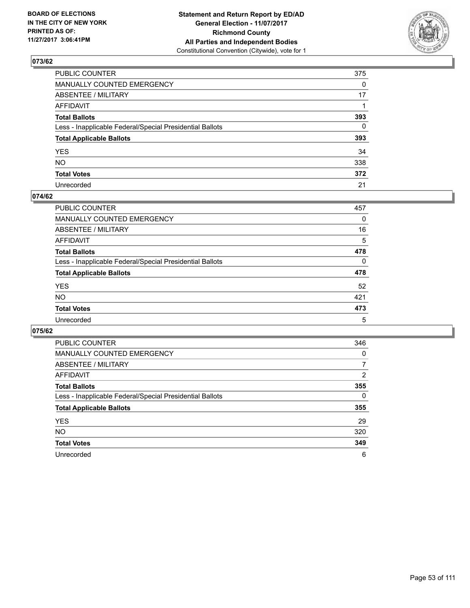

| PUBLIC COUNTER                                           | 375          |
|----------------------------------------------------------|--------------|
| MANUALLY COUNTED EMERGENCY                               | $\Omega$     |
| ABSENTEE / MILITARY                                      | 17           |
| AFFIDAVIT                                                |              |
| Total Ballots                                            | 393          |
| Less - Inapplicable Federal/Special Presidential Ballots | $\mathbf{0}$ |
| <b>Total Applicable Ballots</b>                          | 393          |
| YES                                                      | 34           |
| NO.                                                      | 338          |
| <b>Total Votes</b>                                       | 372          |
| Unrecorded                                               | 21           |

#### **074/62**

| <b>PUBLIC COUNTER</b>                                    | 457 |
|----------------------------------------------------------|-----|
| <b>MANUALLY COUNTED EMERGENCY</b>                        | 0   |
| ABSENTEE / MILITARY                                      | 16  |
| AFFIDAVIT                                                | 5   |
| <b>Total Ballots</b>                                     | 478 |
| Less - Inapplicable Federal/Special Presidential Ballots | 0   |
| <b>Total Applicable Ballots</b>                          | 478 |
| <b>YES</b>                                               | 52  |
| <b>NO</b>                                                | 421 |
| <b>Total Votes</b>                                       | 473 |
| Unrecorded                                               | 5   |

| <b>PUBLIC COUNTER</b>                                    | 346            |
|----------------------------------------------------------|----------------|
| MANUALLY COUNTED EMERGENCY                               | 0              |
| ABSENTEE / MILITARY                                      | 7              |
| AFFIDAVIT                                                | $\overline{2}$ |
| <b>Total Ballots</b>                                     | 355            |
| Less - Inapplicable Federal/Special Presidential Ballots | 0              |
| <b>Total Applicable Ballots</b>                          | 355            |
| <b>YES</b>                                               | 29             |
| <b>NO</b>                                                | 320            |
| <b>Total Votes</b>                                       | 349            |
| Unrecorded                                               | 6              |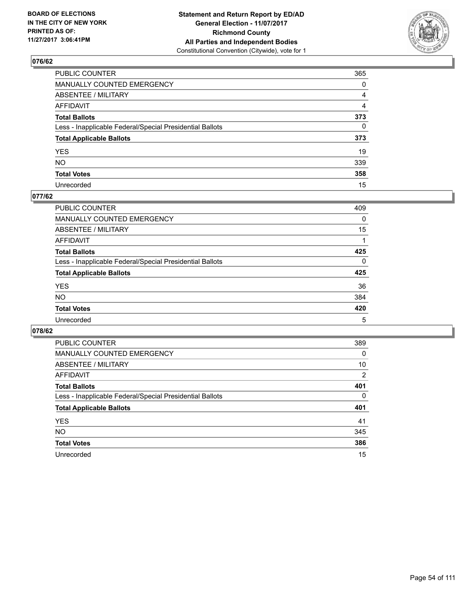

| PUBLIC COUNTER                                           | 365          |
|----------------------------------------------------------|--------------|
| MANUALLY COUNTED EMERGENCY                               | 0            |
| ABSENTEE / MILITARY                                      | 4            |
| AFFIDAVIT                                                | 4            |
| Total Ballots                                            | 373          |
| Less - Inapplicable Federal/Special Presidential Ballots | $\mathbf{0}$ |
| <b>Total Applicable Ballots</b>                          | 373          |
| YES                                                      | 19           |
| NO.                                                      | 339          |
| <b>Total Votes</b>                                       | 358          |
| Unrecorded                                               | 15           |

#### **077/62**

| <b>PUBLIC COUNTER</b>                                    | 409      |
|----------------------------------------------------------|----------|
| <b>MANUALLY COUNTED EMERGENCY</b>                        | 0        |
| ABSENTEE / MILITARY                                      | 15       |
| AFFIDAVIT                                                |          |
| <b>Total Ballots</b>                                     | 425      |
| Less - Inapplicable Federal/Special Presidential Ballots | $\Omega$ |
| <b>Total Applicable Ballots</b>                          | 425      |
| <b>YES</b>                                               | 36       |
| <b>NO</b>                                                | 384      |
| <b>Total Votes</b>                                       | 420      |
| Unrecorded                                               | 5        |

| <b>PUBLIC COUNTER</b>                                    | 389      |
|----------------------------------------------------------|----------|
| MANUALLY COUNTED EMERGENCY                               | 0        |
| ABSENTEE / MILITARY                                      | 10       |
| AFFIDAVIT                                                | 2        |
| <b>Total Ballots</b>                                     | 401      |
| Less - Inapplicable Federal/Special Presidential Ballots | $\Omega$ |
| <b>Total Applicable Ballots</b>                          | 401      |
| <b>YES</b>                                               | 41       |
| NO.                                                      | 345      |
| <b>Total Votes</b>                                       | 386      |
| Unrecorded                                               | 15       |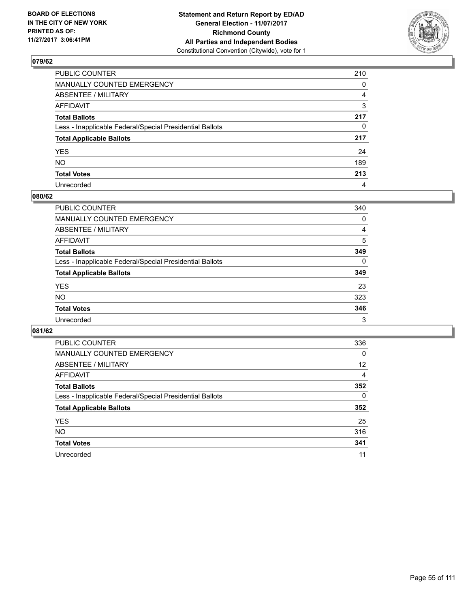

| PUBLIC COUNTER                                           | 210      |
|----------------------------------------------------------|----------|
| MANUALLY COUNTED EMERGENCY                               | 0        |
| ABSENTEE / MILITARY                                      | 4        |
| AFFIDAVIT                                                | 3        |
| Total Ballots                                            | 217      |
| Less - Inapplicable Federal/Special Presidential Ballots | $\Omega$ |
| <b>Total Applicable Ballots</b>                          | 217      |
| YES                                                      | 24       |
| NO.                                                      | 189      |
| <b>Total Votes</b>                                       | 213      |
| Unrecorded                                               | 4        |

#### **080/62**

| <b>PUBLIC COUNTER</b>                                    | 340 |
|----------------------------------------------------------|-----|
| <b>MANUALLY COUNTED EMERGENCY</b>                        | 0   |
| ABSENTEE / MILITARY                                      | 4   |
| AFFIDAVIT                                                | 5   |
| <b>Total Ballots</b>                                     | 349 |
| Less - Inapplicable Federal/Special Presidential Ballots | 0   |
| <b>Total Applicable Ballots</b>                          | 349 |
| <b>YES</b>                                               | 23  |
| <b>NO</b>                                                | 323 |
| <b>Total Votes</b>                                       | 346 |
| Unrecorded                                               | 3   |

| <b>PUBLIC COUNTER</b>                                    | 336 |
|----------------------------------------------------------|-----|
| <b>MANUALLY COUNTED EMERGENCY</b>                        | 0   |
| ABSENTEE / MILITARY                                      | 12  |
| AFFIDAVIT                                                | 4   |
| <b>Total Ballots</b>                                     | 352 |
| Less - Inapplicable Federal/Special Presidential Ballots | 0   |
| <b>Total Applicable Ballots</b>                          | 352 |
| <b>YES</b>                                               | 25  |
| <b>NO</b>                                                | 316 |
| <b>Total Votes</b>                                       | 341 |
| Unrecorded                                               | 11  |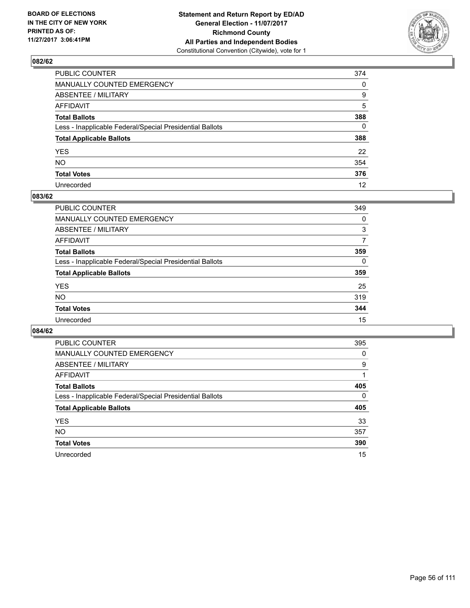

| PUBLIC COUNTER                                           | 374 |
|----------------------------------------------------------|-----|
| MANUALLY COUNTED EMERGENCY                               | 0   |
| ABSENTEE / MILITARY                                      | 9   |
| AFFIDAVIT                                                | 5   |
| Total Ballots                                            | 388 |
| Less - Inapplicable Federal/Special Presidential Ballots | 0   |
| <b>Total Applicable Ballots</b>                          | 388 |
| YES                                                      | 22  |
| NO.                                                      | 354 |
| <b>Total Votes</b>                                       | 376 |
| Unrecorded                                               | 12  |

#### **083/62**

| <b>PUBLIC COUNTER</b>                                    | 349 |
|----------------------------------------------------------|-----|
| MANUALLY COUNTED EMERGENCY                               | 0   |
| ABSENTEE / MILITARY                                      | 3   |
| AFFIDAVIT                                                | 7   |
| <b>Total Ballots</b>                                     | 359 |
| Less - Inapplicable Federal/Special Presidential Ballots | 0   |
| <b>Total Applicable Ballots</b>                          | 359 |
| <b>YES</b>                                               | 25  |
| <b>NO</b>                                                | 319 |
| <b>Total Votes</b>                                       | 344 |
| Unrecorded                                               | 15  |

| <b>PUBLIC COUNTER</b>                                    | 395 |
|----------------------------------------------------------|-----|
| MANUALLY COUNTED EMERGENCY                               | 0   |
| ABSENTEE / MILITARY                                      | 9   |
| AFFIDAVIT                                                |     |
| <b>Total Ballots</b>                                     | 405 |
| Less - Inapplicable Federal/Special Presidential Ballots | 0   |
| <b>Total Applicable Ballots</b>                          | 405 |
| <b>YES</b>                                               | 33  |
| <b>NO</b>                                                | 357 |
| <b>Total Votes</b>                                       | 390 |
| Unrecorded                                               | 15  |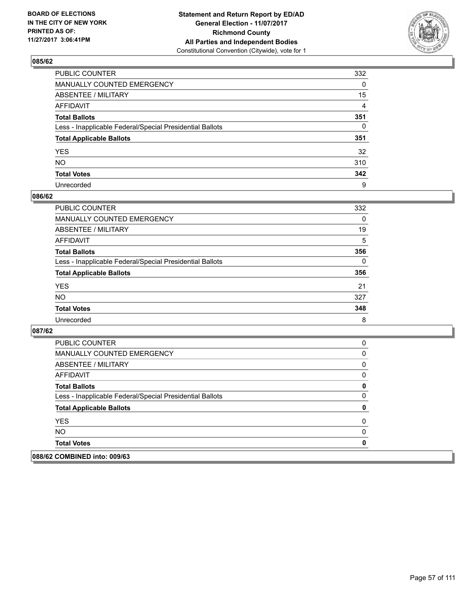

| PUBLIC COUNTER                                           | 332      |
|----------------------------------------------------------|----------|
| MANUALLY COUNTED EMERGENCY                               | 0        |
| <b>ABSENTEE / MILITARY</b>                               | 15       |
| AFFIDAVIT                                                | 4        |
| Total Ballots                                            | 351      |
| Less - Inapplicable Federal/Special Presidential Ballots | $\Omega$ |
| <b>Total Applicable Ballots</b>                          | 351      |
| YES                                                      | 32       |
| NO.                                                      | 310      |
| <b>Total Votes</b>                                       | 342      |
| Unrecorded                                               | 9        |

#### **086/62**

| <b>PUBLIC COUNTER</b>                                    | 332 |
|----------------------------------------------------------|-----|
| <b>MANUALLY COUNTED EMERGENCY</b>                        | 0   |
| ABSENTEE / MILITARY                                      | 19  |
| AFFIDAVIT                                                | 5   |
| <b>Total Ballots</b>                                     | 356 |
| Less - Inapplicable Federal/Special Presidential Ballots | 0   |
| <b>Total Applicable Ballots</b>                          | 356 |
| <b>YES</b>                                               | 21  |
| <b>NO</b>                                                | 327 |
| <b>Total Votes</b>                                       | 348 |
| Unrecorded                                               | 8   |

| 088/62 COMBINED into: 009/63                             |          |
|----------------------------------------------------------|----------|
| <b>Total Votes</b>                                       |          |
| NO.                                                      |          |
| <b>YES</b>                                               | $\Omega$ |
| <b>Total Applicable Ballots</b>                          | O        |
| Less - Inapplicable Federal/Special Presidential Ballots |          |
| <b>Total Ballots</b>                                     | 0        |
| AFFIDAVIT                                                | 0        |
| ABSENTEE / MILITARY                                      | 0        |
| MANUALLY COUNTED EMERGENCY                               | 0        |
| <b>PUBLIC COUNTER</b>                                    | O        |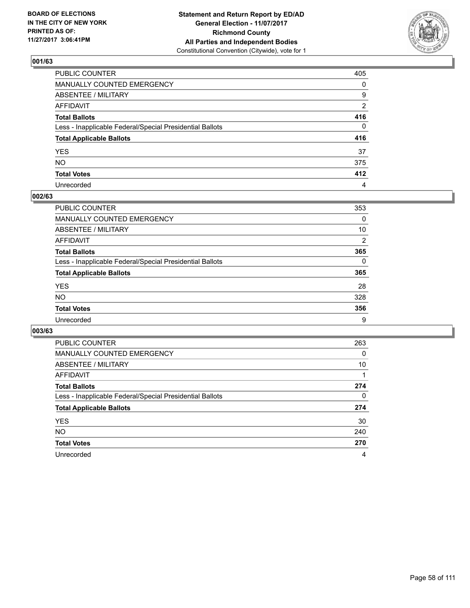

| PUBLIC COUNTER                                           | 405            |
|----------------------------------------------------------|----------------|
| MANUALLY COUNTED EMERGENCY                               | 0              |
| ABSENTEE / MILITARY                                      | 9              |
| AFFIDAVIT                                                | $\overline{2}$ |
| Total Ballots                                            | 416            |
| Less - Inapplicable Federal/Special Presidential Ballots | $\Omega$       |
| <b>Total Applicable Ballots</b>                          | 416            |
| YES                                                      | 37             |
| NO.                                                      | 375            |
| <b>Total Votes</b>                                       | 412            |
| Unrecorded                                               | 4              |

#### **002/63**

| <b>PUBLIC COUNTER</b>                                    | 353            |
|----------------------------------------------------------|----------------|
| <b>MANUALLY COUNTED EMERGENCY</b>                        | 0              |
| ABSENTEE / MILITARY                                      | 10             |
| AFFIDAVIT                                                | $\overline{2}$ |
| <b>Total Ballots</b>                                     | 365            |
| Less - Inapplicable Federal/Special Presidential Ballots | 0              |
| <b>Total Applicable Ballots</b>                          | 365            |
| <b>YES</b>                                               | 28             |
| <b>NO</b>                                                | 328            |
| <b>Total Votes</b>                                       | 356            |
| Unrecorded                                               | 9              |

| <b>PUBLIC COUNTER</b>                                    | 263 |
|----------------------------------------------------------|-----|
| MANUALLY COUNTED EMERGENCY                               | 0   |
| ABSENTEE / MILITARY                                      | 10  |
| AFFIDAVIT                                                |     |
| <b>Total Ballots</b>                                     | 274 |
| Less - Inapplicable Federal/Special Presidential Ballots | 0   |
| <b>Total Applicable Ballots</b>                          | 274 |
| <b>YES</b>                                               | 30  |
| <b>NO</b>                                                | 240 |
| <b>Total Votes</b>                                       | 270 |
| Unrecorded                                               | 4   |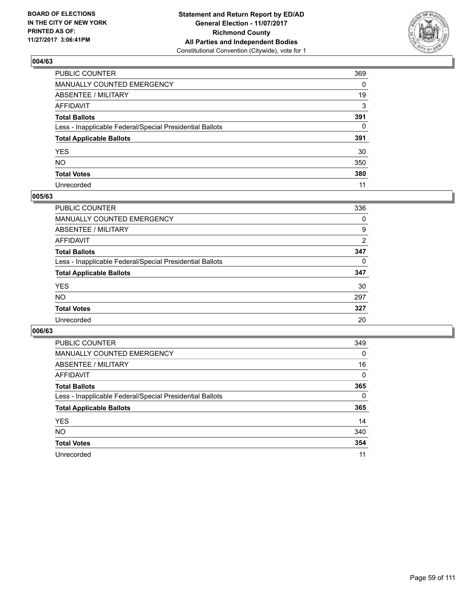

| PUBLIC COUNTER                                           | 369          |
|----------------------------------------------------------|--------------|
| MANUALLY COUNTED EMERGENCY                               | 0            |
| ABSENTEE / MILITARY                                      | 19           |
| AFFIDAVIT                                                | 3            |
| Total Ballots                                            | 391          |
| Less - Inapplicable Federal/Special Presidential Ballots | $\mathbf{0}$ |
| <b>Total Applicable Ballots</b>                          | 391          |
| YES                                                      | 30           |
| NO.                                                      | 350          |
| <b>Total Votes</b>                                       | 380          |
| Unrecorded                                               | 11           |

#### **005/63**

| <b>PUBLIC COUNTER</b>                                    | 336 |
|----------------------------------------------------------|-----|
| MANUALLY COUNTED EMERGENCY                               | 0   |
| ABSENTEE / MILITARY                                      | 9   |
| AFFIDAVIT                                                | 2   |
| <b>Total Ballots</b>                                     | 347 |
| Less - Inapplicable Federal/Special Presidential Ballots | 0   |
| <b>Total Applicable Ballots</b>                          | 347 |
| <b>YES</b>                                               | 30  |
| <b>NO</b>                                                | 297 |
| <b>Total Votes</b>                                       | 327 |
| Unrecorded                                               | 20  |

| <b>PUBLIC COUNTER</b>                                    | 349          |
|----------------------------------------------------------|--------------|
| <b>MANUALLY COUNTED EMERGENCY</b>                        | $\Omega$     |
| ABSENTEE / MILITARY                                      | 16           |
| AFFIDAVIT                                                | $\mathbf{0}$ |
| <b>Total Ballots</b>                                     | 365          |
| Less - Inapplicable Federal/Special Presidential Ballots | 0            |
| <b>Total Applicable Ballots</b>                          | 365          |
| <b>YES</b>                                               | 14           |
| <b>NO</b>                                                | 340          |
| <b>Total Votes</b>                                       | 354          |
| Unrecorded                                               | 11           |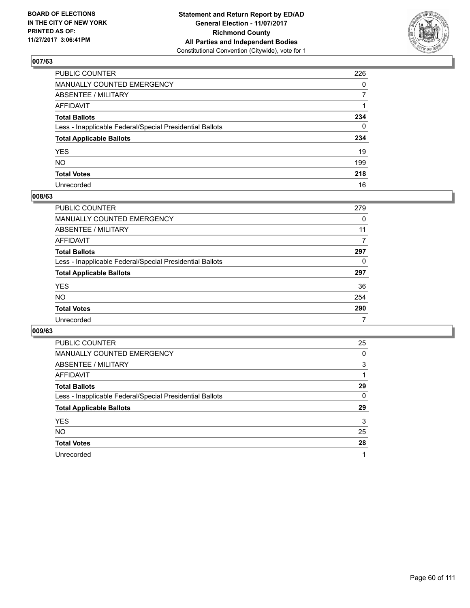

| PUBLIC COUNTER                                           | 226          |
|----------------------------------------------------------|--------------|
| MANUALLY COUNTED EMERGENCY                               | $\Omega$     |
| ABSENTEE / MILITARY                                      | 7            |
| AFFIDAVIT                                                |              |
| Total Ballots                                            | 234          |
| Less - Inapplicable Federal/Special Presidential Ballots | $\mathbf{0}$ |
| <b>Total Applicable Ballots</b>                          | 234          |
| YES                                                      | 19           |
| NO.                                                      | 199          |
| <b>Total Votes</b>                                       | 218          |
| Unrecorded                                               | 16           |

#### **008/63**

| <b>PUBLIC COUNTER</b>                                    | 279 |
|----------------------------------------------------------|-----|
| MANUALLY COUNTED EMERGENCY                               | 0   |
| ABSENTEE / MILITARY                                      | 11  |
| AFFIDAVIT                                                | 7   |
| <b>Total Ballots</b>                                     | 297 |
| Less - Inapplicable Federal/Special Presidential Ballots | 0   |
| <b>Total Applicable Ballots</b>                          | 297 |
| <b>YES</b>                                               | 36  |
| <b>NO</b>                                                | 254 |
| <b>Total Votes</b>                                       | 290 |
| Unrecorded                                               | 7   |

| <b>PUBLIC COUNTER</b>                                    | 25 |
|----------------------------------------------------------|----|
| <b>MANUALLY COUNTED EMERGENCY</b>                        | 0  |
| ABSENTEE / MILITARY                                      | 3  |
| AFFIDAVIT                                                |    |
| <b>Total Ballots</b>                                     | 29 |
| Less - Inapplicable Federal/Special Presidential Ballots | 0  |
| <b>Total Applicable Ballots</b>                          | 29 |
| <b>YES</b>                                               | 3  |
| <b>NO</b>                                                | 25 |
| <b>Total Votes</b>                                       | 28 |
| Unrecorded                                               | 1  |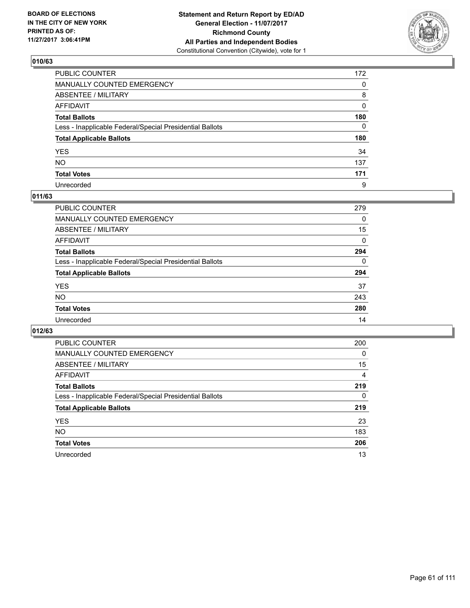

| PUBLIC COUNTER                                           | 172      |
|----------------------------------------------------------|----------|
| MANUALLY COUNTED EMERGENCY                               | 0        |
| ABSENTEE / MILITARY                                      | 8        |
| AFFIDAVIT                                                | 0        |
| Total Ballots                                            | 180      |
| Less - Inapplicable Federal/Special Presidential Ballots | $\Omega$ |
| <b>Total Applicable Ballots</b>                          | 180      |
| YES                                                      | 34       |
| NO.                                                      | 137      |
| <b>Total Votes</b>                                       | 171      |
| Unrecorded                                               | 9        |

#### **011/63**

| <b>PUBLIC COUNTER</b>                                    | 279      |
|----------------------------------------------------------|----------|
| <b>MANUALLY COUNTED EMERGENCY</b>                        | 0        |
| <b>ABSENTEE / MILITARY</b>                               | 15       |
| AFFIDAVIT                                                | 0        |
| <b>Total Ballots</b>                                     | 294      |
| Less - Inapplicable Federal/Special Presidential Ballots | $\Omega$ |
| <b>Total Applicable Ballots</b>                          | 294      |
| <b>YES</b>                                               | 37       |
| <b>NO</b>                                                | 243      |
| <b>Total Votes</b>                                       | 280      |
| Unrecorded                                               | 14       |

| <b>PUBLIC COUNTER</b>                                    | 200 |
|----------------------------------------------------------|-----|
| MANUALLY COUNTED EMERGENCY                               | 0   |
| ABSENTEE / MILITARY                                      | 15  |
| AFFIDAVIT                                                | 4   |
| <b>Total Ballots</b>                                     | 219 |
| Less - Inapplicable Federal/Special Presidential Ballots | 0   |
| <b>Total Applicable Ballots</b>                          | 219 |
| <b>YES</b>                                               | 23  |
| <b>NO</b>                                                | 183 |
| <b>Total Votes</b>                                       | 206 |
| Unrecorded                                               | 13  |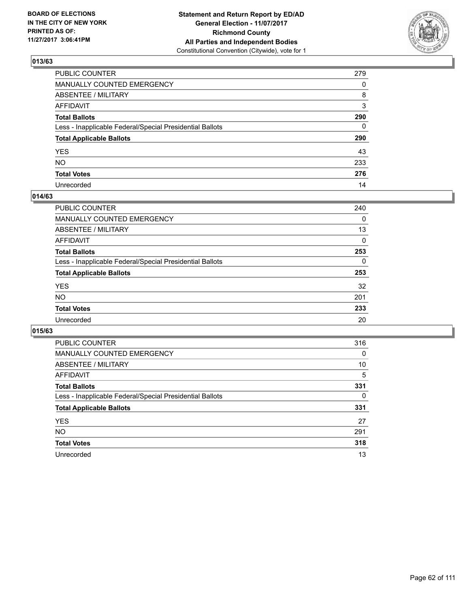

| PUBLIC COUNTER                                           | 279 |
|----------------------------------------------------------|-----|
| MANUALLY COUNTED EMERGENCY                               | 0   |
| ABSENTEE / MILITARY                                      | 8   |
| AFFIDAVIT                                                | 3   |
| Total Ballots                                            | 290 |
| Less - Inapplicable Federal/Special Presidential Ballots | 0   |
| <b>Total Applicable Ballots</b>                          | 290 |
| YES                                                      | 43  |
| NO.                                                      | 233 |
| <b>Total Votes</b>                                       | 276 |
| Unrecorded                                               | 14  |

#### **014/63**

| <b>PUBLIC COUNTER</b>                                    | 240      |
|----------------------------------------------------------|----------|
| MANUALLY COUNTED EMERGENCY                               | 0        |
| ABSENTEE / MILITARY                                      | 13       |
| AFFIDAVIT                                                | $\Omega$ |
| <b>Total Ballots</b>                                     | 253      |
| Less - Inapplicable Federal/Special Presidential Ballots | 0        |
| <b>Total Applicable Ballots</b>                          | 253      |
| <b>YES</b>                                               | 32       |
| <b>NO</b>                                                | 201      |
| <b>Total Votes</b>                                       | 233      |
| Unrecorded                                               | 20       |

| <b>PUBLIC COUNTER</b>                                    | 316 |
|----------------------------------------------------------|-----|
| MANUALLY COUNTED EMERGENCY                               | 0   |
| ABSENTEE / MILITARY                                      | 10  |
| AFFIDAVIT                                                | 5   |
| <b>Total Ballots</b>                                     | 331 |
| Less - Inapplicable Federal/Special Presidential Ballots | 0   |
| <b>Total Applicable Ballots</b>                          | 331 |
| <b>YES</b>                                               | 27  |
| <b>NO</b>                                                | 291 |
| <b>Total Votes</b>                                       | 318 |
| Unrecorded                                               | 13  |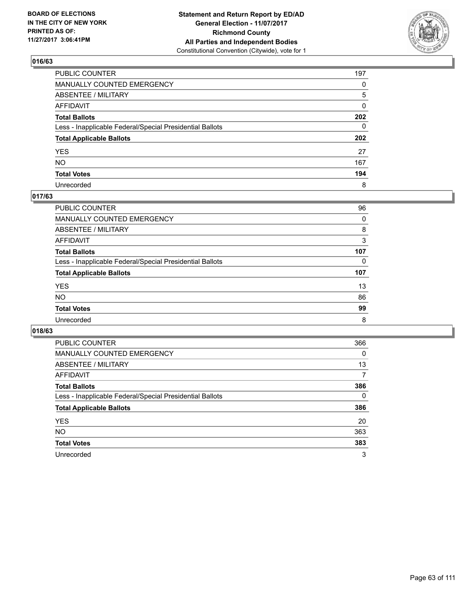

| PUBLIC COUNTER                                           | 197          |
|----------------------------------------------------------|--------------|
| MANUALLY COUNTED EMERGENCY                               | $\Omega$     |
| ABSENTEE / MILITARY                                      | 5            |
| AFFIDAVIT                                                | 0            |
| Total Ballots                                            | 202          |
| Less - Inapplicable Federal/Special Presidential Ballots | $\mathbf{0}$ |
| <b>Total Applicable Ballots</b>                          | 202          |
| YES                                                      | 27           |
| NO.                                                      | 167          |
| <b>Total Votes</b>                                       | 194          |
| Unrecorded                                               | 8            |

## **017/63**

| <b>PUBLIC COUNTER</b>                                    | 96  |
|----------------------------------------------------------|-----|
| <b>MANUALLY COUNTED EMERGENCY</b>                        | 0   |
| ABSENTEE / MILITARY                                      | 8   |
| AFFIDAVIT                                                | 3   |
| <b>Total Ballots</b>                                     | 107 |
| Less - Inapplicable Federal/Special Presidential Ballots | 0   |
| <b>Total Applicable Ballots</b>                          | 107 |
| <b>YES</b>                                               | 13  |
| <b>NO</b>                                                | 86  |
| <b>Total Votes</b>                                       | 99  |
| Unrecorded                                               | 8   |

| <b>PUBLIC COUNTER</b>                                    | 366 |
|----------------------------------------------------------|-----|
| MANUALLY COUNTED EMERGENCY                               | 0   |
| ABSENTEE / MILITARY                                      | 13  |
| AFFIDAVIT                                                | 7   |
| <b>Total Ballots</b>                                     | 386 |
| Less - Inapplicable Federal/Special Presidential Ballots | 0   |
| <b>Total Applicable Ballots</b>                          | 386 |
| <b>YES</b>                                               | 20  |
| <b>NO</b>                                                | 363 |
| <b>Total Votes</b>                                       | 383 |
| Unrecorded                                               | 3   |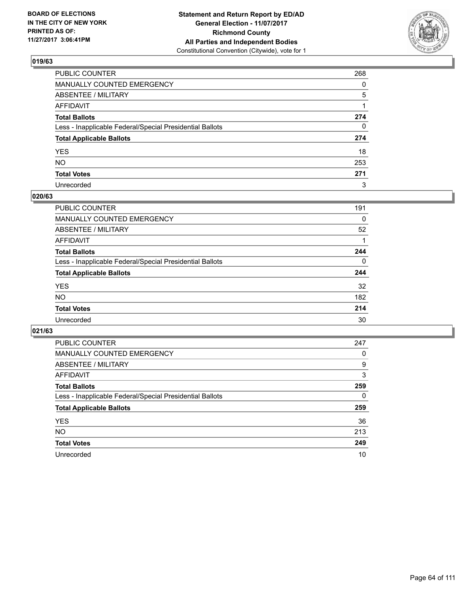

| PUBLIC COUNTER                                           | 268          |
|----------------------------------------------------------|--------------|
| MANUALLY COUNTED EMERGENCY                               | 0            |
| ABSENTEE / MILITARY                                      | 5            |
| AFFIDAVIT                                                |              |
| Total Ballots                                            | 274          |
| Less - Inapplicable Federal/Special Presidential Ballots | $\mathbf{0}$ |
| <b>Total Applicable Ballots</b>                          | 274          |
| YES                                                      | 18           |
| NO.                                                      | 253          |
| <b>Total Votes</b>                                       | 271          |
| Unrecorded                                               | 3            |

#### **020/63**

| <b>PUBLIC COUNTER</b>                                    | 191 |
|----------------------------------------------------------|-----|
| <b>MANUALLY COUNTED EMERGENCY</b>                        | 0   |
| ABSENTEE / MILITARY                                      | 52  |
| AFFIDAVIT                                                |     |
| <b>Total Ballots</b>                                     | 244 |
| Less - Inapplicable Federal/Special Presidential Ballots | 0   |
| <b>Total Applicable Ballots</b>                          | 244 |
| <b>YES</b>                                               | 32  |
| <b>NO</b>                                                | 182 |
| <b>Total Votes</b>                                       | 214 |
| Unrecorded                                               | 30  |

| <b>PUBLIC COUNTER</b>                                    | 247 |
|----------------------------------------------------------|-----|
| MANUALLY COUNTED EMERGENCY                               | 0   |
| ABSENTEE / MILITARY                                      | 9   |
| AFFIDAVIT                                                | 3   |
| <b>Total Ballots</b>                                     | 259 |
| Less - Inapplicable Federal/Special Presidential Ballots | 0   |
| <b>Total Applicable Ballots</b>                          | 259 |
| <b>YES</b>                                               | 36  |
| NO.                                                      | 213 |
| <b>Total Votes</b>                                       | 249 |
| Unrecorded                                               | 10  |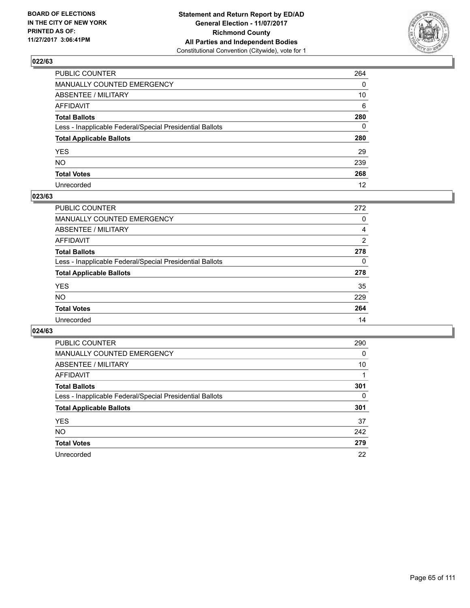

| PUBLIC COUNTER                                           | 264      |
|----------------------------------------------------------|----------|
| MANUALLY COUNTED EMERGENCY                               | 0        |
| <b>ABSENTEE / MILITARY</b>                               | 10       |
| AFFIDAVIT                                                | 6        |
| Total Ballots                                            | 280      |
| Less - Inapplicable Federal/Special Presidential Ballots | $\Omega$ |
| <b>Total Applicable Ballots</b>                          | 280      |
| YES                                                      | 29       |
| NO.                                                      | 239      |
| <b>Total Votes</b>                                       | 268      |
| Unrecorded                                               | 12       |

## **023/63**

| <b>PUBLIC COUNTER</b>                                    | 272 |
|----------------------------------------------------------|-----|
| <b>MANUALLY COUNTED EMERGENCY</b>                        | 0   |
| <b>ABSENTEE / MILITARY</b>                               | 4   |
| AFFIDAVIT                                                | 2   |
| <b>Total Ballots</b>                                     | 278 |
| Less - Inapplicable Federal/Special Presidential Ballots | 0   |
| <b>Total Applicable Ballots</b>                          | 278 |
| <b>YES</b>                                               | 35  |
| <b>NO</b>                                                | 229 |
| <b>Total Votes</b>                                       | 264 |
| Unrecorded                                               | 14  |

| <b>PUBLIC COUNTER</b>                                    | 290      |
|----------------------------------------------------------|----------|
| MANUALLY COUNTED EMERGENCY                               | 0        |
| ABSENTEE / MILITARY                                      | 10       |
| AFFIDAVIT                                                |          |
| <b>Total Ballots</b>                                     | 301      |
| Less - Inapplicable Federal/Special Presidential Ballots | $\Omega$ |
| <b>Total Applicable Ballots</b>                          | 301      |
| <b>YES</b>                                               | 37       |
| NO.                                                      | 242      |
| <b>Total Votes</b>                                       | 279      |
| Unrecorded                                               | 22       |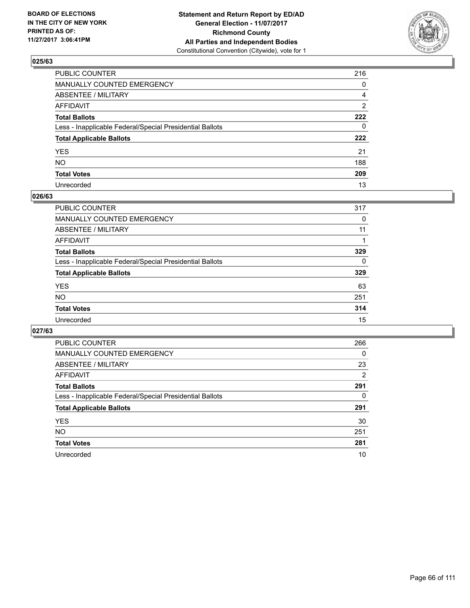

| PUBLIC COUNTER                                           | 216          |
|----------------------------------------------------------|--------------|
| MANUALLY COUNTED EMERGENCY                               | 0            |
| ABSENTEE / MILITARY                                      | 4            |
| AFFIDAVIT                                                | 2            |
| Total Ballots                                            | 222          |
| Less - Inapplicable Federal/Special Presidential Ballots | $\mathbf{0}$ |
| <b>Total Applicable Ballots</b>                          | 222          |
| YES                                                      | 21           |
| NO.                                                      | 188          |
| <b>Total Votes</b>                                       | 209          |
| Unrecorded                                               | 13           |

#### **026/63**

| <b>PUBLIC COUNTER</b>                                    | 317 |
|----------------------------------------------------------|-----|
| <b>MANUALLY COUNTED EMERGENCY</b>                        | 0   |
| ABSENTEE / MILITARY                                      | 11  |
| AFFIDAVIT                                                |     |
| <b>Total Ballots</b>                                     | 329 |
| Less - Inapplicable Federal/Special Presidential Ballots | 0   |
| <b>Total Applicable Ballots</b>                          | 329 |
| <b>YES</b>                                               | 63  |
| <b>NO</b>                                                | 251 |
| <b>Total Votes</b>                                       | 314 |
| Unrecorded                                               | 15  |

| <b>PUBLIC COUNTER</b>                                    | 266      |
|----------------------------------------------------------|----------|
| MANUALLY COUNTED EMERGENCY                               | $\Omega$ |
| ABSENTEE / MILITARY                                      | 23       |
| <b>AFFIDAVIT</b>                                         | 2        |
| <b>Total Ballots</b>                                     | 291      |
| Less - Inapplicable Federal/Special Presidential Ballots | 0        |
| <b>Total Applicable Ballots</b>                          | 291      |
| <b>YES</b>                                               | 30       |
| NO.                                                      | 251      |
| <b>Total Votes</b>                                       | 281      |
| Unrecorded                                               | 10       |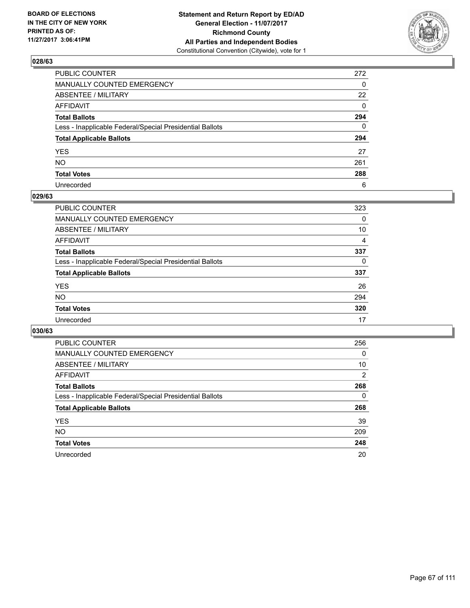

| PUBLIC COUNTER                                           | 272          |
|----------------------------------------------------------|--------------|
| MANUALLY COUNTED EMERGENCY                               | $\mathbf{0}$ |
| ABSENTEE / MILITARY                                      | 22           |
| AFFIDAVIT                                                | $\Omega$     |
| Total Ballots                                            | 294          |
| Less - Inapplicable Federal/Special Presidential Ballots | $\mathbf{0}$ |
| <b>Total Applicable Ballots</b>                          | 294          |
| YES                                                      | 27           |
| NO.                                                      | 261          |
| <b>Total Votes</b>                                       | 288          |
| Unrecorded                                               | 6            |

#### **029/63**

| <b>PUBLIC COUNTER</b>                                    | 323 |
|----------------------------------------------------------|-----|
| <b>MANUALLY COUNTED EMERGENCY</b>                        | 0   |
| ABSENTEE / MILITARY                                      | 10  |
| AFFIDAVIT                                                | 4   |
| <b>Total Ballots</b>                                     | 337 |
| Less - Inapplicable Federal/Special Presidential Ballots | 0   |
| <b>Total Applicable Ballots</b>                          | 337 |
| <b>YES</b>                                               | 26  |
| <b>NO</b>                                                | 294 |
| <b>Total Votes</b>                                       | 320 |
| Unrecorded                                               | 17  |

| <b>PUBLIC COUNTER</b>                                    | 256 |
|----------------------------------------------------------|-----|
| MANUALLY COUNTED EMERGENCY                               | 0   |
| ABSENTEE / MILITARY                                      | 10  |
| <b>AFFIDAVIT</b>                                         | 2   |
| <b>Total Ballots</b>                                     | 268 |
| Less - Inapplicable Federal/Special Presidential Ballots | 0   |
| <b>Total Applicable Ballots</b>                          | 268 |
| <b>YES</b>                                               | 39  |
| NO.                                                      | 209 |
| <b>Total Votes</b>                                       | 248 |
| Unrecorded                                               | 20  |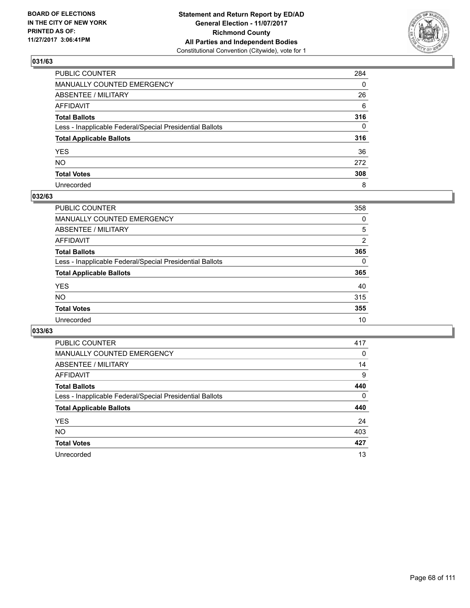

| PUBLIC COUNTER                                           | 284      |
|----------------------------------------------------------|----------|
| MANUALLY COUNTED EMERGENCY                               | 0        |
| ABSENTEE / MILITARY                                      | 26       |
| AFFIDAVIT                                                | 6        |
| Total Ballots                                            | 316      |
| Less - Inapplicable Federal/Special Presidential Ballots | $\Omega$ |
| <b>Total Applicable Ballots</b>                          | 316      |
| YES                                                      | 36       |
| NO.                                                      | 272      |
| <b>Total Votes</b>                                       | 308      |
| Unrecorded                                               | 8        |

#### **032/63**

| <b>PUBLIC COUNTER</b>                                    | 358      |
|----------------------------------------------------------|----------|
| MANUALLY COUNTED EMERGENCY                               | 0        |
| ABSENTEE / MILITARY                                      | 5        |
| AFFIDAVIT                                                | 2        |
| <b>Total Ballots</b>                                     | 365      |
| Less - Inapplicable Federal/Special Presidential Ballots | $\Omega$ |
| <b>Total Applicable Ballots</b>                          | 365      |
| <b>YES</b>                                               | 40       |
| <b>NO</b>                                                | 315      |
| <b>Total Votes</b>                                       | 355      |
| Unrecorded                                               | 10       |

| <b>PUBLIC COUNTER</b>                                    | 417 |
|----------------------------------------------------------|-----|
| MANUALLY COUNTED EMERGENCY                               | 0   |
| ABSENTEE / MILITARY                                      | 14  |
| <b>AFFIDAVIT</b>                                         | 9   |
| <b>Total Ballots</b>                                     | 440 |
| Less - Inapplicable Federal/Special Presidential Ballots | 0   |
| <b>Total Applicable Ballots</b>                          | 440 |
| <b>YES</b>                                               | 24  |
| NO.                                                      | 403 |
| <b>Total Votes</b>                                       | 427 |
| Unrecorded                                               | 13  |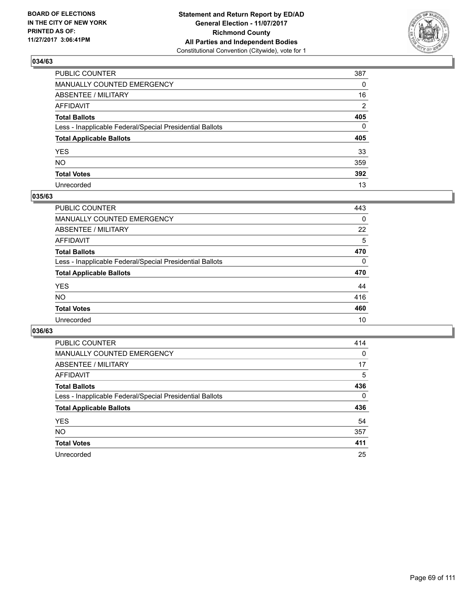

| PUBLIC COUNTER                                           | 387      |
|----------------------------------------------------------|----------|
| MANUALLY COUNTED EMERGENCY                               | 0        |
| ABSENTEE / MILITARY                                      | 16       |
| AFFIDAVIT                                                | 2        |
| Total Ballots                                            | 405      |
| Less - Inapplicable Federal/Special Presidential Ballots | $\Omega$ |
| <b>Total Applicable Ballots</b>                          | 405      |
| YES                                                      | 33       |
| NO.                                                      | 359      |
| <b>Total Votes</b>                                       | 392      |
| Unrecorded                                               | 13       |

#### **035/63**

| <b>PUBLIC COUNTER</b>                                    | 443 |
|----------------------------------------------------------|-----|
| <b>MANUALLY COUNTED EMERGENCY</b>                        | 0   |
| ABSENTEE / MILITARY                                      | 22  |
| AFFIDAVIT                                                | 5   |
| <b>Total Ballots</b>                                     | 470 |
| Less - Inapplicable Federal/Special Presidential Ballots | 0   |
| <b>Total Applicable Ballots</b>                          | 470 |
| <b>YES</b>                                               | 44  |
| <b>NO</b>                                                | 416 |
| <b>Total Votes</b>                                       | 460 |
| Unrecorded                                               | 10  |

| <b>PUBLIC COUNTER</b>                                    | 414 |
|----------------------------------------------------------|-----|
| MANUALLY COUNTED EMERGENCY                               | 0   |
| ABSENTEE / MILITARY                                      | 17  |
| <b>AFFIDAVIT</b>                                         | 5   |
| <b>Total Ballots</b>                                     | 436 |
| Less - Inapplicable Federal/Special Presidential Ballots | 0   |
| <b>Total Applicable Ballots</b>                          | 436 |
| <b>YES</b>                                               | 54  |
| NO.                                                      | 357 |
| <b>Total Votes</b>                                       | 411 |
| Unrecorded                                               | 25  |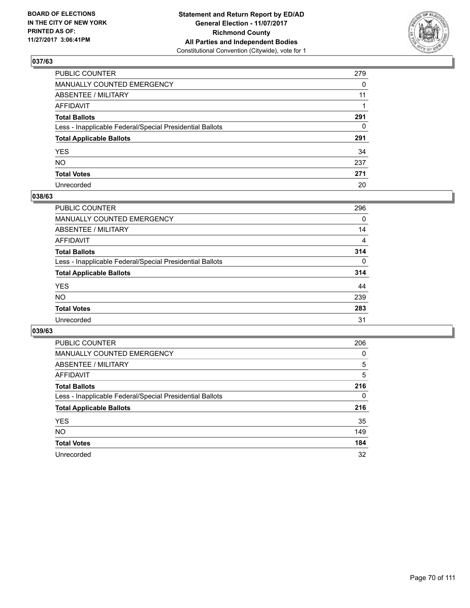

| PUBLIC COUNTER                                           | 279 |
|----------------------------------------------------------|-----|
| MANUALLY COUNTED EMERGENCY                               | 0   |
| ABSENTEE / MILITARY                                      | 11  |
| AFFIDAVIT                                                |     |
| Total Ballots                                            | 291 |
| Less - Inapplicable Federal/Special Presidential Ballots | 0   |
| <b>Total Applicable Ballots</b>                          | 291 |
| YES                                                      | 34  |
| NO.                                                      | 237 |
| <b>Total Votes</b>                                       | 271 |
| Unrecorded                                               | 20  |

#### **038/63**

| <b>PUBLIC COUNTER</b>                                    | 296      |
|----------------------------------------------------------|----------|
| <b>MANUALLY COUNTED EMERGENCY</b>                        | 0        |
| <b>ABSENTEE / MILITARY</b>                               | 14       |
| AFFIDAVIT                                                | 4        |
| <b>Total Ballots</b>                                     | 314      |
| Less - Inapplicable Federal/Special Presidential Ballots | $\Omega$ |
| <b>Total Applicable Ballots</b>                          | 314      |
| <b>YES</b>                                               | 44       |
| <b>NO</b>                                                | 239      |
| <b>Total Votes</b>                                       | 283      |
| Unrecorded                                               | 31       |

| <b>PUBLIC COUNTER</b>                                    | 206 |
|----------------------------------------------------------|-----|
| MANUALLY COUNTED EMERGENCY                               | 0   |
| ABSENTEE / MILITARY                                      | 5   |
| <b>AFFIDAVIT</b>                                         | 5   |
| <b>Total Ballots</b>                                     | 216 |
| Less - Inapplicable Federal/Special Presidential Ballots | 0   |
| <b>Total Applicable Ballots</b>                          | 216 |
| <b>YES</b>                                               | 35  |
| NO.                                                      | 149 |
| <b>Total Votes</b>                                       | 184 |
| Unrecorded                                               | 32  |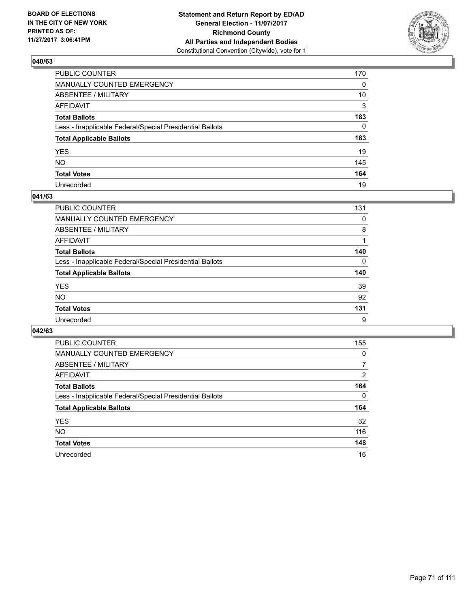

| PUBLIC COUNTER                                           | 170 |
|----------------------------------------------------------|-----|
| MANUALLY COUNTED EMERGENCY                               | 0   |
| ABSENTEE / MILITARY                                      | 10  |
| AFFIDAVIT                                                | 3   |
| Total Ballots                                            | 183 |
| Less - Inapplicable Federal/Special Presidential Ballots | 0   |
| <b>Total Applicable Ballots</b>                          | 183 |
| YES                                                      | 19  |
| NO.                                                      | 145 |
| <b>Total Votes</b>                                       | 164 |
| Unrecorded                                               | 19  |

#### **041/63**

| <b>PUBLIC COUNTER</b>                                    | 131 |
|----------------------------------------------------------|-----|
| <b>MANUALLY COUNTED EMERGENCY</b>                        | 0   |
| ABSENTEE / MILITARY                                      | 8   |
| AFFIDAVIT                                                |     |
| <b>Total Ballots</b>                                     | 140 |
| Less - Inapplicable Federal/Special Presidential Ballots | 0   |
| <b>Total Applicable Ballots</b>                          | 140 |
| <b>YES</b>                                               | 39  |
| <b>NO</b>                                                | 92  |
| <b>Total Votes</b>                                       | 131 |
| Unrecorded                                               | 9   |

| <b>PUBLIC COUNTER</b>                                    | 155 |
|----------------------------------------------------------|-----|
| MANUALLY COUNTED EMERGENCY                               | 0   |
| ABSENTEE / MILITARY                                      | 7   |
| AFFIDAVIT                                                | 2   |
| <b>Total Ballots</b>                                     | 164 |
| Less - Inapplicable Federal/Special Presidential Ballots | 0   |
| <b>Total Applicable Ballots</b>                          | 164 |
| <b>YES</b>                                               | 32  |
| <b>NO</b>                                                | 116 |
| <b>Total Votes</b>                                       | 148 |
| Unrecorded                                               | 16  |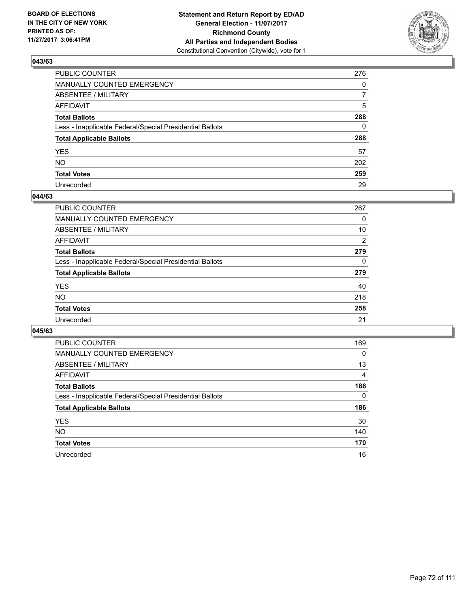

| PUBLIC COUNTER                                           | 276          |
|----------------------------------------------------------|--------------|
| MANUALLY COUNTED EMERGENCY                               | 0            |
| <b>ABSENTEE / MILITARY</b>                               | 7            |
| AFFIDAVIT                                                | 5            |
| Total Ballots                                            | 288          |
| Less - Inapplicable Federal/Special Presidential Ballots | $\mathbf{0}$ |
| <b>Total Applicable Ballots</b>                          | 288          |
| YES                                                      | 57           |
| NO.                                                      | 202          |
| <b>Total Votes</b>                                       | 259          |
| Unrecorded                                               | 29           |

#### **044/63**

| <b>PUBLIC COUNTER</b>                                    | 267 |
|----------------------------------------------------------|-----|
| <b>MANUALLY COUNTED EMERGENCY</b>                        | 0   |
| <b>ABSENTEE / MILITARY</b>                               | 10  |
| AFFIDAVIT                                                | 2   |
| <b>Total Ballots</b>                                     | 279 |
| Less - Inapplicable Federal/Special Presidential Ballots | 0   |
| <b>Total Applicable Ballots</b>                          | 279 |
| <b>YES</b>                                               | 40  |
| NO                                                       | 218 |
| <b>Total Votes</b>                                       | 258 |
| Unrecorded                                               | 21  |

| <b>PUBLIC COUNTER</b>                                    | 169      |
|----------------------------------------------------------|----------|
| MANUALLY COUNTED EMERGENCY                               | $\Omega$ |
| ABSENTEE / MILITARY                                      | 13       |
| <b>AFFIDAVIT</b>                                         | 4        |
| <b>Total Ballots</b>                                     | 186      |
| Less - Inapplicable Federal/Special Presidential Ballots | 0        |
| <b>Total Applicable Ballots</b>                          | 186      |
| <b>YES</b>                                               | 30       |
| NO.                                                      | 140      |
| <b>Total Votes</b>                                       | 170      |
| Unrecorded                                               | 16       |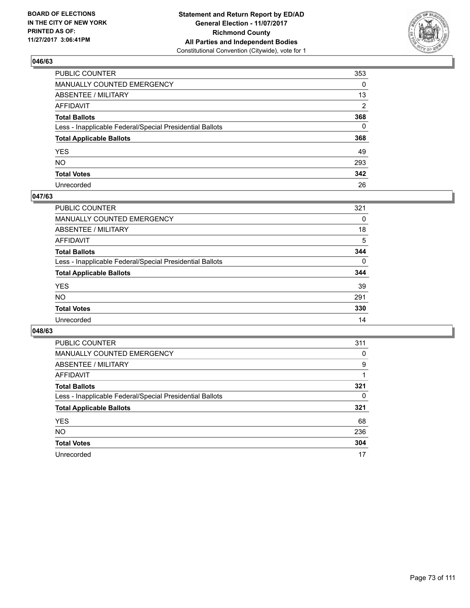

| PUBLIC COUNTER                                           | 353 |
|----------------------------------------------------------|-----|
| MANUALLY COUNTED EMERGENCY                               | 0   |
| ABSENTEE / MILITARY                                      | 13  |
| AFFIDAVIT                                                | 2   |
| Total Ballots                                            | 368 |
| Less - Inapplicable Federal/Special Presidential Ballots | 0   |
| <b>Total Applicable Ballots</b>                          | 368 |
| YES                                                      | 49  |
| NO.                                                      | 293 |
| <b>Total Votes</b>                                       | 342 |
| Unrecorded                                               | 26  |

#### **047/63**

| <b>PUBLIC COUNTER</b>                                    | 321      |
|----------------------------------------------------------|----------|
| <b>MANUALLY COUNTED EMERGENCY</b>                        | 0        |
| ABSENTEE / MILITARY                                      | 18       |
| AFFIDAVIT                                                | 5        |
| <b>Total Ballots</b>                                     | 344      |
| Less - Inapplicable Federal/Special Presidential Ballots | $\Omega$ |
| <b>Total Applicable Ballots</b>                          | 344      |
| <b>YES</b>                                               | 39       |
| <b>NO</b>                                                | 291      |
| <b>Total Votes</b>                                       | 330      |
| Unrecorded                                               | 14       |

| <b>PUBLIC COUNTER</b>                                    | 311 |
|----------------------------------------------------------|-----|
| MANUALLY COUNTED EMERGENCY                               | 0   |
| ABSENTEE / MILITARY                                      | 9   |
| AFFIDAVIT                                                |     |
| <b>Total Ballots</b>                                     | 321 |
| Less - Inapplicable Federal/Special Presidential Ballots | 0   |
| <b>Total Applicable Ballots</b>                          | 321 |
| <b>YES</b>                                               | 68  |
| <b>NO</b>                                                | 236 |
| <b>Total Votes</b>                                       | 304 |
| Unrecorded                                               | 17  |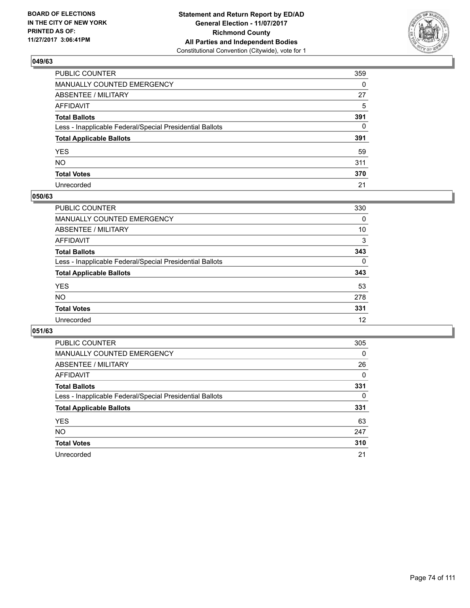

| PUBLIC COUNTER                                           | 359      |
|----------------------------------------------------------|----------|
| MANUALLY COUNTED EMERGENCY                               | $\Omega$ |
| ABSENTEE / MILITARY                                      | 27       |
| AFFIDAVIT                                                | 5        |
| Total Ballots                                            | 391      |
| Less - Inapplicable Federal/Special Presidential Ballots | 0        |
| <b>Total Applicable Ballots</b>                          | 391      |
| YES                                                      | 59       |
| NO.                                                      | 311      |
| <b>Total Votes</b>                                       | 370      |
| Unrecorded                                               | 21       |

#### **050/63**

| <b>PUBLIC COUNTER</b>                                    | 330 |
|----------------------------------------------------------|-----|
| <b>MANUALLY COUNTED EMERGENCY</b>                        | 0   |
| ABSENTEE / MILITARY                                      | 10  |
| AFFIDAVIT                                                | 3   |
| <b>Total Ballots</b>                                     | 343 |
| Less - Inapplicable Federal/Special Presidential Ballots | 0   |
| <b>Total Applicable Ballots</b>                          | 343 |
| <b>YES</b>                                               | 53  |
| <b>NO</b>                                                | 278 |
| <b>Total Votes</b>                                       | 331 |
| Unrecorded                                               | 12  |

| <b>PUBLIC COUNTER</b>                                    | 305      |
|----------------------------------------------------------|----------|
| MANUALLY COUNTED EMERGENCY                               | $\Omega$ |
| ABSENTEE / MILITARY                                      | 26       |
| <b>AFFIDAVIT</b>                                         | 0        |
| <b>Total Ballots</b>                                     | 331      |
| Less - Inapplicable Federal/Special Presidential Ballots | 0        |
| <b>Total Applicable Ballots</b>                          | 331      |
| <b>YES</b>                                               | 63       |
| NO.                                                      | 247      |
| <b>Total Votes</b>                                       | 310      |
| Unrecorded                                               | 21       |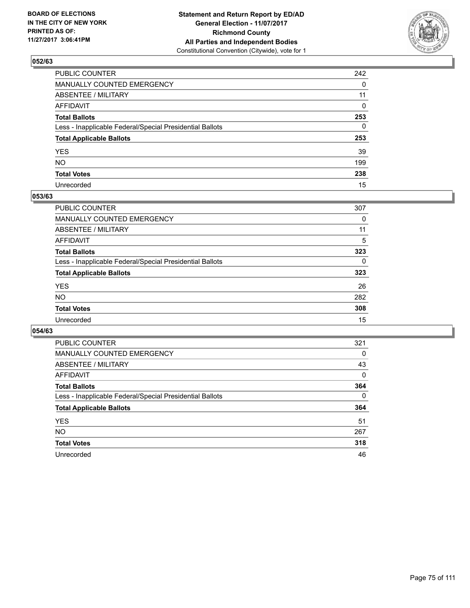

| PUBLIC COUNTER                                           | 242      |
|----------------------------------------------------------|----------|
| MANUALLY COUNTED EMERGENCY                               | 0        |
| ABSENTEE / MILITARY                                      | 11       |
| AFFIDAVIT                                                | $\Omega$ |
| Total Ballots                                            | 253      |
| Less - Inapplicable Federal/Special Presidential Ballots | 0        |
| <b>Total Applicable Ballots</b>                          | 253      |
| YES                                                      | 39       |
| NO.                                                      | 199      |
| <b>Total Votes</b>                                       | 238      |
| Unrecorded                                               | 15       |

#### **053/63**

| <b>PUBLIC COUNTER</b>                                    | 307 |
|----------------------------------------------------------|-----|
| <b>MANUALLY COUNTED EMERGENCY</b>                        | 0   |
| ABSENTEE / MILITARY                                      | 11  |
| AFFIDAVIT                                                | 5   |
| <b>Total Ballots</b>                                     | 323 |
| Less - Inapplicable Federal/Special Presidential Ballots | 0   |
| <b>Total Applicable Ballots</b>                          | 323 |
| <b>YES</b>                                               | 26  |
| <b>NO</b>                                                | 282 |
| <b>Total Votes</b>                                       | 308 |
| Unrecorded                                               | 15  |

| <b>PUBLIC COUNTER</b>                                    | 321      |
|----------------------------------------------------------|----------|
| MANUALLY COUNTED EMERGENCY                               | 0        |
| ABSENTEE / MILITARY                                      | 43       |
| AFFIDAVIT                                                | $\Omega$ |
| <b>Total Ballots</b>                                     | 364      |
| Less - Inapplicable Federal/Special Presidential Ballots | 0        |
| <b>Total Applicable Ballots</b>                          | 364      |
| <b>YES</b>                                               | 51       |
| <b>NO</b>                                                | 267      |
| <b>Total Votes</b>                                       | 318      |
| Unrecorded                                               | 46       |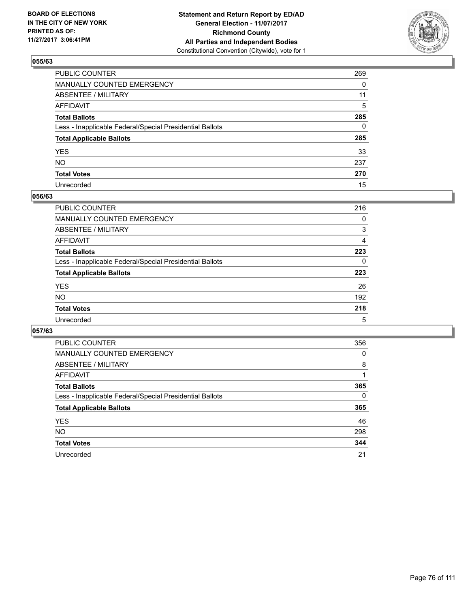

| PUBLIC COUNTER                                           | 269 |
|----------------------------------------------------------|-----|
| MANUALLY COUNTED EMERGENCY                               | 0   |
| ABSENTEE / MILITARY                                      | 11  |
| AFFIDAVIT                                                | 5   |
| Total Ballots                                            | 285 |
| Less - Inapplicable Federal/Special Presidential Ballots | 0   |
| <b>Total Applicable Ballots</b>                          | 285 |
| YES                                                      | 33  |
| NO.                                                      | 237 |
| <b>Total Votes</b>                                       | 270 |
| Unrecorded                                               | 15  |

#### **056/63**

| <b>PUBLIC COUNTER</b>                                    | 216 |
|----------------------------------------------------------|-----|
| <b>MANUALLY COUNTED EMERGENCY</b>                        | 0   |
| ABSENTEE / MILITARY                                      | 3   |
| AFFIDAVIT                                                | 4   |
| <b>Total Ballots</b>                                     | 223 |
| Less - Inapplicable Federal/Special Presidential Ballots | 0   |
| <b>Total Applicable Ballots</b>                          | 223 |
| <b>YES</b>                                               | 26  |
| <b>NO</b>                                                | 192 |
| <b>Total Votes</b>                                       | 218 |
| Unrecorded                                               | 5   |

| <b>PUBLIC COUNTER</b>                                    | 356 |
|----------------------------------------------------------|-----|
| MANUALLY COUNTED EMERGENCY                               | 0   |
| ABSENTEE / MILITARY                                      | 8   |
| <b>AFFIDAVIT</b>                                         |     |
| <b>Total Ballots</b>                                     | 365 |
| Less - Inapplicable Federal/Special Presidential Ballots | 0   |
| <b>Total Applicable Ballots</b>                          | 365 |
| <b>YES</b>                                               | 46  |
| NO.                                                      | 298 |
| <b>Total Votes</b>                                       | 344 |
| Unrecorded                                               | 21  |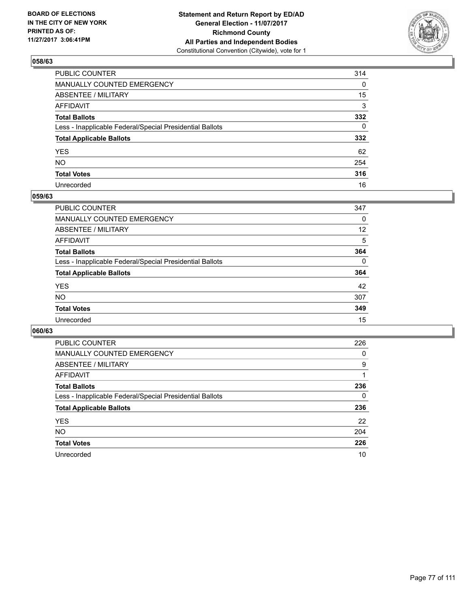

| PUBLIC COUNTER                                           | 314          |
|----------------------------------------------------------|--------------|
| MANUALLY COUNTED EMERGENCY                               | 0            |
| <b>ABSENTEE / MILITARY</b>                               | 15           |
| AFFIDAVIT                                                | 3            |
| Total Ballots                                            | 332          |
| Less - Inapplicable Federal/Special Presidential Ballots | $\mathbf{0}$ |
| <b>Total Applicable Ballots</b>                          | 332          |
| YES                                                      | 62           |
| NO.                                                      | 254          |
| <b>Total Votes</b>                                       | 316          |
| Unrecorded                                               | 16           |

#### **059/63**

| <b>PUBLIC COUNTER</b>                                    | 347      |
|----------------------------------------------------------|----------|
| <b>MANUALLY COUNTED EMERGENCY</b>                        | 0        |
| ABSENTEE / MILITARY                                      | 12       |
| AFFIDAVIT                                                | 5        |
| <b>Total Ballots</b>                                     | 364      |
| Less - Inapplicable Federal/Special Presidential Ballots | $\Omega$ |
| <b>Total Applicable Ballots</b>                          | 364      |
| <b>YES</b>                                               | 42       |
| <b>NO</b>                                                | 307      |
| <b>Total Votes</b>                                       | 349      |
| Unrecorded                                               | 15       |

| <b>PUBLIC COUNTER</b>                                    | 226 |
|----------------------------------------------------------|-----|
| MANUALLY COUNTED EMERGENCY                               | 0   |
| ABSENTEE / MILITARY                                      | 9   |
| AFFIDAVIT                                                |     |
| <b>Total Ballots</b>                                     | 236 |
| Less - Inapplicable Federal/Special Presidential Ballots | 0   |
| <b>Total Applicable Ballots</b>                          | 236 |
| <b>YES</b>                                               | 22  |
| <b>NO</b>                                                | 204 |
| <b>Total Votes</b>                                       | 226 |
| Unrecorded                                               | 10  |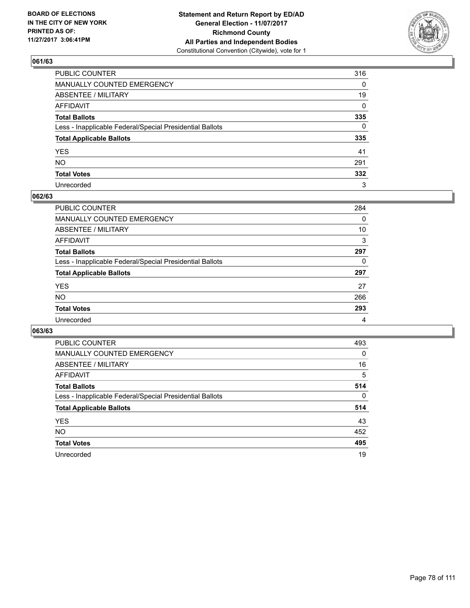

| PUBLIC COUNTER                                           | 316          |
|----------------------------------------------------------|--------------|
| MANUALLY COUNTED EMERGENCY                               | 0            |
| <b>ABSENTEE / MILITARY</b>                               | 19           |
| AFFIDAVIT                                                | $\mathbf{0}$ |
| Total Ballots                                            | 335          |
| Less - Inapplicable Federal/Special Presidential Ballots | $\mathbf{0}$ |
| <b>Total Applicable Ballots</b>                          | 335          |
| YES                                                      | 41           |
| NO.                                                      | 291          |
| <b>Total Votes</b>                                       | 332          |
| Unrecorded                                               | 3            |

#### **062/63**

| <b>PUBLIC COUNTER</b>                                    | 284 |
|----------------------------------------------------------|-----|
| <b>MANUALLY COUNTED EMERGENCY</b>                        | 0   |
| <b>ABSENTEE / MILITARY</b>                               | 10  |
| AFFIDAVIT                                                | 3   |
| <b>Total Ballots</b>                                     | 297 |
| Less - Inapplicable Federal/Special Presidential Ballots | 0   |
| <b>Total Applicable Ballots</b>                          | 297 |
| <b>YES</b>                                               | 27  |
| NO                                                       | 266 |
| <b>Total Votes</b>                                       | 293 |
| Unrecorded                                               | 4   |

| <b>PUBLIC COUNTER</b>                                    | 493      |
|----------------------------------------------------------|----------|
| MANUALLY COUNTED EMERGENCY                               | 0        |
| ABSENTEE / MILITARY                                      | 16       |
| AFFIDAVIT                                                | 5        |
| <b>Total Ballots</b>                                     | 514      |
| Less - Inapplicable Federal/Special Presidential Ballots | $\Omega$ |
| <b>Total Applicable Ballots</b>                          | 514      |
| <b>YES</b>                                               | 43       |
| <b>NO</b>                                                | 452      |
| <b>Total Votes</b>                                       | 495      |
| Unrecorded                                               | 19       |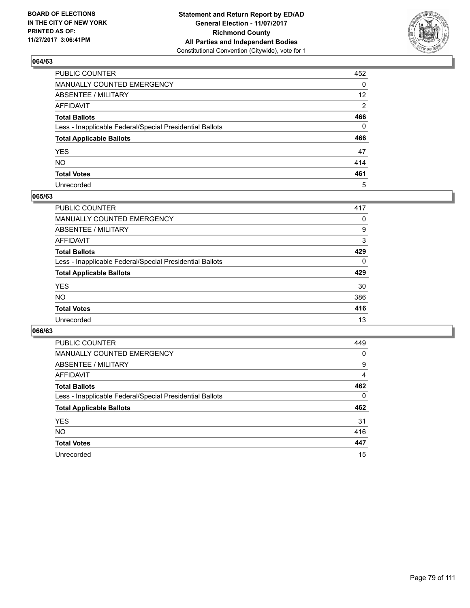

| PUBLIC COUNTER                                           | 452             |
|----------------------------------------------------------|-----------------|
| MANUALLY COUNTED EMERGENCY                               | 0               |
| ABSENTEE / MILITARY                                      | 12 <sup>2</sup> |
| AFFIDAVIT                                                | 2               |
| Total Ballots                                            | 466             |
| Less - Inapplicable Federal/Special Presidential Ballots | $\mathbf{0}$    |
| <b>Total Applicable Ballots</b>                          | 466             |
| YES                                                      | 47              |
| NO.                                                      | 414             |
| <b>Total Votes</b>                                       | 461             |
| Unrecorded                                               | 5               |

#### **065/63**

| <b>PUBLIC COUNTER</b>                                    | 417 |
|----------------------------------------------------------|-----|
| MANUALLY COUNTED EMERGENCY                               | 0   |
| <b>ABSENTEE / MILITARY</b>                               | 9   |
| AFFIDAVIT                                                | 3   |
| <b>Total Ballots</b>                                     | 429 |
| Less - Inapplicable Federal/Special Presidential Ballots | 0   |
| <b>Total Applicable Ballots</b>                          | 429 |
| <b>YES</b>                                               | 30  |
| <b>NO</b>                                                | 386 |
| <b>Total Votes</b>                                       | 416 |
| Unrecorded                                               | 13  |

| <b>PUBLIC COUNTER</b>                                    | 449 |
|----------------------------------------------------------|-----|
| MANUALLY COUNTED EMERGENCY                               | 0   |
| ABSENTEE / MILITARY                                      | 9   |
| AFFIDAVIT                                                | 4   |
| <b>Total Ballots</b>                                     | 462 |
| Less - Inapplicable Federal/Special Presidential Ballots | 0   |
| <b>Total Applicable Ballots</b>                          | 462 |
| <b>YES</b>                                               | 31  |
| <b>NO</b>                                                | 416 |
| <b>Total Votes</b>                                       | 447 |
| Unrecorded                                               | 15  |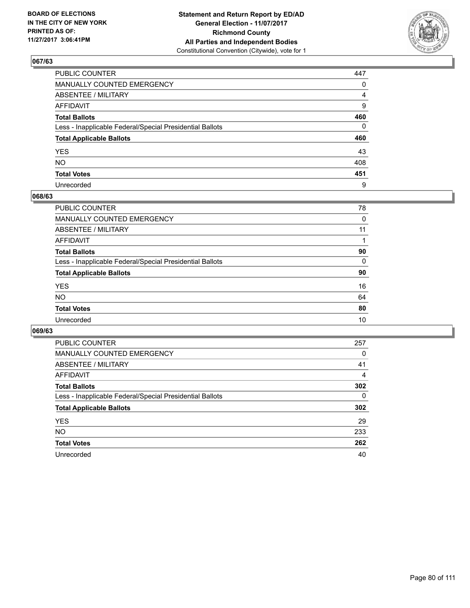

| PUBLIC COUNTER                                           | 447          |
|----------------------------------------------------------|--------------|
| MANUALLY COUNTED EMERGENCY                               | 0            |
| ABSENTEE / MILITARY                                      | 4            |
| AFFIDAVIT                                                | 9            |
| Total Ballots                                            | 460          |
| Less - Inapplicable Federal/Special Presidential Ballots | $\mathbf{0}$ |
| <b>Total Applicable Ballots</b>                          | 460          |
| YES                                                      | 43           |
| NO.                                                      | 408          |
| <b>Total Votes</b>                                       | 451          |
| Unrecorded                                               | 9            |

#### **068/63**

| <b>PUBLIC COUNTER</b>                                    | 78 |
|----------------------------------------------------------|----|
| MANUALLY COUNTED EMERGENCY                               | 0  |
| ABSENTEE / MILITARY                                      | 11 |
| AFFIDAVIT                                                |    |
| <b>Total Ballots</b>                                     | 90 |
| Less - Inapplicable Federal/Special Presidential Ballots | 0  |
| <b>Total Applicable Ballots</b>                          | 90 |
| <b>YES</b>                                               | 16 |
| <b>NO</b>                                                | 64 |
| <b>Total Votes</b>                                       | 80 |
| Unrecorded                                               | 10 |

| <b>PUBLIC COUNTER</b>                                    | 257 |
|----------------------------------------------------------|-----|
| MANUALLY COUNTED EMERGENCY                               | 0   |
| ABSENTEE / MILITARY                                      | 41  |
| AFFIDAVIT                                                | 4   |
| <b>Total Ballots</b>                                     | 302 |
| Less - Inapplicable Federal/Special Presidential Ballots | 0   |
| <b>Total Applicable Ballots</b>                          | 302 |
| <b>YES</b>                                               | 29  |
| NO.                                                      | 233 |
| <b>Total Votes</b>                                       | 262 |
| Unrecorded                                               | 40  |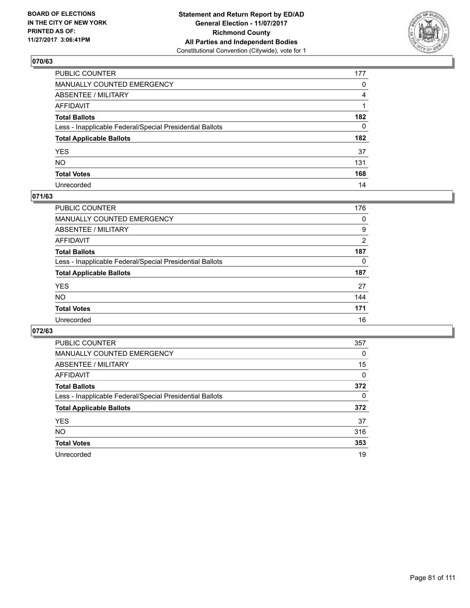

| PUBLIC COUNTER                                           | 177          |
|----------------------------------------------------------|--------------|
| MANUALLY COUNTED EMERGENCY                               | 0            |
| ABSENTEE / MILITARY                                      | 4            |
| AFFIDAVIT                                                |              |
| Total Ballots                                            | 182          |
| Less - Inapplicable Federal/Special Presidential Ballots | $\mathbf{0}$ |
| <b>Total Applicable Ballots</b>                          | 182          |
| YES                                                      | 37           |
| NO.                                                      | 131          |
| <b>Total Votes</b>                                       | 168          |
| Unrecorded                                               | 14           |

#### **071/63**

| PUBLIC COUNTER                                           | 176 |
|----------------------------------------------------------|-----|
| MANUALLY COUNTED EMERGENCY                               | 0   |
| ABSENTEE / MILITARY                                      | 9   |
| AFFIDAVIT                                                | 2   |
| <b>Total Ballots</b>                                     | 187 |
| Less - Inapplicable Federal/Special Presidential Ballots | 0   |
| <b>Total Applicable Ballots</b>                          | 187 |
| <b>YES</b>                                               | 27  |
| <b>NO</b>                                                | 144 |
| <b>Total Votes</b>                                       | 171 |
| Unrecorded                                               | 16  |

| <b>PUBLIC COUNTER</b>                                    | 357 |
|----------------------------------------------------------|-----|
| MANUALLY COUNTED EMERGENCY                               | 0   |
| ABSENTEE / MILITARY                                      | 15  |
| AFFIDAVIT                                                | 0   |
| <b>Total Ballots</b>                                     | 372 |
| Less - Inapplicable Federal/Special Presidential Ballots | 0   |
| <b>Total Applicable Ballots</b>                          | 372 |
| <b>YES</b>                                               | 37  |
| NO.                                                      | 316 |
| <b>Total Votes</b>                                       | 353 |
| Unrecorded                                               | 19  |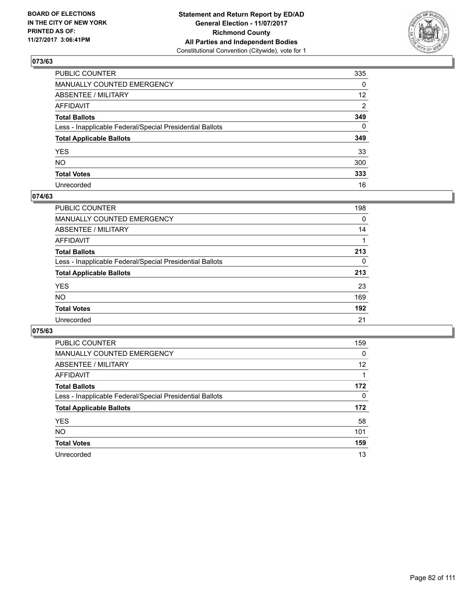

| PUBLIC COUNTER                                           | 335             |
|----------------------------------------------------------|-----------------|
| MANUALLY COUNTED EMERGENCY                               | 0               |
| ABSENTEE / MILITARY                                      | 12 <sup>2</sup> |
| AFFIDAVIT                                                | 2               |
| Total Ballots                                            | 349             |
| Less - Inapplicable Federal/Special Presidential Ballots | $\mathbf{0}$    |
| <b>Total Applicable Ballots</b>                          | 349             |
| YES                                                      | 33              |
| NO.                                                      | 300             |
| <b>Total Votes</b>                                       | 333             |
| Unrecorded                                               | 16              |

#### **074/63**

| <b>PUBLIC COUNTER</b>                                    | 198 |
|----------------------------------------------------------|-----|
| <b>MANUALLY COUNTED EMERGENCY</b>                        | 0   |
| ABSENTEE / MILITARY                                      | 14  |
| AFFIDAVIT                                                |     |
| <b>Total Ballots</b>                                     | 213 |
| Less - Inapplicable Federal/Special Presidential Ballots | 0   |
| <b>Total Applicable Ballots</b>                          | 213 |
| <b>YES</b>                                               | 23  |
| <b>NO</b>                                                | 169 |
| <b>Total Votes</b>                                       | 192 |
| Unrecorded                                               | 21  |

| <b>PUBLIC COUNTER</b>                                    | 159      |
|----------------------------------------------------------|----------|
| MANUALLY COUNTED EMERGENCY                               | $\Omega$ |
| ABSENTEE / MILITARY                                      | 12       |
| AFFIDAVIT                                                |          |
| <b>Total Ballots</b>                                     | 172      |
| Less - Inapplicable Federal/Special Presidential Ballots | 0        |
| <b>Total Applicable Ballots</b>                          | 172      |
| <b>YES</b>                                               | 58       |
| <b>NO</b>                                                | 101      |
| <b>Total Votes</b>                                       | 159      |
| Unrecorded                                               | 13       |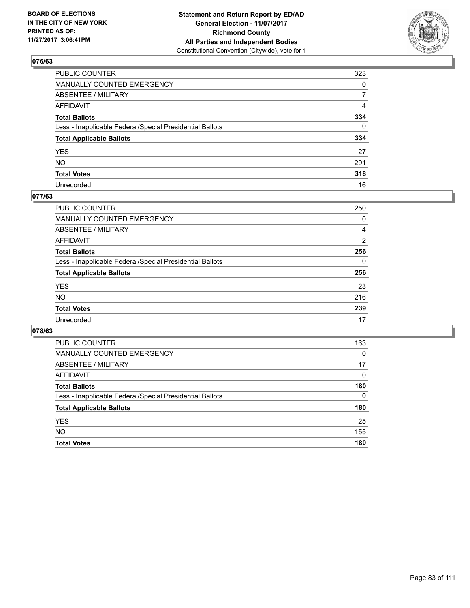

| PUBLIC COUNTER                                           | 323            |
|----------------------------------------------------------|----------------|
| MANUALLY COUNTED EMERGENCY                               | $\mathbf{0}$   |
| ABSENTEE / MILITARY                                      | $\overline{7}$ |
| AFFIDAVIT                                                | 4              |
| Total Ballots                                            | 334            |
| Less - Inapplicable Federal/Special Presidential Ballots | $\mathbf{0}$   |
| <b>Total Applicable Ballots</b>                          | 334            |
| YES                                                      | 27             |
| NO.                                                      | 291            |
| <b>Total Votes</b>                                       | 318            |
| Unrecorded                                               | 16             |

### **077/63**

| <b>PUBLIC COUNTER</b>                                    | 250 |
|----------------------------------------------------------|-----|
| MANUALLY COUNTED EMERGENCY                               | 0   |
| ABSENTEE / MILITARY                                      | 4   |
| AFFIDAVIT                                                | 2   |
| <b>Total Ballots</b>                                     | 256 |
| Less - Inapplicable Federal/Special Presidential Ballots | 0   |
| <b>Total Applicable Ballots</b>                          | 256 |
| <b>YES</b>                                               | 23  |
| <b>NO</b>                                                | 216 |
| <b>Total Votes</b>                                       | 239 |
| Unrecorded                                               | 17  |

| <b>PUBLIC COUNTER</b>                                    | 163 |
|----------------------------------------------------------|-----|
| <b>MANUALLY COUNTED EMERGENCY</b>                        | 0   |
| ABSENTEE / MILITARY                                      | 17  |
| AFFIDAVIT                                                | 0   |
| <b>Total Ballots</b>                                     | 180 |
| Less - Inapplicable Federal/Special Presidential Ballots | 0   |
| <b>Total Applicable Ballots</b>                          | 180 |
| <b>YES</b>                                               | 25  |
| <b>NO</b>                                                | 155 |
| <b>Total Votes</b>                                       | 180 |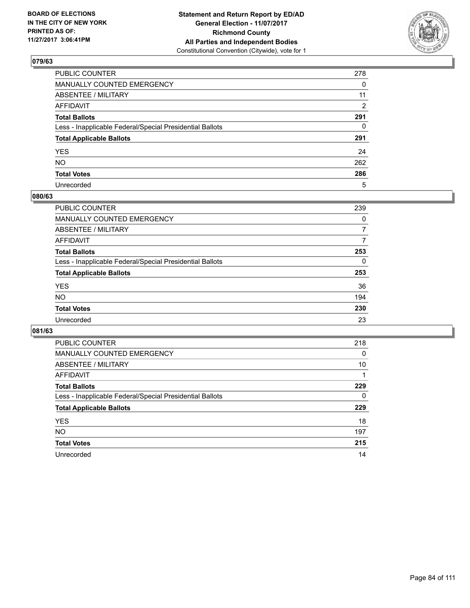

| PUBLIC COUNTER                                           | 278 |
|----------------------------------------------------------|-----|
| MANUALLY COUNTED EMERGENCY                               | 0   |
| ABSENTEE / MILITARY                                      | 11  |
| AFFIDAVIT                                                | 2   |
| Total Ballots                                            | 291 |
| Less - Inapplicable Federal/Special Presidential Ballots | 0   |
| <b>Total Applicable Ballots</b>                          | 291 |
| YES                                                      | 24  |
| NO.                                                      | 262 |
| <b>Total Votes</b>                                       | 286 |
| Unrecorded                                               | 5   |

#### **080/63**

| <b>PUBLIC COUNTER</b>                                    | 239 |
|----------------------------------------------------------|-----|
| MANUALLY COUNTED EMERGENCY                               | 0   |
| ABSENTEE / MILITARY                                      | 7   |
| AFFIDAVIT                                                | 7   |
| <b>Total Ballots</b>                                     | 253 |
| Less - Inapplicable Federal/Special Presidential Ballots | 0   |
| <b>Total Applicable Ballots</b>                          | 253 |
| <b>YES</b>                                               | 36  |
| <b>NO</b>                                                | 194 |
| <b>Total Votes</b>                                       | 230 |
| Unrecorded                                               | 23  |

| <b>PUBLIC COUNTER</b>                                    | 218 |
|----------------------------------------------------------|-----|
| MANUALLY COUNTED EMERGENCY                               | 0   |
| ABSENTEE / MILITARY                                      | 10  |
| AFFIDAVIT                                                |     |
| <b>Total Ballots</b>                                     | 229 |
| Less - Inapplicable Federal/Special Presidential Ballots | 0   |
| <b>Total Applicable Ballots</b>                          | 229 |
| <b>YES</b>                                               | 18  |
| NO.                                                      | 197 |
| <b>Total Votes</b>                                       | 215 |
|                                                          |     |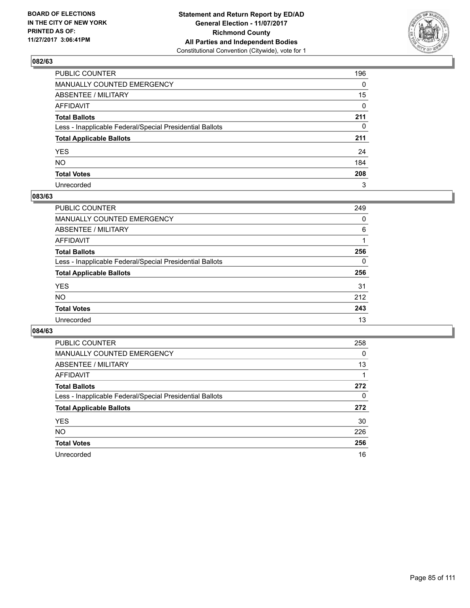

| PUBLIC COUNTER                                           | 196          |
|----------------------------------------------------------|--------------|
| MANUALLY COUNTED EMERGENCY                               | $\Omega$     |
| ABSENTEE / MILITARY                                      | 15           |
| AFFIDAVIT                                                | 0            |
| Total Ballots                                            | 211          |
| Less - Inapplicable Federal/Special Presidential Ballots | $\mathbf{0}$ |
| <b>Total Applicable Ballots</b>                          | 211          |
| YES                                                      | 24           |
| NO.                                                      | 184          |
| <b>Total Votes</b>                                       | 208          |
| Unrecorded                                               | 3            |

#### **083/63**

| <b>PUBLIC COUNTER</b>                                    | 249 |
|----------------------------------------------------------|-----|
| <b>MANUALLY COUNTED EMERGENCY</b>                        | 0   |
| ABSENTEE / MILITARY                                      | 6   |
| AFFIDAVIT                                                |     |
| <b>Total Ballots</b>                                     | 256 |
| Less - Inapplicable Federal/Special Presidential Ballots | 0   |
| <b>Total Applicable Ballots</b>                          | 256 |
| <b>YES</b>                                               | 31  |
| <b>NO</b>                                                | 212 |
| <b>Total Votes</b>                                       | 243 |
| Unrecorded                                               | 13  |

| <b>PUBLIC COUNTER</b>                                    | 258 |
|----------------------------------------------------------|-----|
| MANUALLY COUNTED EMERGENCY                               | 0   |
| ABSENTEE / MILITARY                                      | 13  |
| AFFIDAVIT                                                |     |
| <b>Total Ballots</b>                                     | 272 |
| Less - Inapplicable Federal/Special Presidential Ballots | 0   |
| <b>Total Applicable Ballots</b>                          | 272 |
| <b>YES</b>                                               | 30  |
| <b>NO</b>                                                | 226 |
| <b>Total Votes</b>                                       | 256 |
| Unrecorded                                               | 16  |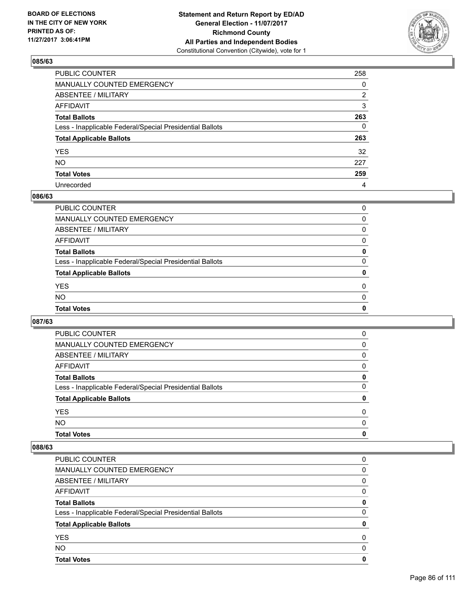

| PUBLIC COUNTER                                           | 258          |
|----------------------------------------------------------|--------------|
| MANUALLY COUNTED EMERGENCY                               | $\Omega$     |
| ABSENTEE / MILITARY                                      | 2            |
| AFFIDAVIT                                                | 3            |
| Total Ballots                                            | 263          |
| Less - Inapplicable Federal/Special Presidential Ballots | $\mathbf{0}$ |
| <b>Total Applicable Ballots</b>                          | 263          |
| YES                                                      | 32           |
| NO.                                                      | 227          |
| <b>Total Votes</b>                                       | 259          |
| Unrecorded                                               | 4            |

#### **086/63**

| <b>Total Votes</b>                                       | 0            |
|----------------------------------------------------------|--------------|
| <b>NO</b>                                                | 0            |
| <b>YES</b>                                               | 0            |
| <b>Total Applicable Ballots</b>                          | $\mathbf{0}$ |
| Less - Inapplicable Federal/Special Presidential Ballots | 0            |
| <b>Total Ballots</b>                                     | 0            |
| AFFIDAVIT                                                | 0            |
| ABSENTEE / MILITARY                                      | 0            |
| MANUALLY COUNTED EMERGENCY                               | 0            |
| PUBLIC COUNTER                                           | 0            |

### **087/63**

| <b>PUBLIC COUNTER</b>                                    | $\Omega$     |
|----------------------------------------------------------|--------------|
| <b>MANUALLY COUNTED EMERGENCY</b>                        | 0            |
| ABSENTEE / MILITARY                                      | 0            |
| AFFIDAVIT                                                | 0            |
| <b>Total Ballots</b>                                     | 0            |
| Less - Inapplicable Federal/Special Presidential Ballots | 0            |
| <b>Total Applicable Ballots</b>                          | 0            |
| <b>YES</b>                                               | 0            |
| <b>NO</b>                                                | <sup>0</sup> |
| <b>Total Votes</b>                                       | 0            |

| PUBLIC COUNTER                                           | 0 |
|----------------------------------------------------------|---|
| MANUALLY COUNTED EMERGENCY                               | 0 |
| ABSENTEE / MILITARY                                      | 0 |
| AFFIDAVIT                                                | 0 |
| <b>Total Ballots</b>                                     | 0 |
| Less - Inapplicable Federal/Special Presidential Ballots | 0 |
| <b>Total Applicable Ballots</b>                          | 0 |
| <b>YES</b>                                               | 0 |
| <b>NO</b>                                                | 0 |
| <b>Total Votes</b>                                       | 0 |
|                                                          |   |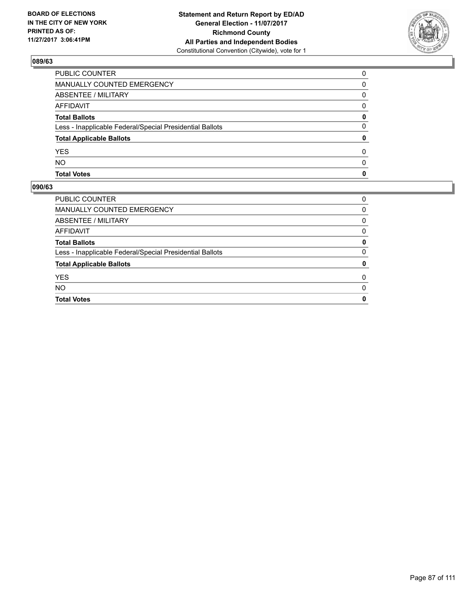

| PUBLIC COUNTER                                           | $\Omega$     |
|----------------------------------------------------------|--------------|
| <b>MANUALLY COUNTED EMERGENCY</b>                        | 0            |
| <b>ABSENTEE / MILITARY</b>                               | 0            |
| <b>AFFIDAVIT</b>                                         | $\Omega$     |
| <b>Total Ballots</b>                                     | 0            |
| Less - Inapplicable Federal/Special Presidential Ballots | 0            |
| <b>Total Applicable Ballots</b>                          | 0            |
| YES                                                      | 0            |
| <b>NO</b>                                                | <sup>0</sup> |
| <b>Total Votes</b>                                       | 0            |

| <b>PUBLIC COUNTER</b>                                    | 0        |
|----------------------------------------------------------|----------|
| MANUALLY COUNTED EMERGENCY                               | 0        |
| ABSENTEE / MILITARY                                      | 0        |
| AFFIDAVIT                                                | $\Omega$ |
| <b>Total Ballots</b>                                     | 0        |
| Less - Inapplicable Federal/Special Presidential Ballots | $\Omega$ |
| <b>Total Applicable Ballots</b>                          | 0        |
| <b>YES</b>                                               | 0        |
| <b>NO</b>                                                | 0        |
| <b>Total Votes</b>                                       | 0        |
|                                                          |          |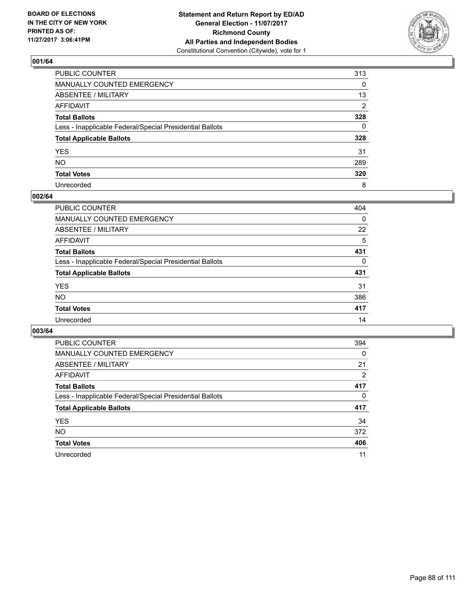

| PUBLIC COUNTER                                           | 313          |
|----------------------------------------------------------|--------------|
| MANUALLY COUNTED EMERGENCY                               | 0            |
| ABSENTEE / MILITARY                                      | 13           |
| AFFIDAVIT                                                | 2            |
| Total Ballots                                            | 328          |
| Less - Inapplicable Federal/Special Presidential Ballots | $\mathbf{0}$ |
| <b>Total Applicable Ballots</b>                          | 328          |
| YES                                                      | 31           |
| NO.                                                      | 289          |
| <b>Total Votes</b>                                       | 320          |
| Unrecorded                                               | 8            |

#### **002/64**

| <b>PUBLIC COUNTER</b>                                    | 404      |
|----------------------------------------------------------|----------|
| <b>MANUALLY COUNTED EMERGENCY</b>                        | 0        |
| ABSENTEE / MILITARY                                      | 22       |
| AFFIDAVIT                                                | 5        |
| <b>Total Ballots</b>                                     | 431      |
| Less - Inapplicable Federal/Special Presidential Ballots | $\Omega$ |
| <b>Total Applicable Ballots</b>                          | 431      |
| <b>YES</b>                                               | 31       |
| <b>NO</b>                                                | 386      |
| <b>Total Votes</b>                                       | 417      |
| Unrecorded                                               | 14       |

| <b>PUBLIC COUNTER</b>                                    | 394      |
|----------------------------------------------------------|----------|
| <b>MANUALLY COUNTED EMERGENCY</b>                        | $\Omega$ |
| ABSENTEE / MILITARY                                      | 21       |
| AFFIDAVIT                                                | 2        |
| <b>Total Ballots</b>                                     | 417      |
| Less - Inapplicable Federal/Special Presidential Ballots | 0        |
| <b>Total Applicable Ballots</b>                          | 417      |
| <b>YES</b>                                               | 34       |
| <b>NO</b>                                                | 372      |
| <b>Total Votes</b>                                       | 406      |
| Unrecorded                                               | 11       |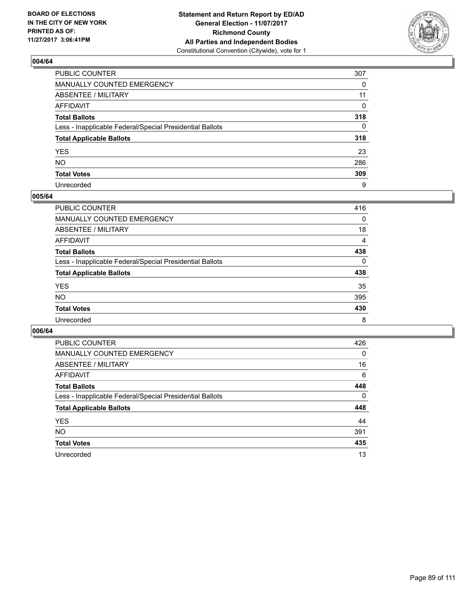

| PUBLIC COUNTER                                           | 307          |
|----------------------------------------------------------|--------------|
| MANUALLY COUNTED EMERGENCY                               | 0            |
| ABSENTEE / MILITARY                                      | 11           |
| AFFIDAVIT                                                | 0            |
| Total Ballots                                            | 318          |
| Less - Inapplicable Federal/Special Presidential Ballots | $\mathbf{0}$ |
| <b>Total Applicable Ballots</b>                          | 318          |
| YES                                                      | 23           |
| NO.                                                      | 286          |
| <b>Total Votes</b>                                       | 309          |
| Unrecorded                                               | 9            |

#### **005/64**

| <b>PUBLIC COUNTER</b>                                    | 416 |
|----------------------------------------------------------|-----|
| <b>MANUALLY COUNTED EMERGENCY</b>                        | 0   |
| ABSENTEE / MILITARY                                      | 18  |
| AFFIDAVIT                                                | 4   |
| <b>Total Ballots</b>                                     | 438 |
| Less - Inapplicable Federal/Special Presidential Ballots | 0   |
| <b>Total Applicable Ballots</b>                          | 438 |
| <b>YES</b>                                               | 35  |
| <b>NO</b>                                                | 395 |
| <b>Total Votes</b>                                       | 430 |
| Unrecorded                                               | 8   |

| <b>PUBLIC COUNTER</b>                                    | 426      |
|----------------------------------------------------------|----------|
| MANUALLY COUNTED EMERGENCY                               | $\Omega$ |
| ABSENTEE / MILITARY                                      | 16       |
| <b>AFFIDAVIT</b>                                         | 6        |
| <b>Total Ballots</b>                                     | 448      |
| Less - Inapplicable Federal/Special Presidential Ballots | 0        |
| <b>Total Applicable Ballots</b>                          | 448      |
| <b>YES</b>                                               | 44       |
| NO.                                                      | 391      |
| <b>Total Votes</b>                                       | 435      |
| Unrecorded                                               | 13       |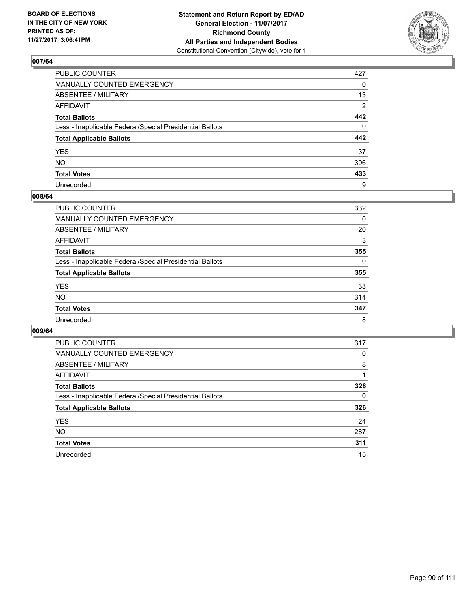

| PUBLIC COUNTER                                           | 427          |
|----------------------------------------------------------|--------------|
| MANUALLY COUNTED EMERGENCY                               | 0            |
| ABSENTEE / MILITARY                                      | 13           |
| AFFIDAVIT                                                | 2            |
| Total Ballots                                            | 442          |
| Less - Inapplicable Federal/Special Presidential Ballots | $\mathbf{0}$ |
| <b>Total Applicable Ballots</b>                          | 442          |
| YES                                                      | 37           |
| NO.                                                      | 396          |
| <b>Total Votes</b>                                       | 433          |
| Unrecorded                                               | 9            |

#### **008/64**

| <b>PUBLIC COUNTER</b>                                    | 332 |
|----------------------------------------------------------|-----|
| <b>MANUALLY COUNTED EMERGENCY</b>                        | 0   |
| ABSENTEE / MILITARY                                      | 20  |
| AFFIDAVIT                                                | 3   |
| <b>Total Ballots</b>                                     | 355 |
| Less - Inapplicable Federal/Special Presidential Ballots | 0   |
| <b>Total Applicable Ballots</b>                          | 355 |
| <b>YES</b>                                               | 33  |
| <b>NO</b>                                                | 314 |
| <b>Total Votes</b>                                       | 347 |
| Unrecorded                                               | 8   |

| <b>PUBLIC COUNTER</b>                                    | 317 |
|----------------------------------------------------------|-----|
| MANUALLY COUNTED EMERGENCY                               | 0   |
| ABSENTEE / MILITARY                                      | 8   |
| AFFIDAVIT                                                |     |
| <b>Total Ballots</b>                                     | 326 |
| Less - Inapplicable Federal/Special Presidential Ballots | 0   |
| <b>Total Applicable Ballots</b>                          | 326 |
| <b>YES</b>                                               | 24  |
| <b>NO</b>                                                | 287 |
| <b>Total Votes</b>                                       | 311 |
| Unrecorded                                               | 15  |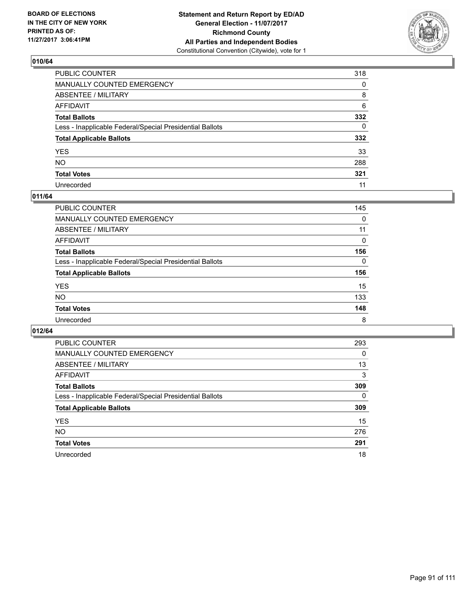

| PUBLIC COUNTER                                           | 318          |
|----------------------------------------------------------|--------------|
| MANUALLY COUNTED EMERGENCY                               | 0            |
| <b>ABSENTEE / MILITARY</b>                               | 8            |
| AFFIDAVIT                                                | 6            |
| Total Ballots                                            | 332          |
| Less - Inapplicable Federal/Special Presidential Ballots | $\mathbf{0}$ |
| <b>Total Applicable Ballots</b>                          | 332          |
| YES                                                      | 33           |
| NO.                                                      | 288          |
| <b>Total Votes</b>                                       | 321          |
| Unrecorded                                               | 11           |

### **011/64**

| PUBLIC COUNTER                                           | 145 |
|----------------------------------------------------------|-----|
| MANUALLY COUNTED EMERGENCY                               | 0   |
| ABSENTEE / MILITARY                                      | 11  |
| AFFIDAVIT                                                | 0   |
| <b>Total Ballots</b>                                     | 156 |
| Less - Inapplicable Federal/Special Presidential Ballots | 0   |
| <b>Total Applicable Ballots</b>                          | 156 |
| <b>YES</b>                                               | 15  |
| <b>NO</b>                                                | 133 |
| <b>Total Votes</b>                                       | 148 |
| Unrecorded                                               | 8   |

| <b>PUBLIC COUNTER</b>                                    | 293 |
|----------------------------------------------------------|-----|
| MANUALLY COUNTED EMERGENCY                               | 0   |
| ABSENTEE / MILITARY                                      | 13  |
| AFFIDAVIT                                                | 3   |
| <b>Total Ballots</b>                                     | 309 |
| Less - Inapplicable Federal/Special Presidential Ballots | 0   |
| <b>Total Applicable Ballots</b>                          | 309 |
| <b>YES</b>                                               | 15  |
| <b>NO</b>                                                | 276 |
| <b>Total Votes</b>                                       | 291 |
| Unrecorded                                               | 18  |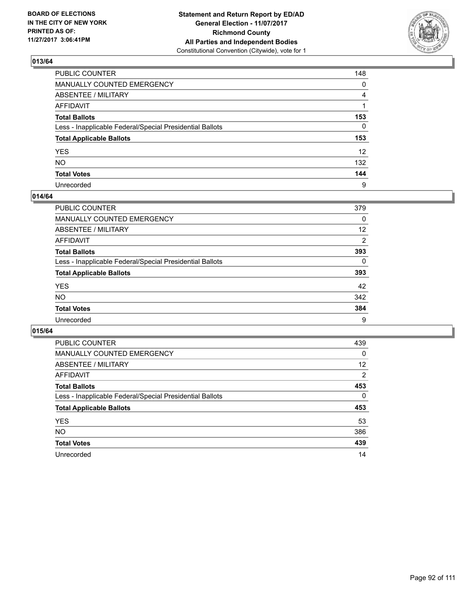

| PUBLIC COUNTER                                           | 148             |
|----------------------------------------------------------|-----------------|
| MANUALLY COUNTED EMERGENCY                               | 0               |
| ABSENTEE / MILITARY                                      | 4               |
| AFFIDAVIT                                                |                 |
| Total Ballots                                            | 153             |
| Less - Inapplicable Federal/Special Presidential Ballots | $\mathbf{0}$    |
| <b>Total Applicable Ballots</b>                          | 153             |
| YES                                                      | 12 <sup>2</sup> |
| NO.                                                      | 132             |
| <b>Total Votes</b>                                       | 144             |
| Unrecorded                                               | 9               |

#### **014/64**

| <b>PUBLIC COUNTER</b>                                    | 379 |
|----------------------------------------------------------|-----|
| <b>MANUALLY COUNTED EMERGENCY</b>                        | 0   |
| ABSENTEE / MILITARY                                      | 12  |
| AFFIDAVIT                                                | 2   |
| <b>Total Ballots</b>                                     | 393 |
| Less - Inapplicable Federal/Special Presidential Ballots | 0   |
| <b>Total Applicable Ballots</b>                          | 393 |
| <b>YES</b>                                               | 42  |
| <b>NO</b>                                                | 342 |
| <b>Total Votes</b>                                       | 384 |
| Unrecorded                                               | 9   |

| <b>PUBLIC COUNTER</b>                                    | 439      |
|----------------------------------------------------------|----------|
| <b>MANUALLY COUNTED EMERGENCY</b>                        | $\Omega$ |
| ABSENTEE / MILITARY                                      | 12       |
| AFFIDAVIT                                                | 2        |
| <b>Total Ballots</b>                                     | 453      |
| Less - Inapplicable Federal/Special Presidential Ballots | 0        |
| <b>Total Applicable Ballots</b>                          | 453      |
| <b>YES</b>                                               | 53       |
| <b>NO</b>                                                | 386      |
| <b>Total Votes</b>                                       | 439      |
| Unrecorded                                               | 14       |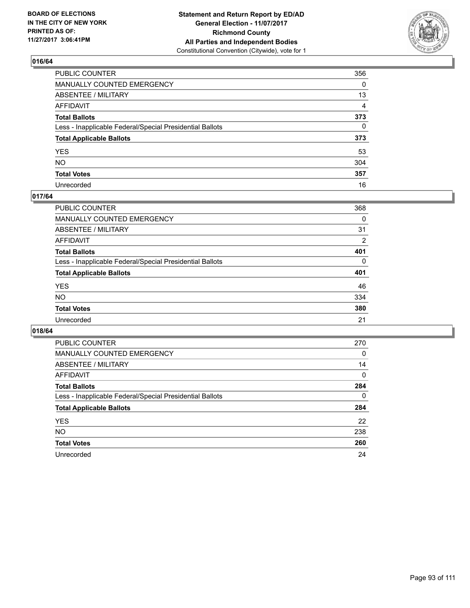

| PUBLIC COUNTER                                           | 356 |
|----------------------------------------------------------|-----|
| MANUALLY COUNTED EMERGENCY                               | 0   |
| ABSENTEE / MILITARY                                      | 13  |
| AFFIDAVIT                                                | 4   |
| Total Ballots                                            | 373 |
| Less - Inapplicable Federal/Special Presidential Ballots | 0   |
| <b>Total Applicable Ballots</b>                          | 373 |
| YES                                                      | 53  |
| NO.                                                      | 304 |
| <b>Total Votes</b>                                       | 357 |
| Unrecorded                                               | 16  |

#### **017/64**

| <b>PUBLIC COUNTER</b>                                    | 368      |
|----------------------------------------------------------|----------|
| <b>MANUALLY COUNTED EMERGENCY</b>                        | 0        |
| ABSENTEE / MILITARY                                      | 31       |
| AFFIDAVIT                                                | 2        |
| <b>Total Ballots</b>                                     | 401      |
| Less - Inapplicable Federal/Special Presidential Ballots | $\Omega$ |
| <b>Total Applicable Ballots</b>                          | 401      |
| <b>YES</b>                                               | 46       |
| <b>NO</b>                                                | 334      |
| <b>Total Votes</b>                                       | 380      |
| Unrecorded                                               | 21       |

| <b>PUBLIC COUNTER</b>                                    | 270 |
|----------------------------------------------------------|-----|
| MANUALLY COUNTED EMERGENCY                               | 0   |
| ABSENTEE / MILITARY                                      | 14  |
| <b>AFFIDAVIT</b>                                         | 0   |
| <b>Total Ballots</b>                                     | 284 |
| Less - Inapplicable Federal/Special Presidential Ballots | 0   |
| <b>Total Applicable Ballots</b>                          | 284 |
| <b>YES</b>                                               | 22  |
| NO.                                                      | 238 |
| <b>Total Votes</b>                                       | 260 |
| Unrecorded                                               | 24  |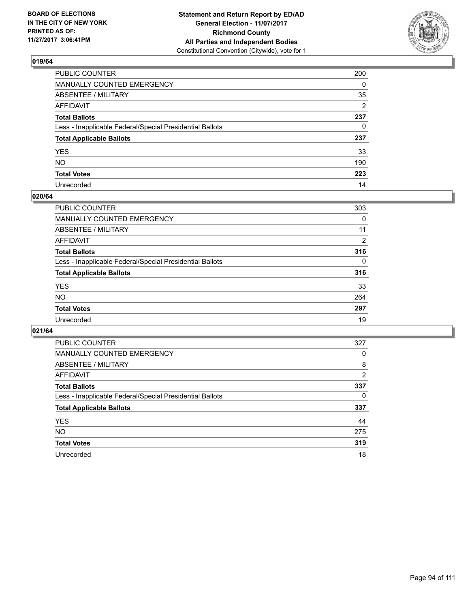

| PUBLIC COUNTER                                           | 200      |
|----------------------------------------------------------|----------|
| MANUALLY COUNTED EMERGENCY                               | $\Omega$ |
| ABSENTEE / MILITARY                                      | 35       |
| AFFIDAVIT                                                | 2        |
| Total Ballots                                            | 237      |
| Less - Inapplicable Federal/Special Presidential Ballots | $\Omega$ |
| <b>Total Applicable Ballots</b>                          | 237      |
| YES                                                      | 33       |
| NO.                                                      | 190      |
| <b>Total Votes</b>                                       | 223      |
| Unrecorded                                               | 14       |

#### **020/64**

| <b>PUBLIC COUNTER</b>                                    | 303      |
|----------------------------------------------------------|----------|
| <b>MANUALLY COUNTED EMERGENCY</b>                        | 0        |
| ABSENTEE / MILITARY                                      | 11       |
| AFFIDAVIT                                                | 2        |
| <b>Total Ballots</b>                                     | 316      |
| Less - Inapplicable Federal/Special Presidential Ballots | $\Omega$ |
| <b>Total Applicable Ballots</b>                          | 316      |
| <b>YES</b>                                               | 33       |
| <b>NO</b>                                                | 264      |
| <b>Total Votes</b>                                       | 297      |
| Unrecorded                                               | 19       |

| <b>PUBLIC COUNTER</b>                                    | 327            |
|----------------------------------------------------------|----------------|
| MANUALLY COUNTED EMERGENCY                               | 0              |
| ABSENTEE / MILITARY                                      | 8              |
| <b>AFFIDAVIT</b>                                         | $\overline{2}$ |
| <b>Total Ballots</b>                                     | 337            |
| Less - Inapplicable Federal/Special Presidential Ballots | 0              |
| <b>Total Applicable Ballots</b>                          | 337            |
| <b>YES</b>                                               | 44             |
| <b>NO</b>                                                | 275            |
| <b>Total Votes</b>                                       | 319            |
| Unrecorded                                               | 18             |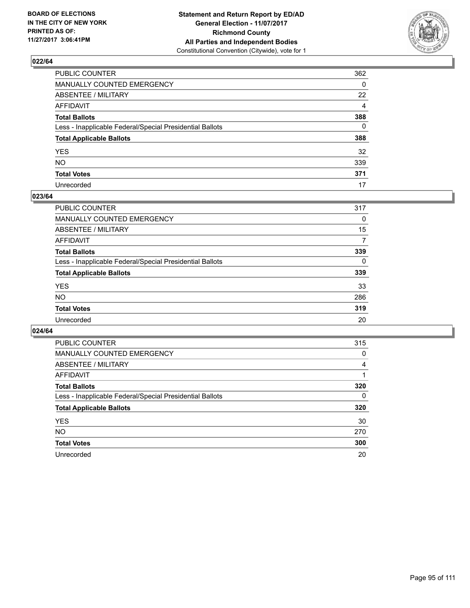

| PUBLIC COUNTER                                           | 362      |
|----------------------------------------------------------|----------|
| MANUALLY COUNTED EMERGENCY                               | 0        |
| ABSENTEE / MILITARY                                      | 22       |
| AFFIDAVIT                                                | 4        |
| Total Ballots                                            | 388      |
| Less - Inapplicable Federal/Special Presidential Ballots | $\Omega$ |
| <b>Total Applicable Ballots</b>                          | 388      |
| YES                                                      | 32       |
| NO.                                                      | 339      |
| <b>Total Votes</b>                                       | 371      |
| Unrecorded                                               | 17       |

### **023/64**

| <b>PUBLIC COUNTER</b>                                    | 317 |
|----------------------------------------------------------|-----|
| <b>MANUALLY COUNTED EMERGENCY</b>                        | 0   |
| ABSENTEE / MILITARY                                      | 15  |
| AFFIDAVIT                                                | 7   |
| <b>Total Ballots</b>                                     | 339 |
| Less - Inapplicable Federal/Special Presidential Ballots | 0   |
| <b>Total Applicable Ballots</b>                          | 339 |
| <b>YES</b>                                               | 33  |
| <b>NO</b>                                                | 286 |
| <b>Total Votes</b>                                       | 319 |
| Unrecorded                                               | 20  |

| <b>PUBLIC COUNTER</b>                                    | 315 |
|----------------------------------------------------------|-----|
| <b>MANUALLY COUNTED EMERGENCY</b>                        | 0   |
| ABSENTEE / MILITARY                                      | 4   |
| AFFIDAVIT                                                |     |
| <b>Total Ballots</b>                                     | 320 |
| Less - Inapplicable Federal/Special Presidential Ballots | 0   |
| <b>Total Applicable Ballots</b>                          | 320 |
| <b>YES</b>                                               | 30  |
| <b>NO</b>                                                | 270 |
| <b>Total Votes</b>                                       | 300 |
| Unrecorded                                               | 20  |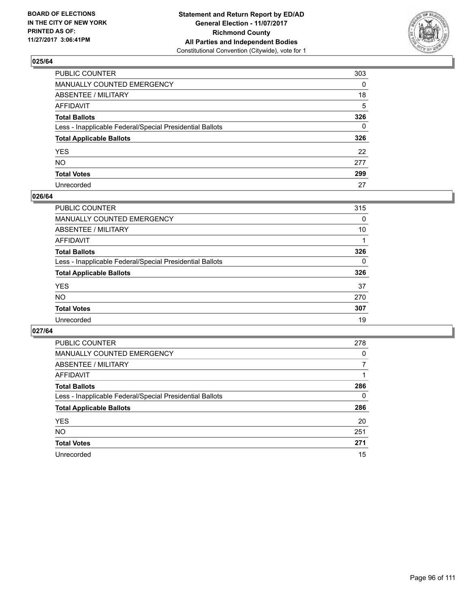

| PUBLIC COUNTER                                           | 303          |
|----------------------------------------------------------|--------------|
| MANUALLY COUNTED EMERGENCY                               | 0            |
| ABSENTEE / MILITARY                                      | 18           |
| AFFIDAVIT                                                | 5            |
| Total Ballots                                            | 326          |
| Less - Inapplicable Federal/Special Presidential Ballots | $\mathbf{0}$ |
| <b>Total Applicable Ballots</b>                          | 326          |
| YES                                                      | 22           |
| NO.                                                      | 277          |
| <b>Total Votes</b>                                       | 299          |
| Unrecorded                                               | 27           |

#### **026/64**

| <b>PUBLIC COUNTER</b>                                    | 315 |
|----------------------------------------------------------|-----|
| <b>MANUALLY COUNTED EMERGENCY</b>                        | 0   |
| ABSENTEE / MILITARY                                      | 10  |
| AFFIDAVIT                                                |     |
| <b>Total Ballots</b>                                     | 326 |
| Less - Inapplicable Federal/Special Presidential Ballots | 0   |
| <b>Total Applicable Ballots</b>                          | 326 |
| <b>YES</b>                                               | 37  |
| <b>NO</b>                                                | 270 |
| <b>Total Votes</b>                                       | 307 |
| Unrecorded                                               | 19  |

| <b>PUBLIC COUNTER</b>                                    | 278 |
|----------------------------------------------------------|-----|
| MANUALLY COUNTED EMERGENCY                               | 0   |
| ABSENTEE / MILITARY                                      |     |
| <b>AFFIDAVIT</b>                                         |     |
| <b>Total Ballots</b>                                     | 286 |
| Less - Inapplicable Federal/Special Presidential Ballots | 0   |
| <b>Total Applicable Ballots</b>                          | 286 |
| <b>YES</b>                                               | 20  |
| NO.                                                      | 251 |
| <b>Total Votes</b>                                       | 271 |
| Unrecorded                                               | 15  |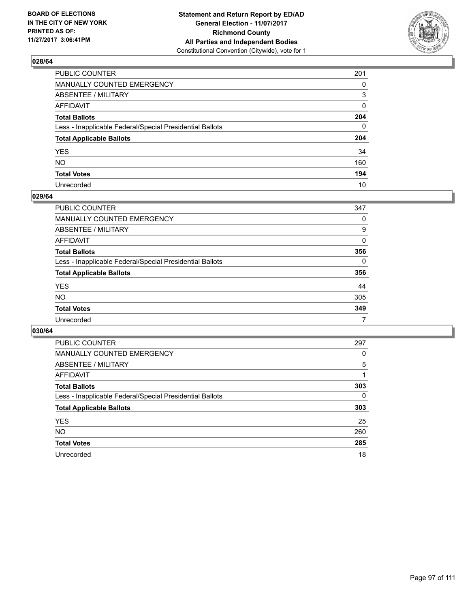

| PUBLIC COUNTER                                           | 201          |
|----------------------------------------------------------|--------------|
| MANUALLY COUNTED EMERGENCY                               | 0            |
| ABSENTEE / MILITARY                                      | 3            |
| AFFIDAVIT                                                | 0            |
| Total Ballots                                            | 204          |
| Less - Inapplicable Federal/Special Presidential Ballots | $\mathbf{0}$ |
| <b>Total Applicable Ballots</b>                          | 204          |
| YES                                                      | 34           |
| NO.                                                      | 160          |
| <b>Total Votes</b>                                       | 194          |
| Unrecorded                                               | 10           |

#### **029/64**

| <b>PUBLIC COUNTER</b>                                    | 347      |
|----------------------------------------------------------|----------|
| MANUALLY COUNTED EMERGENCY                               | 0        |
| ABSENTEE / MILITARY                                      | 9        |
| AFFIDAVIT                                                | $\Omega$ |
| <b>Total Ballots</b>                                     | 356      |
| Less - Inapplicable Federal/Special Presidential Ballots | $\Omega$ |
| <b>Total Applicable Ballots</b>                          | 356      |
| <b>YES</b>                                               | 44       |
| <b>NO</b>                                                | 305      |
| <b>Total Votes</b>                                       | 349      |
| Unrecorded                                               |          |

| <b>PUBLIC COUNTER</b>                                    | 297 |
|----------------------------------------------------------|-----|
| MANUALLY COUNTED EMERGENCY                               | 0   |
| ABSENTEE / MILITARY                                      | 5   |
| AFFIDAVIT                                                |     |
| <b>Total Ballots</b>                                     | 303 |
| Less - Inapplicable Federal/Special Presidential Ballots | 0   |
| <b>Total Applicable Ballots</b>                          | 303 |
| <b>YES</b>                                               | 25  |
| <b>NO</b>                                                | 260 |
| <b>Total Votes</b>                                       | 285 |
| Unrecorded                                               | 18  |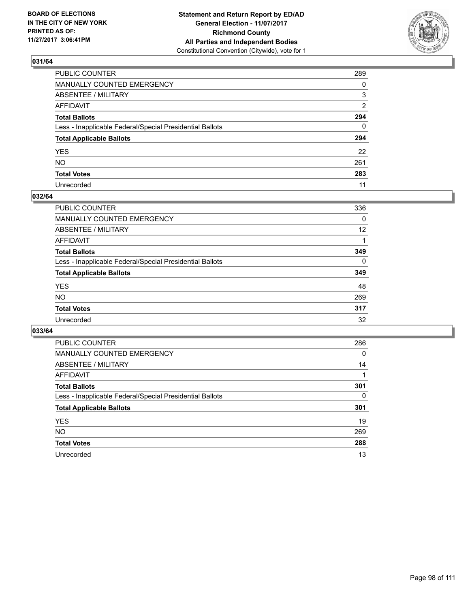

| PUBLIC COUNTER                                           | 289          |
|----------------------------------------------------------|--------------|
| MANUALLY COUNTED EMERGENCY                               | 0            |
| ABSENTEE / MILITARY                                      | 3            |
| AFFIDAVIT                                                | 2            |
| Total Ballots                                            | 294          |
| Less - Inapplicable Federal/Special Presidential Ballots | $\mathbf{0}$ |
| <b>Total Applicable Ballots</b>                          | 294          |
| YES                                                      | 22           |
| NO.                                                      | 261          |
| <b>Total Votes</b>                                       | 283          |
| Unrecorded                                               | 11           |

### **032/64**

| <b>PUBLIC COUNTER</b>                                    | 336      |
|----------------------------------------------------------|----------|
| <b>MANUALLY COUNTED EMERGENCY</b>                        | 0        |
| ABSENTEE / MILITARY                                      | 12       |
| AFFIDAVIT                                                |          |
| <b>Total Ballots</b>                                     | 349      |
| Less - Inapplicable Federal/Special Presidential Ballots | $\Omega$ |
| <b>Total Applicable Ballots</b>                          | 349      |
| <b>YES</b>                                               | 48       |
| <b>NO</b>                                                | 269      |
| <b>Total Votes</b>                                       | 317      |
| Unrecorded                                               | 32       |

| <b>PUBLIC COUNTER</b>                                    | 286 |
|----------------------------------------------------------|-----|
| MANUALLY COUNTED EMERGENCY                               | 0   |
| ABSENTEE / MILITARY                                      | 14  |
| <b>AFFIDAVIT</b>                                         |     |
| <b>Total Ballots</b>                                     | 301 |
| Less - Inapplicable Federal/Special Presidential Ballots | 0   |
| <b>Total Applicable Ballots</b>                          | 301 |
| <b>YES</b>                                               | 19  |
| NO.                                                      | 269 |
| <b>Total Votes</b>                                       | 288 |
| Unrecorded                                               | 13  |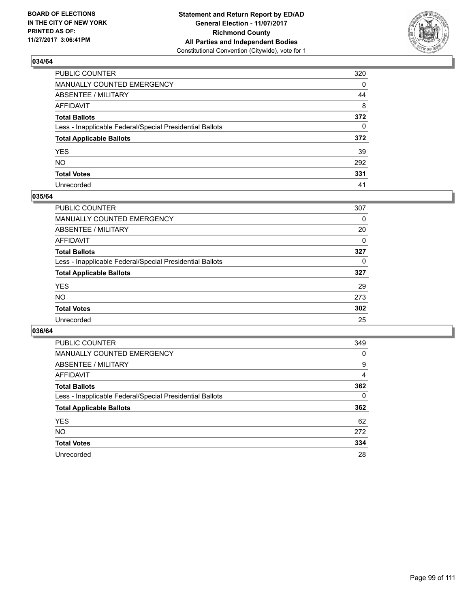

| PUBLIC COUNTER                                           | 320          |
|----------------------------------------------------------|--------------|
| MANUALLY COUNTED EMERGENCY                               | 0            |
| ABSENTEE / MILITARY                                      | 44           |
| AFFIDAVIT                                                | 8            |
| Total Ballots                                            | 372          |
| Less - Inapplicable Federal/Special Presidential Ballots | $\mathbf{0}$ |
| <b>Total Applicable Ballots</b>                          | 372          |
| YES                                                      | 39           |
| NO.                                                      | 292          |
| <b>Total Votes</b>                                       | 331          |
| Unrecorded                                               | 41           |

#### **035/64**

| <b>PUBLIC COUNTER</b>                                    | 307 |
|----------------------------------------------------------|-----|
| <b>MANUALLY COUNTED EMERGENCY</b>                        | 0   |
| ABSENTEE / MILITARY                                      | 20  |
| AFFIDAVIT                                                | 0   |
| <b>Total Ballots</b>                                     | 327 |
| Less - Inapplicable Federal/Special Presidential Ballots | 0   |
| <b>Total Applicable Ballots</b>                          | 327 |
| <b>YES</b>                                               | 29  |
| <b>NO</b>                                                | 273 |
| <b>Total Votes</b>                                       | 302 |
| Unrecorded                                               | 25  |

| <b>PUBLIC COUNTER</b>                                    | 349 |
|----------------------------------------------------------|-----|
| MANUALLY COUNTED EMERGENCY                               | 0   |
| ABSENTEE / MILITARY                                      | 9   |
| <b>AFFIDAVIT</b>                                         | 4   |
| <b>Total Ballots</b>                                     | 362 |
| Less - Inapplicable Federal/Special Presidential Ballots | 0   |
| <b>Total Applicable Ballots</b>                          | 362 |
| <b>YES</b>                                               | 62  |
| NO.                                                      | 272 |
| <b>Total Votes</b>                                       | 334 |
| Unrecorded                                               | 28  |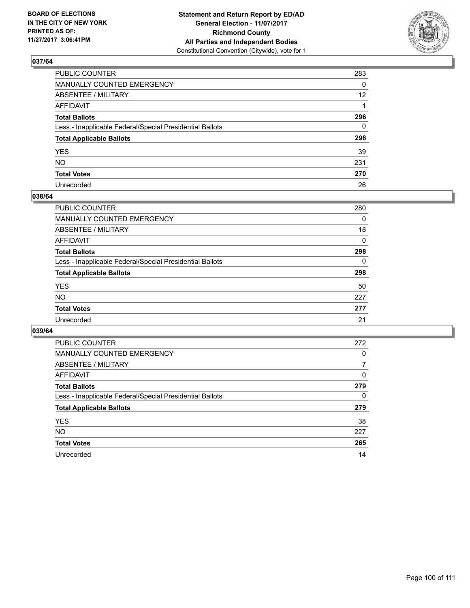

| PUBLIC COUNTER                                           | 283             |
|----------------------------------------------------------|-----------------|
| MANUALLY COUNTED EMERGENCY                               | 0               |
| ABSENTEE / MILITARY                                      | 12 <sup>2</sup> |
| AFFIDAVIT                                                |                 |
| Total Ballots                                            | 296             |
| Less - Inapplicable Federal/Special Presidential Ballots | 0               |
| <b>Total Applicable Ballots</b>                          | 296             |
| YES                                                      | 39              |
| NO.                                                      | 231             |
| <b>Total Votes</b>                                       | 270             |
| Unrecorded                                               | 26              |

#### **038/64**

| <b>PUBLIC COUNTER</b>                                    | 280 |
|----------------------------------------------------------|-----|
| <b>MANUALLY COUNTED EMERGENCY</b>                        | 0   |
| ABSENTEE / MILITARY                                      | 18  |
| AFFIDAVIT                                                | 0   |
| <b>Total Ballots</b>                                     | 298 |
| Less - Inapplicable Federal/Special Presidential Ballots | 0   |
| <b>Total Applicable Ballots</b>                          | 298 |
| <b>YES</b>                                               | 50  |
| <b>NO</b>                                                | 227 |
| <b>Total Votes</b>                                       | 277 |
| Unrecorded                                               | 21  |

| <b>PUBLIC COUNTER</b>                                    | 272 |
|----------------------------------------------------------|-----|
| <b>MANUALLY COUNTED EMERGENCY</b>                        | 0   |
| ABSENTEE / MILITARY                                      | 7   |
| AFFIDAVIT                                                | 0   |
| <b>Total Ballots</b>                                     | 279 |
| Less - Inapplicable Federal/Special Presidential Ballots | 0   |
| <b>Total Applicable Ballots</b>                          | 279 |
| <b>YES</b>                                               | 38  |
| <b>NO</b>                                                | 227 |
| <b>Total Votes</b>                                       | 265 |
| Unrecorded                                               | 14  |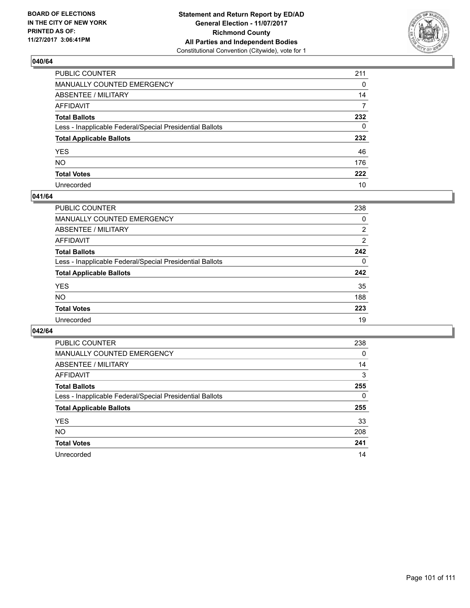

| PUBLIC COUNTER                                           | 211      |
|----------------------------------------------------------|----------|
| MANUALLY COUNTED EMERGENCY                               | 0        |
| <b>ABSENTEE / MILITARY</b>                               | 14       |
| AFFIDAVIT                                                | 7        |
| Total Ballots                                            | 232      |
| Less - Inapplicable Federal/Special Presidential Ballots | $\Omega$ |
| <b>Total Applicable Ballots</b>                          | 232      |
| YES                                                      | 46       |
| NO.                                                      | 176      |
| <b>Total Votes</b>                                       | 222      |
| Unrecorded                                               | 10       |

#### **041/64**

| PUBLIC COUNTER                                           | 238 |
|----------------------------------------------------------|-----|
| <b>MANUALLY COUNTED EMERGENCY</b>                        | 0   |
| ABSENTEE / MILITARY                                      | 2   |
| AFFIDAVIT                                                | 2   |
| <b>Total Ballots</b>                                     | 242 |
| Less - Inapplicable Federal/Special Presidential Ballots | 0   |
| <b>Total Applicable Ballots</b>                          | 242 |
| <b>YES</b>                                               | 35  |
| <b>NO</b>                                                | 188 |
| <b>Total Votes</b>                                       | 223 |
| Unrecorded                                               | 19  |

| <b>PUBLIC COUNTER</b>                                    | 238 |
|----------------------------------------------------------|-----|
| MANUALLY COUNTED EMERGENCY                               | 0   |
| ABSENTEE / MILITARY                                      | 14  |
| AFFIDAVIT                                                | 3   |
| <b>Total Ballots</b>                                     | 255 |
| Less - Inapplicable Federal/Special Presidential Ballots | 0   |
| <b>Total Applicable Ballots</b>                          | 255 |
| <b>YES</b>                                               | 33  |
| <b>NO</b>                                                | 208 |
| <b>Total Votes</b>                                       | 241 |
| Unrecorded                                               | 14  |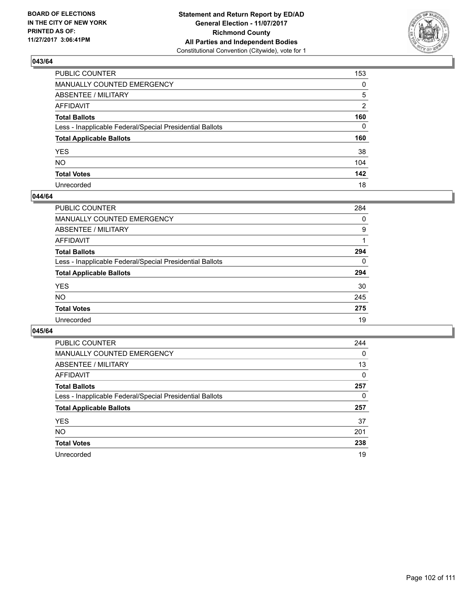

| PUBLIC COUNTER                                           | 153 |
|----------------------------------------------------------|-----|
| MANUALLY COUNTED EMERGENCY                               | 0   |
| ABSENTEE / MILITARY                                      | 5   |
| AFFIDAVIT                                                | 2   |
| Total Ballots                                            | 160 |
| Less - Inapplicable Federal/Special Presidential Ballots | 0   |
| <b>Total Applicable Ballots</b>                          | 160 |
| YES                                                      | 38  |
| NO.                                                      | 104 |
| <b>Total Votes</b>                                       | 142 |
| Unrecorded                                               | 18  |

#### **044/64**

| <b>PUBLIC COUNTER</b>                                    | 284      |
|----------------------------------------------------------|----------|
| MANUALLY COUNTED EMERGENCY                               | 0        |
| ABSENTEE / MILITARY                                      | 9        |
| AFFIDAVIT                                                |          |
| <b>Total Ballots</b>                                     | 294      |
| Less - Inapplicable Federal/Special Presidential Ballots | $\Omega$ |
| <b>Total Applicable Ballots</b>                          | 294      |
| <b>YES</b>                                               | 30       |
| <b>NO</b>                                                | 245      |
| <b>Total Votes</b>                                       | 275      |
| Unrecorded                                               | 19       |

| <b>PUBLIC COUNTER</b>                                    | 244      |
|----------------------------------------------------------|----------|
| MANUALLY COUNTED EMERGENCY                               | 0        |
| ABSENTEE / MILITARY                                      | 13       |
| AFFIDAVIT                                                | $\Omega$ |
| <b>Total Ballots</b>                                     | 257      |
| Less - Inapplicable Federal/Special Presidential Ballots | 0        |
| <b>Total Applicable Ballots</b>                          | 257      |
| <b>YES</b>                                               | 37       |
| <b>NO</b>                                                | 201      |
| <b>Total Votes</b>                                       | 238      |
| Unrecorded                                               | 19       |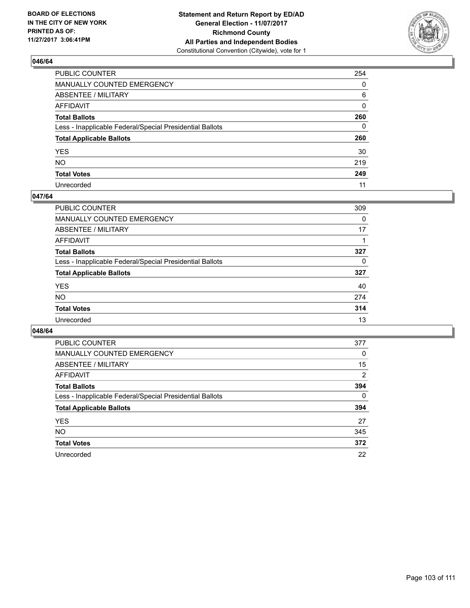

| PUBLIC COUNTER                                           | 254          |
|----------------------------------------------------------|--------------|
| MANUALLY COUNTED EMERGENCY                               | 0            |
| ABSENTEE / MILITARY                                      | 6            |
| AFFIDAVIT                                                | $\mathbf{0}$ |
| Total Ballots                                            | 260          |
| Less - Inapplicable Federal/Special Presidential Ballots | 0            |
| <b>Total Applicable Ballots</b>                          | 260          |
| YES                                                      | 30           |
| NO.                                                      | 219          |
| <b>Total Votes</b>                                       | 249          |
| Unrecorded                                               | 11           |

#### **047/64**

| <b>PUBLIC COUNTER</b>                                    | 309 |
|----------------------------------------------------------|-----|
| <b>MANUALLY COUNTED EMERGENCY</b>                        | 0   |
| <b>ABSENTEE / MILITARY</b>                               | 17  |
| AFFIDAVIT                                                |     |
| <b>Total Ballots</b>                                     | 327 |
| Less - Inapplicable Federal/Special Presidential Ballots | 0   |
| <b>Total Applicable Ballots</b>                          | 327 |
| <b>YES</b>                                               | 40  |
| NO                                                       | 274 |
| <b>Total Votes</b>                                       | 314 |
| Unrecorded                                               | 13  |

| <b>PUBLIC COUNTER</b>                                    | 377            |
|----------------------------------------------------------|----------------|
| MANUALLY COUNTED EMERGENCY                               | 0              |
| ABSENTEE / MILITARY                                      | 15             |
| AFFIDAVIT                                                | $\overline{2}$ |
| <b>Total Ballots</b>                                     | 394            |
| Less - Inapplicable Federal/Special Presidential Ballots | 0              |
| <b>Total Applicable Ballots</b>                          | 394            |
| <b>YES</b>                                               | 27             |
| NO.                                                      | 345            |
| <b>Total Votes</b>                                       | 372            |
| Unrecorded                                               | 22             |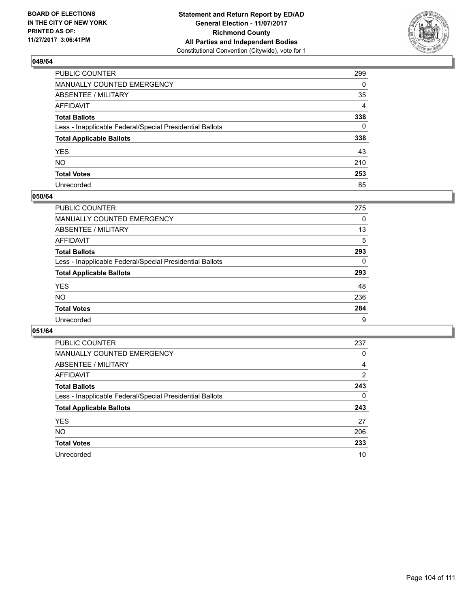

| PUBLIC COUNTER                                           | 299 |
|----------------------------------------------------------|-----|
| MANUALLY COUNTED EMERGENCY                               | 0   |
| ABSENTEE / MILITARY                                      | 35  |
| AFFIDAVIT                                                | 4   |
| Total Ballots                                            | 338 |
| Less - Inapplicable Federal/Special Presidential Ballots | 0   |
| <b>Total Applicable Ballots</b>                          | 338 |
| YES                                                      | 43  |
| NO.                                                      | 210 |
| <b>Total Votes</b>                                       | 253 |
| Unrecorded                                               | 85  |

#### **050/64**

| <b>PUBLIC COUNTER</b>                                    | 275 |
|----------------------------------------------------------|-----|
| <b>MANUALLY COUNTED EMERGENCY</b>                        | 0   |
| ABSENTEE / MILITARY                                      | 13  |
| AFFIDAVIT                                                | 5   |
| <b>Total Ballots</b>                                     | 293 |
| Less - Inapplicable Federal/Special Presidential Ballots | 0   |
| <b>Total Applicable Ballots</b>                          | 293 |
| <b>YES</b>                                               | 48  |
| <b>NO</b>                                                | 236 |
| <b>Total Votes</b>                                       | 284 |
| Unrecorded                                               | 9   |

| <b>PUBLIC COUNTER</b>                                    | 237 |
|----------------------------------------------------------|-----|
| MANUALLY COUNTED EMERGENCY                               | 0   |
| ABSENTEE / MILITARY                                      | 4   |
| AFFIDAVIT                                                | 2   |
| <b>Total Ballots</b>                                     | 243 |
| Less - Inapplicable Federal/Special Presidential Ballots | 0   |
| <b>Total Applicable Ballots</b>                          | 243 |
| <b>YES</b>                                               | 27  |
| <b>NO</b>                                                | 206 |
| <b>Total Votes</b>                                       | 233 |
| Unrecorded                                               | 10  |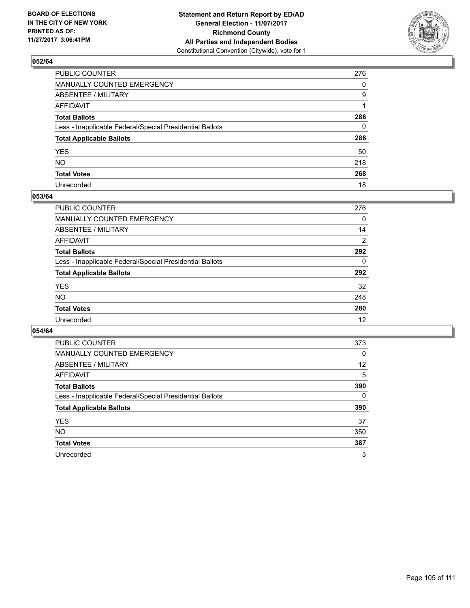

| PUBLIC COUNTER                                           | 276 |
|----------------------------------------------------------|-----|
| MANUALLY COUNTED EMERGENCY                               | 0   |
| ABSENTEE / MILITARY                                      | 9   |
| AFFIDAVIT                                                |     |
| Total Ballots                                            | 286 |
| Less - Inapplicable Federal/Special Presidential Ballots | 0   |
| <b>Total Applicable Ballots</b>                          | 286 |
| YES                                                      | 50  |
| NO.                                                      | 218 |
| <b>Total Votes</b>                                       | 268 |
| Unrecorded                                               | 18  |

#### **053/64**

| <b>PUBLIC COUNTER</b>                                    | 276 |
|----------------------------------------------------------|-----|
| <b>MANUALLY COUNTED EMERGENCY</b>                        | 0   |
| ABSENTEE / MILITARY                                      | 14  |
| AFFIDAVIT                                                | 2   |
| <b>Total Ballots</b>                                     | 292 |
| Less - Inapplicable Federal/Special Presidential Ballots | 0   |
| <b>Total Applicable Ballots</b>                          | 292 |
| <b>YES</b>                                               | 32  |
| <b>NO</b>                                                | 248 |
| <b>Total Votes</b>                                       | 280 |
| Unrecorded                                               | 12  |

| <b>PUBLIC COUNTER</b>                                    | 373      |
|----------------------------------------------------------|----------|
| <b>MANUALLY COUNTED EMERGENCY</b>                        | $\Omega$ |
| ABSENTEE / MILITARY                                      | 12       |
| AFFIDAVIT                                                | 5        |
| <b>Total Ballots</b>                                     | 390      |
| Less - Inapplicable Federal/Special Presidential Ballots | 0        |
| <b>Total Applicable Ballots</b>                          | 390      |
| <b>YES</b>                                               | 37       |
| <b>NO</b>                                                | 350      |
| <b>Total Votes</b>                                       | 387      |
| Unrecorded                                               | 3        |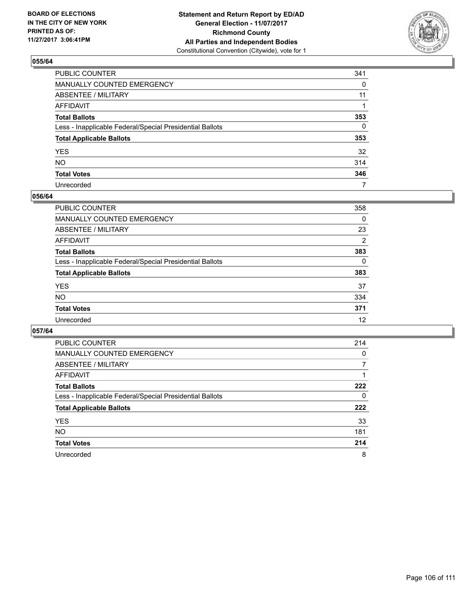

| PUBLIC COUNTER                                           | 341 |
|----------------------------------------------------------|-----|
| MANUALLY COUNTED EMERGENCY                               | 0   |
| ABSENTEE / MILITARY                                      | 11  |
| AFFIDAVIT                                                |     |
| Total Ballots                                            | 353 |
| Less - Inapplicable Federal/Special Presidential Ballots | 0   |
| <b>Total Applicable Ballots</b>                          | 353 |
| YES                                                      | 32  |
| NO.                                                      | 314 |
| <b>Total Votes</b>                                       | 346 |
| Unrecorded                                               | 7   |

#### **056/64**

| <b>PUBLIC COUNTER</b>                                    | 358      |
|----------------------------------------------------------|----------|
| <b>MANUALLY COUNTED EMERGENCY</b>                        | 0        |
| ABSENTEE / MILITARY                                      | 23       |
| AFFIDAVIT                                                | 2        |
| <b>Total Ballots</b>                                     | 383      |
| Less - Inapplicable Federal/Special Presidential Ballots | $\Omega$ |
| <b>Total Applicable Ballots</b>                          | 383      |
| <b>YES</b>                                               | 37       |
| <b>NO</b>                                                | 334      |
| <b>Total Votes</b>                                       | 371      |
| Unrecorded                                               | 12       |

| <b>PUBLIC COUNTER</b>                                    | 214 |
|----------------------------------------------------------|-----|
| MANUALLY COUNTED EMERGENCY                               | 0   |
| ABSENTEE / MILITARY                                      |     |
| AFFIDAVIT                                                |     |
| <b>Total Ballots</b>                                     | 222 |
| Less - Inapplicable Federal/Special Presidential Ballots | 0   |
| <b>Total Applicable Ballots</b>                          | 222 |
| <b>YES</b>                                               | 33  |
| <b>NO</b>                                                | 181 |
| <b>Total Votes</b>                                       | 214 |
| Unrecorded                                               | 8   |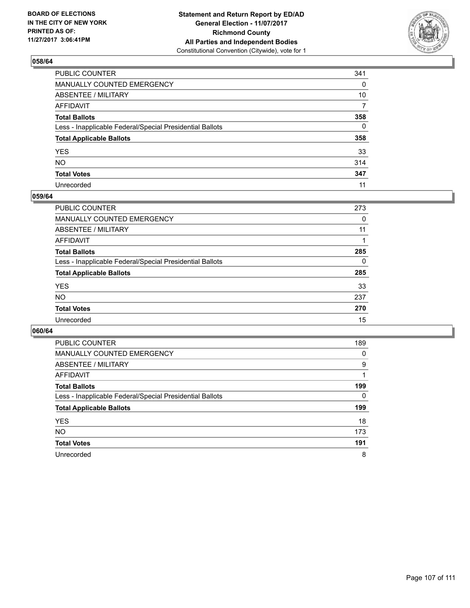

| PUBLIC COUNTER                                           | 341 |
|----------------------------------------------------------|-----|
| MANUALLY COUNTED EMERGENCY                               | 0   |
| ABSENTEE / MILITARY                                      | 10  |
| AFFIDAVIT                                                | 7   |
| Total Ballots                                            | 358 |
| Less - Inapplicable Federal/Special Presidential Ballots | 0   |
| <b>Total Applicable Ballots</b>                          | 358 |
| YES                                                      | 33  |
| NO.                                                      | 314 |
| <b>Total Votes</b>                                       | 347 |
| Unrecorded                                               | 11  |

#### **059/64**

| <b>PUBLIC COUNTER</b>                                    | 273 |
|----------------------------------------------------------|-----|
| <b>MANUALLY COUNTED EMERGENCY</b>                        | 0   |
| ABSENTEE / MILITARY                                      | 11  |
| AFFIDAVIT                                                |     |
| <b>Total Ballots</b>                                     | 285 |
| Less - Inapplicable Federal/Special Presidential Ballots | 0   |
| <b>Total Applicable Ballots</b>                          | 285 |
| <b>YES</b>                                               | 33  |
| <b>NO</b>                                                | 237 |
| <b>Total Votes</b>                                       | 270 |
| Unrecorded                                               | 15  |

| <b>PUBLIC COUNTER</b>                                    | 189 |
|----------------------------------------------------------|-----|
| <b>MANUALLY COUNTED EMERGENCY</b>                        | 0   |
| ABSENTEE / MILITARY                                      | 9   |
| AFFIDAVIT                                                |     |
| <b>Total Ballots</b>                                     | 199 |
| Less - Inapplicable Federal/Special Presidential Ballots | 0   |
| <b>Total Applicable Ballots</b>                          | 199 |
|                                                          |     |
| <b>YES</b>                                               | 18  |
| <b>NO</b>                                                | 173 |
| <b>Total Votes</b>                                       | 191 |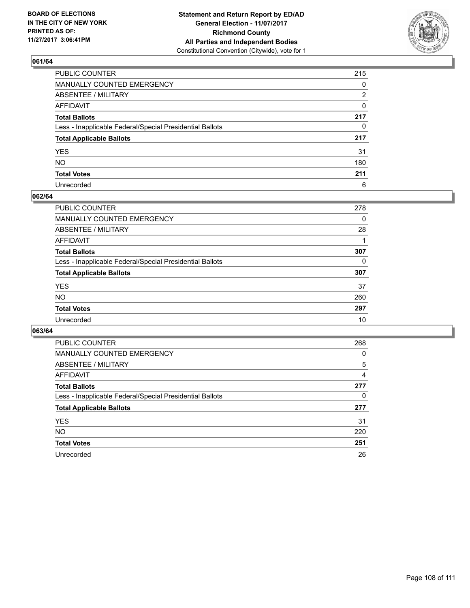

| PUBLIC COUNTER                                           | 215 |
|----------------------------------------------------------|-----|
| MANUALLY COUNTED EMERGENCY                               | 0   |
| ABSENTEE / MILITARY                                      | 2   |
| AFFIDAVIT                                                | 0   |
| Total Ballots                                            | 217 |
| Less - Inapplicable Federal/Special Presidential Ballots | 0   |
| <b>Total Applicable Ballots</b>                          | 217 |
| YES                                                      | 31  |
| NO.                                                      | 180 |
| <b>Total Votes</b>                                       | 211 |
| Unrecorded                                               | 6   |

#### **062/64**

| <b>PUBLIC COUNTER</b>                                    | 278 |
|----------------------------------------------------------|-----|
| <b>MANUALLY COUNTED EMERGENCY</b>                        | 0   |
| ABSENTEE / MILITARY                                      | 28  |
| AFFIDAVIT                                                |     |
| <b>Total Ballots</b>                                     | 307 |
| Less - Inapplicable Federal/Special Presidential Ballots | 0   |
| <b>Total Applicable Ballots</b>                          | 307 |
| <b>YES</b>                                               | 37  |
| <b>NO</b>                                                | 260 |
| <b>Total Votes</b>                                       | 297 |
| Unrecorded                                               | 10  |

| <b>PUBLIC COUNTER</b>                                    | 268 |
|----------------------------------------------------------|-----|
| MANUALLY COUNTED EMERGENCY                               | 0   |
| ABSENTEE / MILITARY                                      | 5   |
| AFFIDAVIT                                                | 4   |
| <b>Total Ballots</b>                                     | 277 |
| Less - Inapplicable Federal/Special Presidential Ballots | 0   |
| <b>Total Applicable Ballots</b>                          | 277 |
| <b>YES</b>                                               | 31  |
| NO.                                                      | 220 |
| <b>Total Votes</b>                                       | 251 |
| Unrecorded                                               | 26  |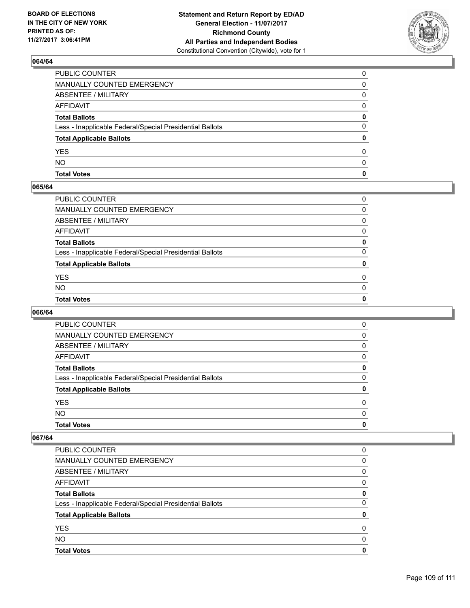

# **064/64**

| <b>Total Votes</b>                                       | 0            |
|----------------------------------------------------------|--------------|
| <b>NO</b>                                                | <sup>0</sup> |
| <b>YES</b>                                               | 0            |
| <b>Total Applicable Ballots</b>                          | 0            |
| Less - Inapplicable Federal/Special Presidential Ballots | 0            |
| <b>Total Ballots</b>                                     | 0            |
| <b>AFFIDAVIT</b>                                         | 0            |
| ABSENTEE / MILITARY                                      | 0            |
| <b>MANUALLY COUNTED EMERGENCY</b>                        | 0            |
| PUBLIC COUNTER                                           | $\Omega$     |

### **065/64**

| PUBLIC COUNTER                                           | 0        |
|----------------------------------------------------------|----------|
| MANUALLY COUNTED EMERGENCY                               | 0        |
| ABSENTEE / MILITARY                                      | $\Omega$ |
| AFFIDAVIT                                                | 0        |
| <b>Total Ballots</b>                                     | 0        |
| Less - Inapplicable Federal/Special Presidential Ballots | 0        |
| <b>Total Applicable Ballots</b>                          | 0        |
| YES                                                      | 0        |
| NO.                                                      | $\Omega$ |
| <b>Total Votes</b>                                       | 0        |
|                                                          |          |

# **066/64**

| <b>Total Votes</b>                                       | 0        |
|----------------------------------------------------------|----------|
| <b>NO</b>                                                | $\Omega$ |
| <b>YES</b>                                               | 0        |
| <b>Total Applicable Ballots</b>                          | 0        |
| Less - Inapplicable Federal/Special Presidential Ballots | 0        |
| <b>Total Ballots</b>                                     | 0        |
| AFFIDAVIT                                                | 0        |
| ABSENTEE / MILITARY                                      | 0        |
| MANUALLY COUNTED EMERGENCY                               | 0        |
| PUBLIC COUNTER                                           | 0        |

### **067/64**

| <b>Total Votes</b>                                       | O |
|----------------------------------------------------------|---|
| <b>NO</b>                                                | O |
| <b>YES</b>                                               | 0 |
| <b>Total Applicable Ballots</b>                          |   |
| Less - Inapplicable Federal/Special Presidential Ballots | 0 |
| <b>Total Ballots</b>                                     | 0 |
| AFFIDAVIT                                                | 0 |
| ABSENTEE / MILITARY                                      | 0 |
| MANUALLY COUNTED EMERGENCY                               | 0 |
| PUBLIC COUNTER                                           | 0 |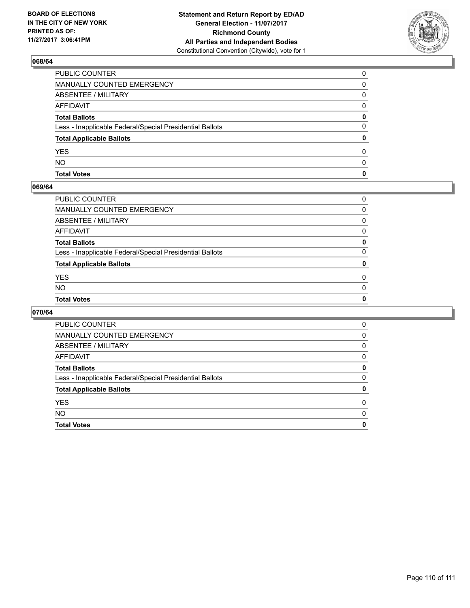

# **068/64**

| <b>Total Votes</b>                                       | 0            |
|----------------------------------------------------------|--------------|
| <b>NO</b>                                                | <sup>0</sup> |
| <b>YES</b>                                               | <sup>0</sup> |
| <b>Total Applicable Ballots</b>                          | 0            |
| Less - Inapplicable Federal/Special Presidential Ballots | 0            |
| <b>Total Ballots</b>                                     | 0            |
| <b>AFFIDAVIT</b>                                         | <sup>0</sup> |
| <b>ABSENTEE / MILITARY</b>                               | 0            |
| <b>MANUALLY COUNTED EMERGENCY</b>                        | 0            |
| PUBLIC COUNTER                                           | $\Omega$     |

### **069/64**

| PUBLIC COUNTER                                           | 0            |
|----------------------------------------------------------|--------------|
| MANUALLY COUNTED EMERGENCY                               | 0            |
| ABSENTEE / MILITARY                                      | 0            |
| AFFIDAVIT                                                | $\mathbf{0}$ |
| Total Ballots                                            | 0            |
| Less - Inapplicable Federal/Special Presidential Ballots | 0            |
| <b>Total Applicable Ballots</b>                          | $\mathbf{0}$ |
| YES                                                      | 0            |
| NO.                                                      | $\Omega$     |
| <b>Total Votes</b>                                       | $\mathbf{0}$ |
|                                                          |              |

# **070/64**

| <b>Total Votes</b>                                       | 0 |
|----------------------------------------------------------|---|
| <b>NO</b>                                                | 0 |
| <b>YES</b>                                               | 0 |
| <b>Total Applicable Ballots</b>                          | 0 |
| Less - Inapplicable Federal/Special Presidential Ballots | 0 |
| <b>Total Ballots</b>                                     | 0 |
| AFFIDAVIT                                                | 0 |
| ABSENTEE / MILITARY                                      | 0 |
| MANUALLY COUNTED EMERGENCY                               | 0 |
| <b>PUBLIC COUNTER</b>                                    | 0 |